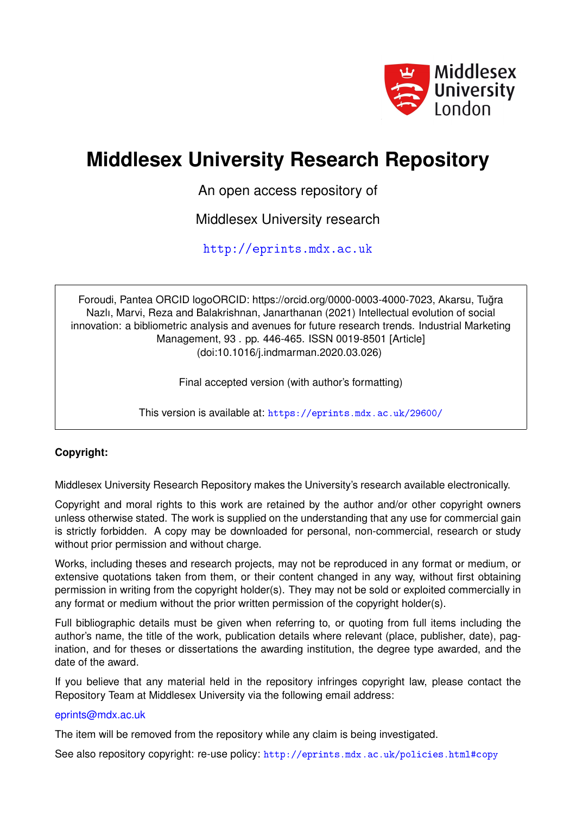

# **Middlesex University Research Repository**

An open access repository of

Middlesex University research

<http://eprints.mdx.ac.uk>

Foroudi, Pantea ORCID logoORCID: https://orcid.org/0000-0003-4000-7023, Akarsu, Tugra ˘ Nazlı, Marvi, Reza and Balakrishnan, Janarthanan (2021) Intellectual evolution of social innovation: a bibliometric analysis and avenues for future research trends. Industrial Marketing Management, 93 . pp. 446-465. ISSN 0019-8501 [Article] (doi:10.1016/j.indmarman.2020.03.026)

Final accepted version (with author's formatting)

This version is available at: <https://eprints.mdx.ac.uk/29600/>

## **Copyright:**

Middlesex University Research Repository makes the University's research available electronically.

Copyright and moral rights to this work are retained by the author and/or other copyright owners unless otherwise stated. The work is supplied on the understanding that any use for commercial gain is strictly forbidden. A copy may be downloaded for personal, non-commercial, research or study without prior permission and without charge.

Works, including theses and research projects, may not be reproduced in any format or medium, or extensive quotations taken from them, or their content changed in any way, without first obtaining permission in writing from the copyright holder(s). They may not be sold or exploited commercially in any format or medium without the prior written permission of the copyright holder(s).

Full bibliographic details must be given when referring to, or quoting from full items including the author's name, the title of the work, publication details where relevant (place, publisher, date), pagination, and for theses or dissertations the awarding institution, the degree type awarded, and the date of the award.

If you believe that any material held in the repository infringes copyright law, please contact the Repository Team at Middlesex University via the following email address:

## [eprints@mdx.ac.uk](mailto:eprints@mdx.ac.uk)

The item will be removed from the repository while any claim is being investigated.

See also repository copyright: re-use policy: <http://eprints.mdx.ac.uk/policies.html#copy>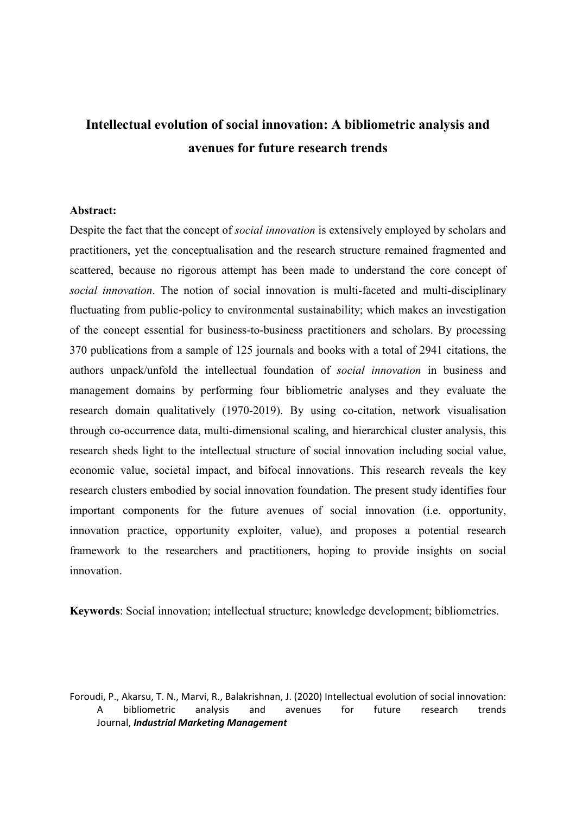## **Intellectual evolution of social innovation: A bibliometric analysis and avenues for future research trends**

#### **Abstract:**

Despite the fact that the concept of *social innovation* is extensively employed by scholars and practitioners, yet the conceptualisation and the research structure remained fragmented and scattered, because no rigorous attempt has been made to understand the core concept of *social innovation*. The notion of social innovation is multi-faceted and multi-disciplinary fluctuating from public-policy to environmental sustainability; which makes an investigation of the concept essential for business-to-business practitioners and scholars. By processing 370 publications from a sample of 125 journals and books with a total of 2941 citations, the authors unpack/unfold the intellectual foundation of *social innovation* in business and management domains by performing four bibliometric analyses and they evaluate the research domain qualitatively (1970-2019). By using co-citation, network visualisation through co-occurrence data, multi-dimensional scaling, and hierarchical cluster analysis, this research sheds light to the intellectual structure of social innovation including social value, economic value, societal impact, and bifocal innovations. This research reveals the key research clusters embodied by social innovation foundation. The present study identifies four important components for the future avenues of social innovation (i.e. opportunity, innovation practice, opportunity exploiter, value), and proposes a potential research framework to the researchers and practitioners, hoping to provide insights on social innovation.

**Keywords**: Social innovation; intellectual structure; knowledge development; bibliometrics.

Foroudi, P., Akarsu, T. N., Marvi, R., Balakrishnan, J. (2020) Intellectual evolution of social innovation: A bibliometric analysis and avenues for future research trends Journal, *Industrial Marketing Management*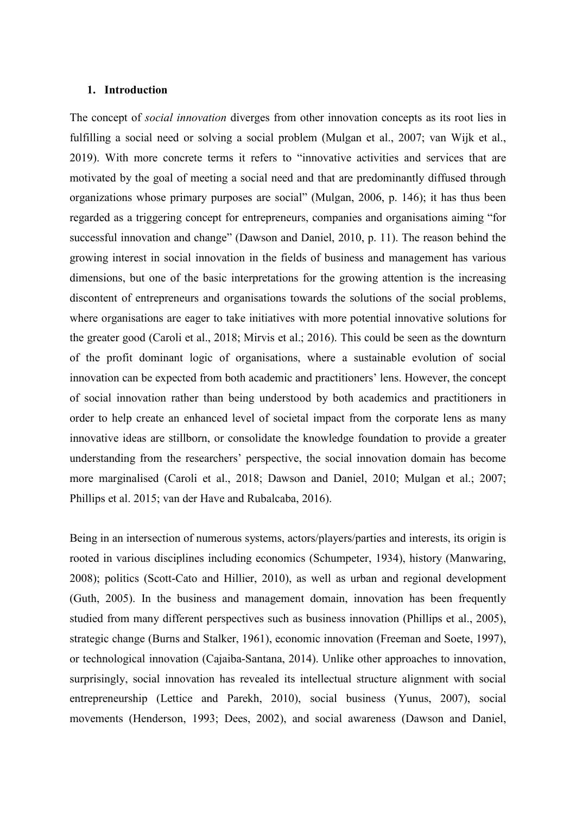### **1. Introduction**

The concept of *social innovation* diverges from other innovation concepts as its root lies in fulfilling a social need or solving a social problem (Mulgan et al., 2007; van Wijk et al., 2019). With more concrete terms it refers to "innovative activities and services that are motivated by the goal of meeting a social need and that are predominantly diffused through organizations whose primary purposes are social" (Mulgan, 2006, p. 146); it has thus been regarded as a triggering concept for entrepreneurs, companies and organisations aiming "for successful innovation and change" (Dawson and Daniel, 2010, p. 11). The reason behind the growing interest in social innovation in the fields of business and management has various dimensions, but one of the basic interpretations for the growing attention is the increasing discontent of entrepreneurs and organisations towards the solutions of the social problems, where organisations are eager to take initiatives with more potential innovative solutions for the greater good (Caroli et al., 2018; Mirvis et al.; 2016). This could be seen as the downturn of the profit dominant logic of organisations, where a sustainable evolution of social innovation can be expected from both academic and practitioners' lens. However, the concept of social innovation rather than being understood by both academics and practitioners in order to help create an enhanced level of societal impact from the corporate lens as many innovative ideas are stillborn, or consolidate the knowledge foundation to provide a greater understanding from the researchers' perspective, the social innovation domain has become more marginalised (Caroli et al., 2018; Dawson and Daniel, 2010; Mulgan et al.; 2007; Phillips et al. 2015; van der Have and Rubalcaba, 2016).

Being in an intersection of numerous systems, actors/players/parties and interests, its origin is rooted in various disciplines including economics (Schumpeter, 1934), history (Manwaring, 2008); politics (Scott-Cato and Hillier, 2010), as well as urban and regional development (Guth, 2005). In the business and management domain, innovation has been frequently studied from many different perspectives such as business innovation (Phillips et al., 2005), strategic change (Burns and Stalker, 1961), economic innovation (Freeman and Soete, 1997), or technological innovation (Cajaiba-Santana, 2014). Unlike other approaches to innovation, surprisingly, social innovation has revealed its intellectual structure alignment with social entrepreneurship (Lettice and Parekh, 2010), social business (Yunus, 2007), social movements (Henderson, 1993; Dees, 2002), and social awareness (Dawson and Daniel,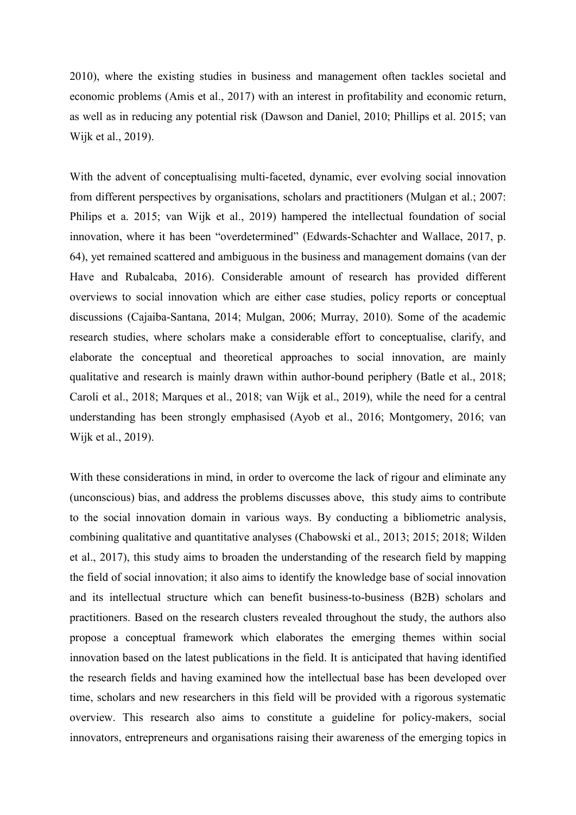2010), where the existing studies in business and management often tackles societal and economic problems (Amis et al., 2017) with an interest in profitability and economic return, as well as in reducing any potential risk (Dawson and Daniel, 2010; Phillips et al. 2015; van Wijk et al., 2019).

With the advent of conceptualising multi-faceted, dynamic, ever evolving social innovation from different perspectives by organisations, scholars and practitioners (Mulgan et al.; 2007: Philips et a. 2015; van Wijk et al., 2019) hampered the intellectual foundation of social innovation, where it has been "overdetermined" (Edwards-Schachter and Wallace, 2017, p. 64), yet remained scattered and ambiguous in the business and management domains (van der Have and Rubalcaba, 2016). Considerable amount of research has provided different overviews to social innovation which are either case studies, policy reports or conceptual discussions (Cajaiba-Santana, 2014; Mulgan, 2006; Murray, 2010). Some of the academic research studies, where scholars make a considerable effort to conceptualise, clarify, and elaborate the conceptual and theoretical approaches to social innovation, are mainly qualitative and research is mainly drawn within author-bound periphery (Batle et al., 2018; Caroli et al., 2018; Marques et al., 2018; van Wijk et al., 2019), while the need for a central understanding has been strongly emphasised (Ayob et al., 2016; Montgomery, 2016; van Wijk et al., 2019).

With these considerations in mind, in order to overcome the lack of rigour and eliminate any (unconscious) bias, and address the problems discusses above, this study aims to contribute to the social innovation domain in various ways. By conducting a bibliometric analysis, combining qualitative and quantitative analyses (Chabowski et al., 2013; 2015; 2018; Wilden et al., 2017), this study aims to broaden the understanding of the research field by mapping the field of social innovation; it also aims to identify the knowledge base of social innovation and its intellectual structure which can benefit business-to-business (B2B) scholars and practitioners. Based on the research clusters revealed throughout the study, the authors also propose a conceptual framework which elaborates the emerging themes within social innovation based on the latest publications in the field. It is anticipated that having identified the research fields and having examined how the intellectual base has been developed over time, scholars and new researchers in this field will be provided with a rigorous systematic overview. This research also aims to constitute a guideline for policy-makers, social innovators, entrepreneurs and organisations raising their awareness of the emerging topics in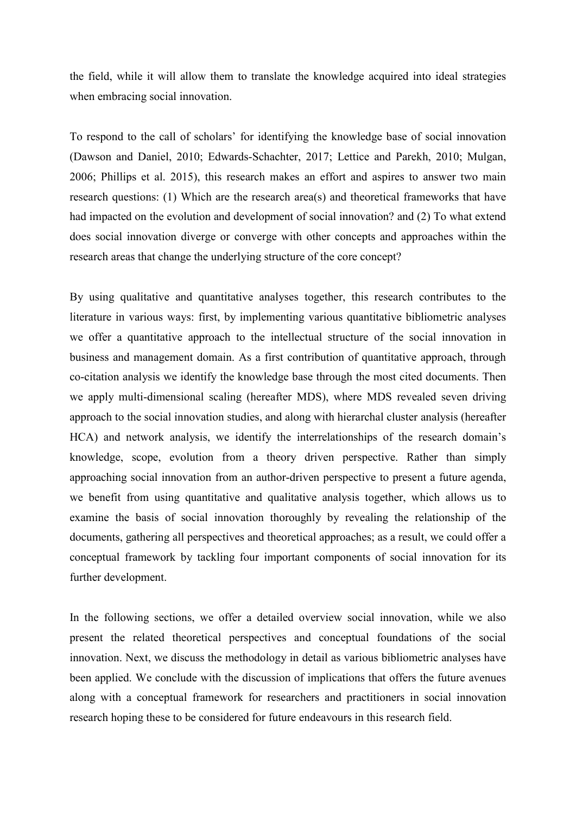the field, while it will allow them to translate the knowledge acquired into ideal strategies when embracing social innovation.

To respond to the call of scholars' for identifying the knowledge base of social innovation (Dawson and Daniel, 2010; Edwards-Schachter, 2017; Lettice and Parekh, 2010; Mulgan, 2006; Phillips et al. 2015), this research makes an effort and aspires to answer two main research questions: (1) Which are the research area(s) and theoretical frameworks that have had impacted on the evolution and development of social innovation? and (2) To what extend does social innovation diverge or converge with other concepts and approaches within the research areas that change the underlying structure of the core concept?

By using qualitative and quantitative analyses together, this research contributes to the literature in various ways: first, by implementing various quantitative bibliometric analyses we offer a quantitative approach to the intellectual structure of the social innovation in business and management domain. As a first contribution of quantitative approach, through co-citation analysis we identify the knowledge base through the most cited documents. Then we apply multi-dimensional scaling (hereafter MDS), where MDS revealed seven driving approach to the social innovation studies, and along with hierarchal cluster analysis (hereafter HCA) and network analysis, we identify the interrelationships of the research domain's knowledge, scope, evolution from a theory driven perspective. Rather than simply approaching social innovation from an author-driven perspective to present a future agenda, we benefit from using quantitative and qualitative analysis together, which allows us to examine the basis of social innovation thoroughly by revealing the relationship of the documents, gathering all perspectives and theoretical approaches; as a result, we could offer a conceptual framework by tackling four important components of social innovation for its further development.

In the following sections, we offer a detailed overview social innovation, while we also present the related theoretical perspectives and conceptual foundations of the social innovation. Next, we discuss the methodology in detail as various bibliometric analyses have been applied. We conclude with the discussion of implications that offers the future avenues along with a conceptual framework for researchers and practitioners in social innovation research hoping these to be considered for future endeavours in this research field.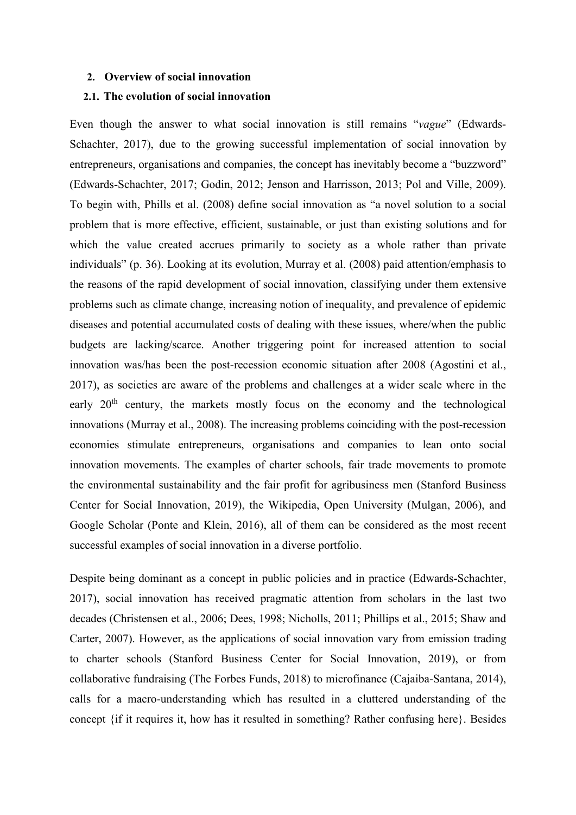#### **2. Overview of social innovation**

## **2.1. The evolution of social innovation**

Even though the answer to what social innovation is still remains "*vague*" (Edwards-Schachter, 2017), due to the growing successful implementation of social innovation by entrepreneurs, organisations and companies, the concept has inevitably become a "buzzword" (Edwards-Schachter, 2017; Godin, 2012; Jenson and Harrisson, 2013; Pol and Ville, 2009). To begin with, Phills et al. (2008) define social innovation as "a novel solution to a social problem that is more effective, efficient, sustainable, or just than existing solutions and for which the value created accrues primarily to society as a whole rather than private individuals" (p. 36). Looking at its evolution, Murray et al. (2008) paid attention/emphasis to the reasons of the rapid development of social innovation, classifying under them extensive problems such as climate change, increasing notion of inequality, and prevalence of epidemic diseases and potential accumulated costs of dealing with these issues, where/when the public budgets are lacking/scarce. Another triggering point for increased attention to social innovation was/has been the post-recession economic situation after 2008 (Agostini et al., 2017), as societies are aware of the problems and challenges at a wider scale where in the early 20<sup>th</sup> century, the markets mostly focus on the economy and the technological innovations (Murray et al., 2008). The increasing problems coinciding with the post-recession economies stimulate entrepreneurs, organisations and companies to lean onto social innovation movements. The examples of charter schools, fair trade movements to promote the environmental sustainability and the fair profit for agribusiness men (Stanford Business Center for Social Innovation, 2019), the Wikipedia, Open University (Mulgan, 2006), and Google Scholar (Ponte and Klein, 2016), all of them can be considered as the most recent successful examples of social innovation in a diverse portfolio.

Despite being dominant as a concept in public policies and in practice (Edwards-Schachter, 2017), social innovation has received pragmatic attention from scholars in the last two decades (Christensen et al., 2006; Dees, 1998; Nicholls, 2011; Phillips et al., 2015; Shaw and Carter, 2007). However, as the applications of social innovation vary from emission trading to charter schools (Stanford Business Center for Social Innovation, 2019), or from collaborative fundraising (The Forbes Funds, 2018) to microfinance (Cajaiba-Santana, 2014), calls for a macro-understanding which has resulted in a cluttered understanding of the concept {if it requires it, how has it resulted in something? Rather confusing here}. Besides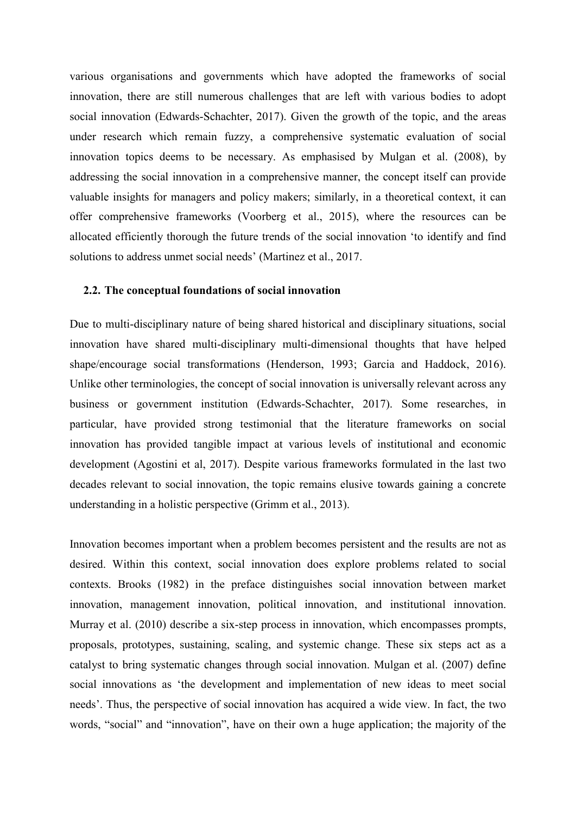various organisations and governments which have adopted the frameworks of social innovation, there are still numerous challenges that are left with various bodies to adopt social innovation (Edwards-Schachter, 2017). Given the growth of the topic, and the areas under research which remain fuzzy, a comprehensive systematic evaluation of social innovation topics deems to be necessary. As emphasised by Mulgan et al. (2008), by addressing the social innovation in a comprehensive manner, the concept itself can provide valuable insights for managers and policy makers; similarly, in a theoretical context, it can offer comprehensive frameworks (Voorberg et al., 2015), where the resources can be allocated efficiently thorough the future trends of the social innovation 'to identify and find solutions to address unmet social needs' (Martinez et al., 2017.

#### **2.2. The conceptual foundations of social innovation**

Due to multi-disciplinary nature of being shared historical and disciplinary situations, social innovation have shared multi-disciplinary multi-dimensional thoughts that have helped shape/encourage social transformations (Henderson, 1993; Garcia and Haddock, 2016). Unlike other terminologies, the concept of social innovation is universally relevant across any business or government institution (Edwards-Schachter, 2017). Some researches, in particular, have provided strong testimonial that the literature frameworks on social innovation has provided tangible impact at various levels of institutional and economic development (Agostini et al, 2017). Despite various frameworks formulated in the last two decades relevant to social innovation, the topic remains elusive towards gaining a concrete understanding in a holistic perspective (Grimm et al., 2013).

Innovation becomes important when a problem becomes persistent and the results are not as desired. Within this context, social innovation does explore problems related to social contexts. Brooks (1982) in the preface distinguishes social innovation between market innovation, management innovation, political innovation, and institutional innovation. Murray et al. (2010) describe a six-step process in innovation, which encompasses prompts, proposals, prototypes, sustaining, scaling, and systemic change. These six steps act as a catalyst to bring systematic changes through social innovation. Mulgan et al. (2007) define social innovations as 'the development and implementation of new ideas to meet social needs'. Thus, the perspective of social innovation has acquired a wide view. In fact, the two words, "social" and "innovation", have on their own a huge application; the majority of the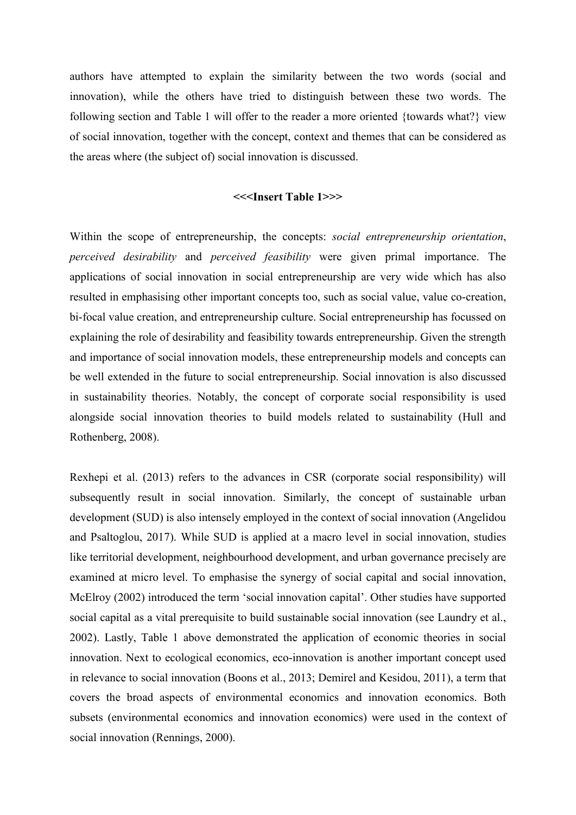authors have attempted to explain the similarity between the two words (social and innovation), while the others have tried to distinguish between these two words. The following section and Table 1 will offer to the reader a more oriented {towards what?} view of social innovation, together with the concept, context and themes that can be considered as the areas where (the subject of) social innovation is discussed.

## **<<<Insert Table 1>>>**

Within the scope of entrepreneurship, the concepts: *social entrepreneurship orientation*, *perceived desirability* and *perceived feasibility* were given primal importance. The applications of social innovation in social entrepreneurship are very wide which has also resulted in emphasising other important concepts too, such as social value, value co-creation, bi-focal value creation, and entrepreneurship culture. Social entrepreneurship has focussed on explaining the role of desirability and feasibility towards entrepreneurship. Given the strength and importance of social innovation models, these entrepreneurship models and concepts can be well extended in the future to social entrepreneurship. Social innovation is also discussed in sustainability theories. Notably, the concept of corporate social responsibility is used alongside social innovation theories to build models related to sustainability (Hull and Rothenberg, 2008).

Rexhepi et al. (2013) refers to the advances in CSR (corporate social responsibility) will subsequently result in social innovation. Similarly, the concept of sustainable urban development (SUD) is also intensely employed in the context of social innovation (Angelidou and Psaltoglou, 2017). While SUD is applied at a macro level in social innovation, studies like territorial development, neighbourhood development, and urban governance precisely are examined at micro level. To emphasise the synergy of social capital and social innovation, McElroy (2002) introduced the term 'social innovation capital'. Other studies have supported social capital as a vital prerequisite to build sustainable social innovation (see Laundry et al., 2002). Lastly, Table 1 above demonstrated the application of economic theories in social innovation. Next to ecological economics, eco-innovation is another important concept used in relevance to social innovation (Boons et al., 2013; Demirel and Kesidou, 2011), a term that covers the broad aspects of environmental economics and innovation economics. Both subsets (environmental economics and innovation economics) were used in the context of social innovation (Rennings, 2000).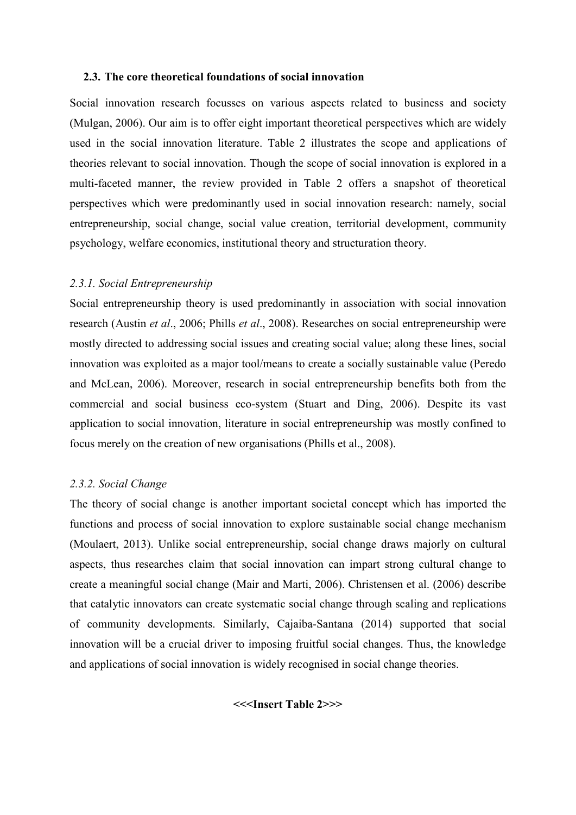#### **2.3. The core theoretical foundations of social innovation**

Social innovation research focusses on various aspects related to business and society (Mulgan, 2006). Our aim is to offer eight important theoretical perspectives which are widely used in the social innovation literature. Table 2 illustrates the scope and applications of theories relevant to social innovation. Though the scope of social innovation is explored in a multi-faceted manner, the review provided in Table 2 offers a snapshot of theoretical perspectives which were predominantly used in social innovation research: namely, social entrepreneurship, social change, social value creation, territorial development, community psychology, welfare economics, institutional theory and structuration theory.

## *2.3.1. Social Entrepreneurship*

Social entrepreneurship theory is used predominantly in association with social innovation research (Austin *et al*., 2006; Phills *et al*., 2008). Researches on social entrepreneurship were mostly directed to addressing social issues and creating social value; along these lines, social innovation was exploited as a major tool/means to create a socially sustainable value (Peredo and McLean, 2006). Moreover, research in social entrepreneurship benefits both from the commercial and social business eco-system (Stuart and Ding, 2006). Despite its vast application to social innovation, literature in social entrepreneurship was mostly confined to focus merely on the creation of new organisations (Phills et al., 2008).

## *2.3.2. Social Change*

The theory of social change is another important societal concept which has imported the functions and process of social innovation to explore sustainable social change mechanism (Moulaert, 2013). Unlike social entrepreneurship, social change draws majorly on cultural aspects, thus researches claim that social innovation can impart strong cultural change to create a meaningful social change (Mair and Marti, 2006). Christensen et al. (2006) describe that catalytic innovators can create systematic social change through scaling and replications of community developments. Similarly, Cajaiba-Santana (2014) supported that social innovation will be a crucial driver to imposing fruitful social changes. Thus, the knowledge and applications of social innovation is widely recognised in social change theories.

**<<<Insert Table 2>>>**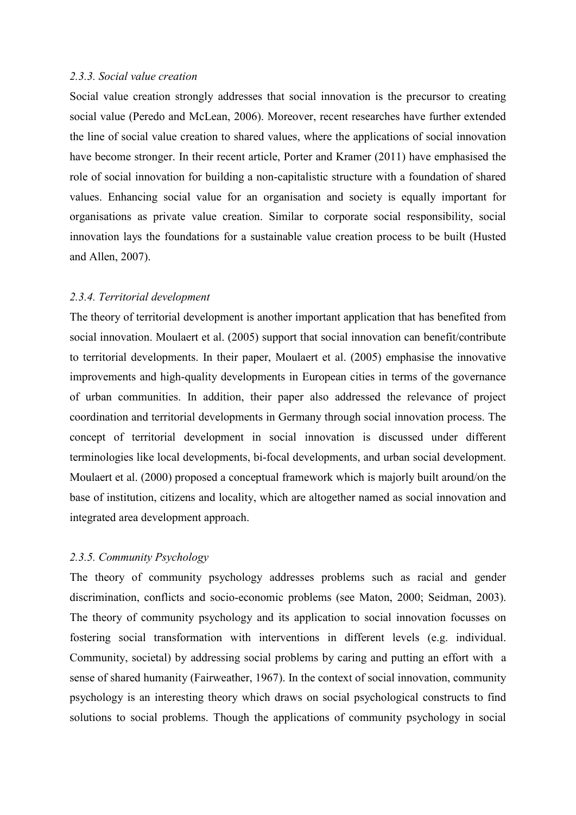#### *2.3.3. Social value creation*

Social value creation strongly addresses that social innovation is the precursor to creating social value (Peredo and McLean, 2006). Moreover, recent researches have further extended the line of social value creation to shared values, where the applications of social innovation have become stronger. In their recent article, Porter and Kramer (2011) have emphasised the role of social innovation for building a non-capitalistic structure with a foundation of shared values. Enhancing social value for an organisation and society is equally important for organisations as private value creation. Similar to corporate social responsibility, social innovation lays the foundations for a sustainable value creation process to be built (Husted and Allen, 2007).

#### *2.3.4. Territorial development*

The theory of territorial development is another important application that has benefited from social innovation. Moulaert et al. (2005) support that social innovation can benefit/contribute to territorial developments. In their paper, Moulaert et al. (2005) emphasise the innovative improvements and high-quality developments in European cities in terms of the governance of urban communities. In addition, their paper also addressed the relevance of project coordination and territorial developments in Germany through social innovation process. The concept of territorial development in social innovation is discussed under different terminologies like local developments, bi-focal developments, and urban social development. Moulaert et al. (2000) proposed a conceptual framework which is majorly built around/on the base of institution, citizens and locality, which are altogether named as social innovation and integrated area development approach.

## *2.3.5. Community Psychology*

The theory of community psychology addresses problems such as racial and gender discrimination, conflicts and socio-economic problems (see Maton, 2000; Seidman, 2003). The theory of community psychology and its application to social innovation focusses on fostering social transformation with interventions in different levels (e.g. individual. Community, societal) by addressing social problems by caring and putting an effort with a sense of shared humanity (Fairweather, 1967). In the context of social innovation, community psychology is an interesting theory which draws on social psychological constructs to find solutions to social problems. Though the applications of community psychology in social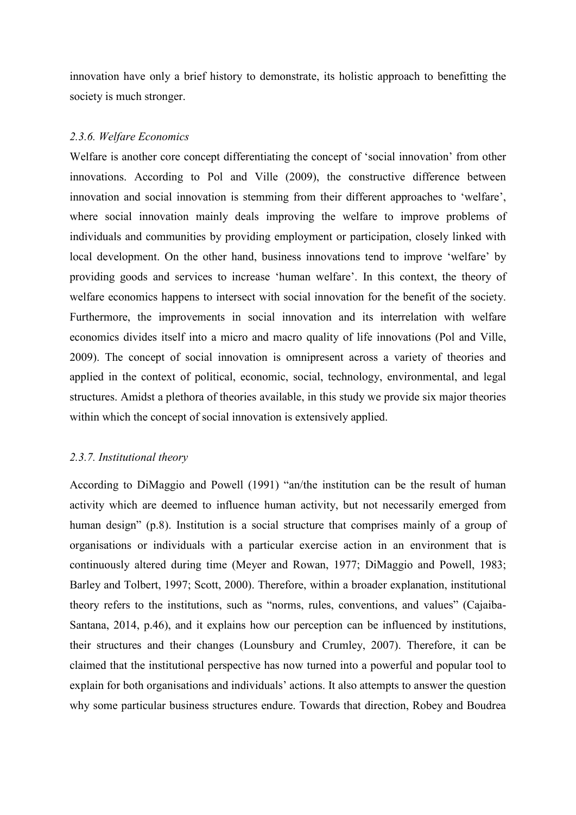innovation have only a brief history to demonstrate, its holistic approach to benefitting the society is much stronger.

#### *2.3.6. Welfare Economics*

Welfare is another core concept differentiating the concept of 'social innovation' from other innovations. According to Pol and Ville (2009), the constructive difference between innovation and social innovation is stemming from their different approaches to 'welfare', where social innovation mainly deals improving the welfare to improve problems of individuals and communities by providing employment or participation, closely linked with local development. On the other hand, business innovations tend to improve 'welfare' by providing goods and services to increase 'human welfare'. In this context, the theory of welfare economics happens to intersect with social innovation for the benefit of the society. Furthermore, the improvements in social innovation and its interrelation with welfare economics divides itself into a micro and macro quality of life innovations (Pol and Ville, 2009). The concept of social innovation is omnipresent across a variety of theories and applied in the context of political, economic, social, technology, environmental, and legal structures. Amidst a plethora of theories available, in this study we provide six major theories within which the concept of social innovation is extensively applied.

## *2.3.7. Institutional theory*

According to DiMaggio and Powell (1991) "an/the institution can be the result of human activity which are deemed to influence human activity, but not necessarily emerged from human design" (p.8). Institution is a social structure that comprises mainly of a group of organisations or individuals with a particular exercise action in an environment that is continuously altered during time (Meyer and Rowan, 1977; DiMaggio and Powell, 1983; Barley and Tolbert, 1997; Scott, 2000). Therefore, within a broader explanation, institutional theory refers to the institutions, such as "norms, rules, conventions, and values" (Cajaiba-Santana, 2014, p.46), and it explains how our perception can be influenced by institutions, their structures and their changes (Lounsbury and Crumley, 2007). Therefore, it can be claimed that the institutional perspective has now turned into a powerful and popular tool to explain for both organisations and individuals' actions. It also attempts to answer the question why some particular business structures endure. Towards that direction, Robey and Boudrea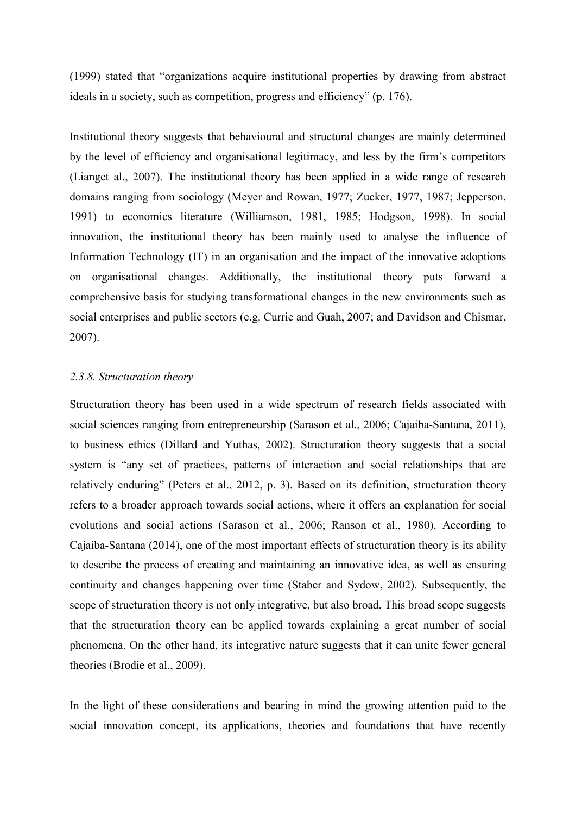(1999) stated that "organizations acquire institutional properties by drawing from abstract ideals in a society, such as competition, progress and efficiency" (p. 176).

Institutional theory suggests that behavioural and structural changes are mainly determined by the level of efficiency and organisational legitimacy, and less by the firm's competitors (Lianget al., 2007). The institutional theory has been applied in a wide range of research domains ranging from sociology (Meyer and Rowan, 1977; Zucker, 1977, 1987; Jepperson, 1991) to economics literature (Williamson, 1981, 1985; Hodgson, 1998). In social innovation, the institutional theory has been mainly used to analyse the influence of Information Technology (IT) in an organisation and the impact of the innovative adoptions on organisational changes. Additionally, the institutional theory puts forward a comprehensive basis for studying transformational changes in the new environments such as social enterprises and public sectors (e.g. Currie and Guah, 2007; and Davidson and Chismar, 2007).

## *2.3.8. Structuration theory*

Structuration theory has been used in a wide spectrum of research fields associated with social sciences ranging from entrepreneurship (Sarason et al., 2006; Cajaiba-Santana, 2011), to business ethics (Dillard and Yuthas, 2002). Structuration theory suggests that a social system is "any set of practices, patterns of interaction and social relationships that are relatively enduring" (Peters et al., 2012, p. 3). Based on its definition, structuration theory refers to a broader approach towards social actions, where it offers an explanation for social evolutions and social actions (Sarason et al., 2006; Ranson et al., 1980). According to Cajaiba-Santana (2014), one of the most important effects of structuration theory is its ability to describe the process of creating and maintaining an innovative idea, as well as ensuring continuity and changes happening over time (Staber and Sydow, 2002). Subsequently, the scope of structuration theory is not only integrative, but also broad. This broad scope suggests that the structuration theory can be applied towards explaining a great number of social phenomena. On the other hand, its integrative nature suggests that it can unite fewer general theories (Brodie et al., 2009).

In the light of these considerations and bearing in mind the growing attention paid to the social innovation concept, its applications, theories and foundations that have recently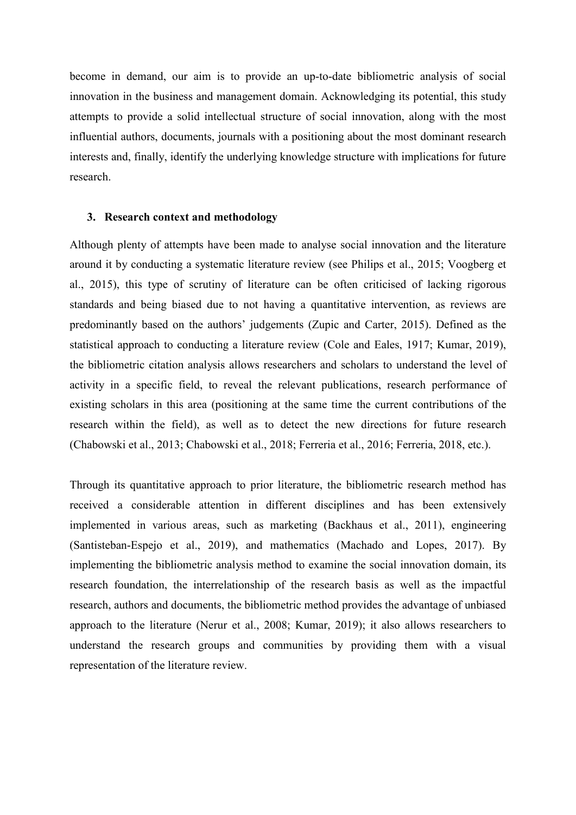become in demand, our aim is to provide an up-to-date bibliometric analysis of social innovation in the business and management domain. Acknowledging its potential, this study attempts to provide a solid intellectual structure of social innovation, along with the most influential authors, documents, journals with a positioning about the most dominant research interests and, finally, identify the underlying knowledge structure with implications for future research.

#### **3. Research context and methodology**

Although plenty of attempts have been made to analyse social innovation and the literature around it by conducting a systematic literature review (see Philips et al., 2015; Voogberg et al., 2015), this type of scrutiny of literature can be often criticised of lacking rigorous standards and being biased due to not having a quantitative intervention, as reviews are predominantly based on the authors' judgements (Zupic and Carter, 2015). Defined as the statistical approach to conducting a literature review (Cole and Eales, 1917; Kumar, 2019), the bibliometric citation analysis allows researchers and scholars to understand the level of activity in a specific field, to reveal the relevant publications, research performance of existing scholars in this area (positioning at the same time the current contributions of the research within the field), as well as to detect the new directions for future research (Chabowski et al., 2013; Chabowski et al., 2018; Ferreria et al., 2016; Ferreria, 2018, etc.).

Through its quantitative approach to prior literature, the bibliometric research method has received a considerable attention in different disciplines and has been extensively implemented in various areas, such as marketing (Backhaus et al., 2011), engineering (Santisteban-Espejo et al., 2019), and mathematics (Machado and Lopes, 2017). By implementing the bibliometric analysis method to examine the social innovation domain, its research foundation, the interrelationship of the research basis as well as the impactful research, authors and documents, the bibliometric method provides the advantage of unbiased approach to the literature (Nerur et al., 2008; Kumar, 2019); it also allows researchers to understand the research groups and communities by providing them with a visual representation of the literature review.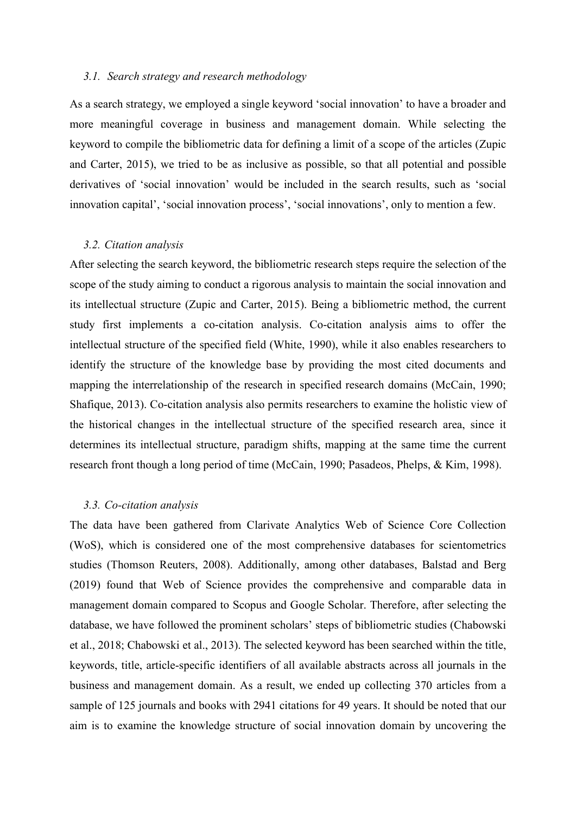## *3.1. Search strategy and research methodology*

As a search strategy, we employed a single keyword 'social innovation' to have a broader and more meaningful coverage in business and management domain. While selecting the keyword to compile the bibliometric data for defining a limit of a scope of the articles (Zupic and Carter, 2015), we tried to be as inclusive as possible, so that all potential and possible derivatives of 'social innovation' would be included in the search results, such as 'social innovation capital', 'social innovation process', 'social innovations', only to mention a few.

#### *3.2. Citation analysis*

After selecting the search keyword, the bibliometric research steps require the selection of the scope of the study aiming to conduct a rigorous analysis to maintain the social innovation and its intellectual structure (Zupic and Carter, 2015). Being a bibliometric method, the current study first implements a co-citation analysis. Co-citation analysis aims to offer the intellectual structure of the specified field (White, 1990), while it also enables researchers to identify the structure of the knowledge base by providing the most cited documents and mapping the interrelationship of the research in specified research domains (McCain, 1990; Shafique, 2013). Co-citation analysis also permits researchers to examine the holistic view of the historical changes in the intellectual structure of the specified research area, since it determines its intellectual structure, paradigm shifts, mapping at the same time the current research front though a long period of time (McCain, 1990; Pasadeos, Phelps, & Kim, 1998).

## *3.3. Co-citation analysis*

The data have been gathered from Clarivate Analytics Web of Science Core Collection (WoS), which is considered one of the most comprehensive databases for scientometrics studies (Thomson Reuters, 2008). Additionally, among other databases, Balstad and Berg (2019) found that Web of Science provides the comprehensive and comparable data in management domain compared to Scopus and Google Scholar. Therefore, after selecting the database, we have followed the prominent scholars' steps of bibliometric studies (Chabowski et al., 2018; Chabowski et al., 2013). The selected keyword has been searched within the title, keywords, title, article-specific identifiers of all available abstracts across all journals in the business and management domain. As a result, we ended up collecting 370 articles from a sample of 125 journals and books with 2941 citations for 49 years. It should be noted that our aim is to examine the knowledge structure of social innovation domain by uncovering the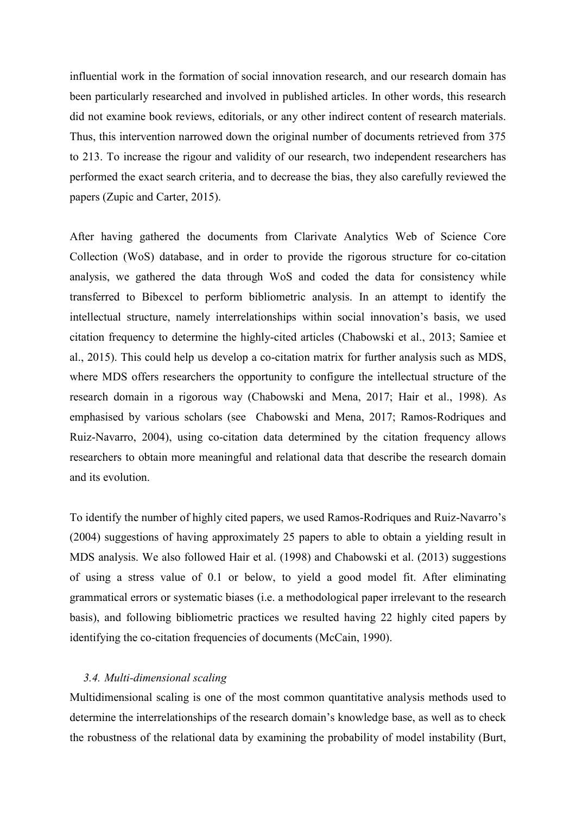influential work in the formation of social innovation research, and our research domain has been particularly researched and involved in published articles. In other words, this research did not examine book reviews, editorials, or any other indirect content of research materials. Thus, this intervention narrowed down the original number of documents retrieved from 375 to 213. To increase the rigour and validity of our research, two independent researchers has performed the exact search criteria, and to decrease the bias, they also carefully reviewed the papers (Zupic and Carter, 2015).

After having gathered the documents from Clarivate Analytics Web of Science Core Collection (WoS) database, and in order to provide the rigorous structure for co-citation analysis, we gathered the data through WoS and coded the data for consistency while transferred to Bibexcel to perform bibliometric analysis. In an attempt to identify the intellectual structure, namely interrelationships within social innovation's basis, we used citation frequency to determine the highly-cited articles (Chabowski et al., 2013; Samiee et al., 2015). This could help us develop a co-citation matrix for further analysis such as MDS, where MDS offers researchers the opportunity to configure the intellectual structure of the research domain in a rigorous way (Chabowski and Mena, 2017; Hair et al., 1998). As emphasised by various scholars (see Chabowski and Mena, 2017; Ramos-Rodriques and Ruiz-Navarro, 2004), using co-citation data determined by the citation frequency allows researchers to obtain more meaningful and relational data that describe the research domain and its evolution.

To identify the number of highly cited papers, we used Ramos-Rodriques and Ruiz-Navarro's (2004) suggestions of having approximately 25 papers to able to obtain a yielding result in MDS analysis. We also followed Hair et al. (1998) and Chabowski et al. (2013) suggestions of using a stress value of 0.1 or below, to yield a good model fit. After eliminating grammatical errors or systematic biases (i.e. a methodological paper irrelevant to the research basis), and following bibliometric practices we resulted having 22 highly cited papers by identifying the co-citation frequencies of documents (McCain, 1990).

#### *3.4. Multi-dimensional scaling*

Multidimensional scaling is one of the most common quantitative analysis methods used to determine the interrelationships of the research domain's knowledge base, as well as to check the robustness of the relational data by examining the probability of model instability (Burt,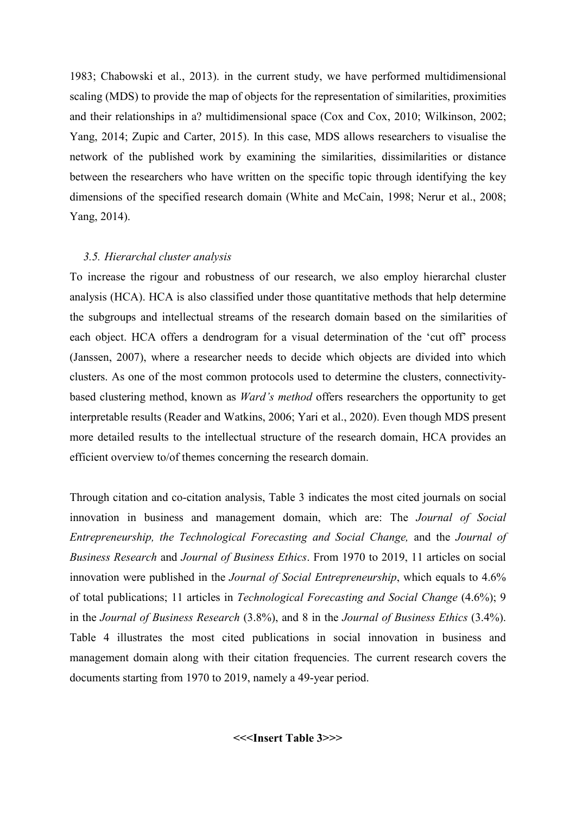1983; Chabowski et al., 2013). in the current study, we have performed multidimensional scaling (MDS) to provide the map of objects for the representation of similarities, proximities and their relationships in a? multidimensional space (Cox and Cox, 2010; Wilkinson, 2002; Yang, 2014; Zupic and Carter, 2015). In this case, MDS allows researchers to visualise the network of the published work by examining the similarities, dissimilarities or distance between the researchers who have written on the specific topic through identifying the key dimensions of the specified research domain (White and McCain, 1998; Nerur et al., 2008; Yang, 2014).

#### *3.5. Hierarchal cluster analysis*

To increase the rigour and robustness of our research, we also employ hierarchal cluster analysis (HCA). HCA is also classified under those quantitative methods that help determine the subgroups and intellectual streams of the research domain based on the similarities of each object. HCA offers a dendrogram for a visual determination of the 'cut off' process (Janssen, 2007), where a researcher needs to decide which objects are divided into which clusters. As one of the most common protocols used to determine the clusters, connectivitybased clustering method, known as *Ward's method* offers researchers the opportunity to get interpretable results (Reader and Watkins, 2006; Yari et al., 2020). Even though MDS present more detailed results to the intellectual structure of the research domain, HCA provides an efficient overview to/of themes concerning the research domain.

Through citation and co-citation analysis, Table 3 indicates the most cited journals on social innovation in business and management domain, which are: The *Journal of Social Entrepreneurship, the Technological Forecasting and Social Change,* and the *Journal of Business Research* and *Journal of Business Ethics*. From 1970 to 2019, 11 articles on social innovation were published in the *Journal of Social Entrepreneurship*, which equals to 4.6% of total publications; 11 articles in *Technological Forecasting and Social Change* (4.6%); 9 in the *Journal of Business Research* (3.8%), and 8 in the *Journal of Business Ethics* (3.4%). Table 4 illustrates the most cited publications in social innovation in business and management domain along with their citation frequencies. The current research covers the documents starting from 1970 to 2019, namely a 49-year period.

**<<<Insert Table 3>>>**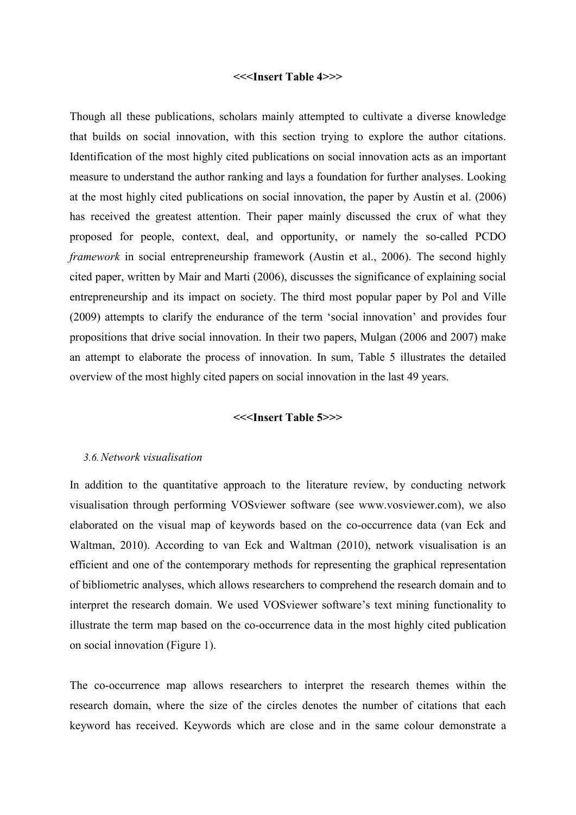#### **<<<Insert Table 4>>>**

Though all these publications, scholars mainly attempted to cultivate a diverse knowledge that builds on social innovation, with this section trying to explore the author citations. Identification of the most highly cited publications on social innovation acts as an important measure to understand the author ranking and lays a foundation for further analyses. Looking at the most highly cited publications on social innovation, the paper by Austin et al. (2006) has received the greatest attention. Their paper mainly discussed the crux of what they proposed for people, context, deal, and opportunity, or namely the so-called PCDO *framework* in social entrepreneurship framework (Austin et al., 2006). The second highly cited paper, written by Mair and Marti (2006), discusses the significance of explaining social entrepreneurship and its impact on society. The third most popular paper by Pol and Ville (2009) attempts to clarify the endurance of the term 'social innovation' and provides four propositions that drive social innovation. In their two papers, Mulgan (2006 and 2007) make an attempt to elaborate the process of innovation. In sum, Table 5 illustrates the detailed overview of the most highly cited papers on social innovation in the last 49 years.

#### **<<<Insert Table 5>>>**

#### *3.6.Network visualisation*

In addition to the quantitative approach to the literature review, by conducting network visualisation through performing VOSviewer software (see www.vosviewer.com), we also elaborated on the visual map of keywords based on the co-occurrence data (van Eck and Waltman, 2010). According to van Eck and Waltman (2010), network visualisation is an efficient and one of the contemporary methods for representing the graphical representation of bibliometric analyses, which allows researchers to comprehend the research domain and to interpret the research domain. We used VOSviewer software's text mining functionality to illustrate the term map based on the co-occurrence data in the most highly cited publication on social innovation (Figure 1).

The co-occurrence map allows researchers to interpret the research themes within the research domain, where the size of the circles denotes the number of citations that each keyword has received. Keywords which are close and in the same colour demonstrate a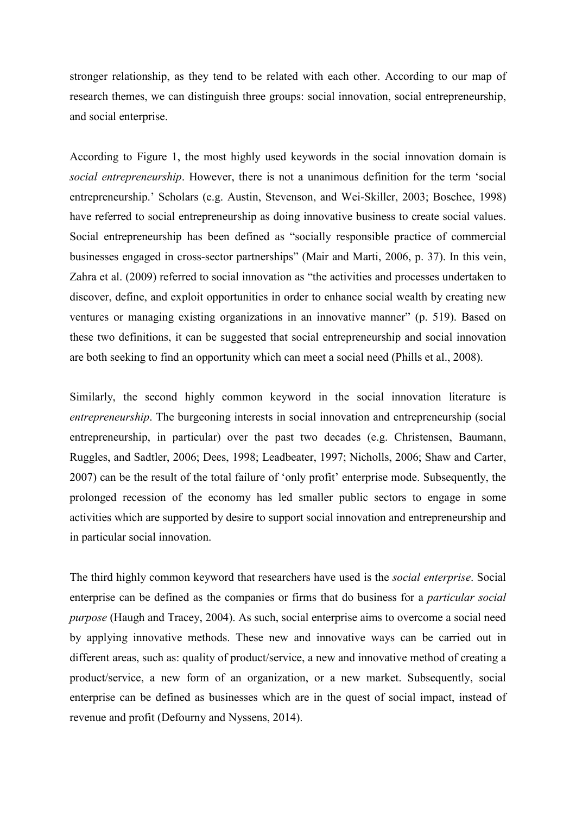stronger relationship, as they tend to be related with each other. According to our map of research themes, we can distinguish three groups: social innovation, social entrepreneurship, and social enterprise.

According to Figure 1, the most highly used keywords in the social innovation domain is *social entrepreneurship*. However, there is not a unanimous definition for the term 'social entrepreneurship.' Scholars (e.g. Austin, Stevenson, and Wei-Skiller, 2003; Boschee, 1998) have referred to social entrepreneurship as doing innovative business to create social values. Social entrepreneurship has been defined as "socially responsible practice of commercial businesses engaged in cross-sector partnerships" (Mair and Marti, 2006, p. 37). In this vein, Zahra et al. (2009) referred to social innovation as "the activities and processes undertaken to discover, define, and exploit opportunities in order to enhance social wealth by creating new ventures or managing existing organizations in an innovative manner" (p. 519). Based on these two definitions, it can be suggested that social entrepreneurship and social innovation are both seeking to find an opportunity which can meet a social need (Phills et al., 2008).

Similarly, the second highly common keyword in the social innovation literature is *entrepreneurship*. The burgeoning interests in social innovation and entrepreneurship (social entrepreneurship, in particular) over the past two decades (e.g. Christensen, Baumann, Ruggles, and Sadtler, 2006; Dees, 1998; Leadbeater, 1997; Nicholls, 2006; Shaw and Carter, 2007) can be the result of the total failure of 'only profit' enterprise mode. Subsequently, the prolonged recession of the economy has led smaller public sectors to engage in some activities which are supported by desire to support social innovation and entrepreneurship and in particular social innovation.

The third highly common keyword that researchers have used is the *social enterprise*. Social enterprise can be defined as the companies or firms that do business for a *particular social purpose* (Haugh and Tracey, 2004). As such, social enterprise aims to overcome a social need by applying innovative methods. These new and innovative ways can be carried out in different areas, such as: quality of product/service, a new and innovative method of creating a product/service, a new form of an organization, or a new market. Subsequently, social enterprise can be defined as businesses which are in the quest of social impact, instead of revenue and profit (Defourny and Nyssens, 2014).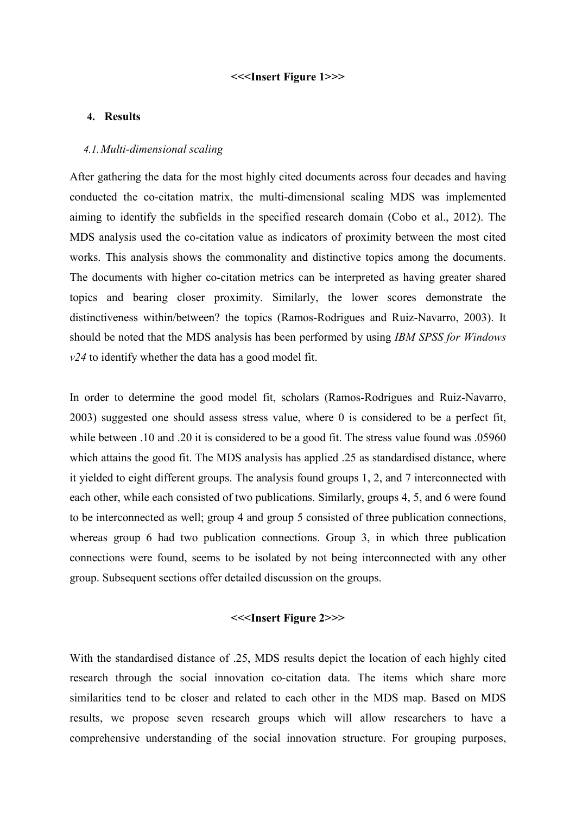#### **<<<Insert Figure 1>>>**

## **4. Results**

#### *4.1.Multi-dimensional scaling*

After gathering the data for the most highly cited documents across four decades and having conducted the co-citation matrix, the multi-dimensional scaling MDS was implemented aiming to identify the subfields in the specified research domain (Cobo et al., 2012). The MDS analysis used the co-citation value as indicators of proximity between the most cited works. This analysis shows the commonality and distinctive topics among the documents. The documents with higher co-citation metrics can be interpreted as having greater shared topics and bearing closer proximity. Similarly, the lower scores demonstrate the distinctiveness within/between? the topics (Ramos-Rodrigues and Ruiz-Navarro, 2003). It should be noted that the MDS analysis has been performed by using *IBM SPSS for Windows v24* to identify whether the data has a good model fit.

In order to determine the good model fit, scholars (Ramos-Rodrigues and Ruiz-Navarro, 2003) suggested one should assess stress value, where 0 is considered to be a perfect fit, while between .10 and .20 it is considered to be a good fit. The stress value found was .05960 which attains the good fit. The MDS analysis has applied .25 as standardised distance, where it yielded to eight different groups. The analysis found groups 1, 2, and 7 interconnected with each other, while each consisted of two publications. Similarly, groups 4, 5, and 6 were found to be interconnected as well; group 4 and group 5 consisted of three publication connections, whereas group 6 had two publication connections. Group 3, in which three publication connections were found, seems to be isolated by not being interconnected with any other group. Subsequent sections offer detailed discussion on the groups.

#### **<<<Insert Figure 2>>>**

With the standardised distance of .25, MDS results depict the location of each highly cited research through the social innovation co-citation data. The items which share more similarities tend to be closer and related to each other in the MDS map. Based on MDS results, we propose seven research groups which will allow researchers to have a comprehensive understanding of the social innovation structure. For grouping purposes,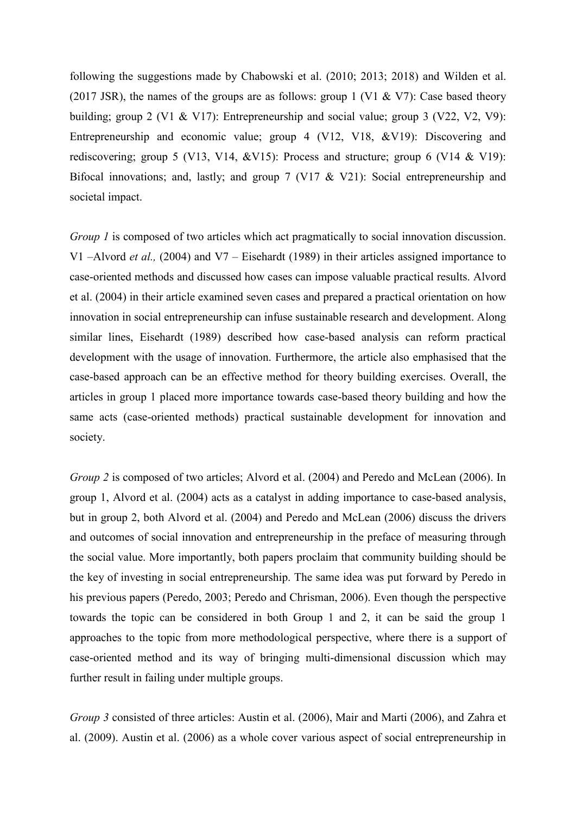following the suggestions made by Chabowski et al. (2010; 2013; 2018) and Wilden et al. (2017 JSR), the names of the groups are as follows: group 1 (V1 & V7): Case based theory building; group 2 (V1 & V17): Entrepreneurship and social value; group 3 (V22, V2, V9): Entrepreneurship and economic value; group 4 (V12, V18, &V19): Discovering and rediscovering; group 5 (V13, V14, &V15): Process and structure; group 6 (V14 & V19): Bifocal innovations; and, lastly; and group 7 (V17 & V21): Social entrepreneurship and societal impact.

*Group 1* is composed of two articles which act pragmatically to social innovation discussion. V1 –Alvord *et al.,* (2004) and V7 – Eisehardt (1989) in their articles assigned importance to case-oriented methods and discussed how cases can impose valuable practical results. Alvord et al. (2004) in their article examined seven cases and prepared a practical orientation on how innovation in social entrepreneurship can infuse sustainable research and development. Along similar lines, Eisehardt (1989) described how case-based analysis can reform practical development with the usage of innovation. Furthermore, the article also emphasised that the case-based approach can be an effective method for theory building exercises. Overall, the articles in group 1 placed more importance towards case-based theory building and how the same acts (case-oriented methods) practical sustainable development for innovation and society.

*Group 2* is composed of two articles; Alvord et al. (2004) and Peredo and McLean (2006). In group 1, Alvord et al. (2004) acts as a catalyst in adding importance to case-based analysis, but in group 2, both Alvord et al. (2004) and Peredo and McLean (2006) discuss the drivers and outcomes of social innovation and entrepreneurship in the preface of measuring through the social value. More importantly, both papers proclaim that community building should be the key of investing in social entrepreneurship. The same idea was put forward by Peredo in his previous papers (Peredo, 2003; Peredo and Chrisman, 2006). Even though the perspective towards the topic can be considered in both Group 1 and 2, it can be said the group 1 approaches to the topic from more methodological perspective, where there is a support of case-oriented method and its way of bringing multi-dimensional discussion which may further result in failing under multiple groups.

*Group 3* consisted of three articles: Austin et al. (2006), Mair and Marti (2006), and Zahra et al. (2009). Austin et al. (2006) as a whole cover various aspect of social entrepreneurship in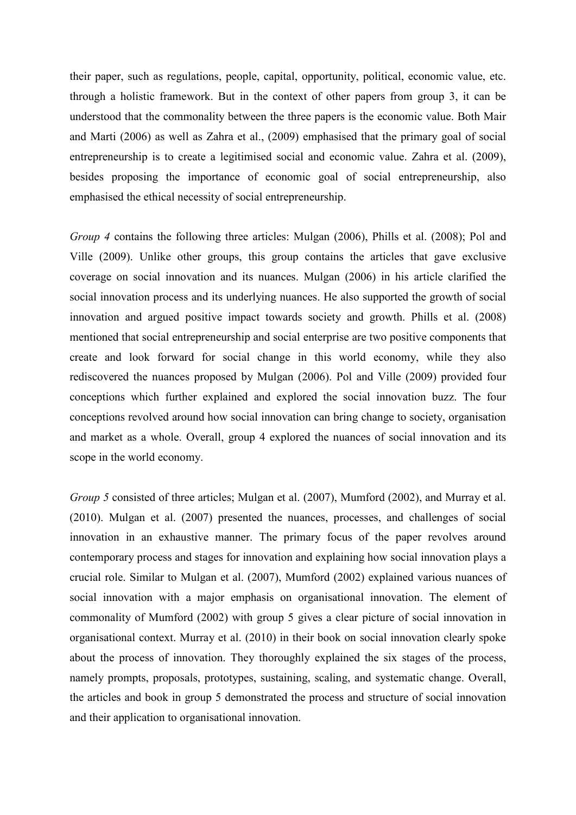their paper, such as regulations, people, capital, opportunity, political, economic value, etc. through a holistic framework. But in the context of other papers from group 3, it can be understood that the commonality between the three papers is the economic value. Both Mair and Marti (2006) as well as Zahra et al., (2009) emphasised that the primary goal of social entrepreneurship is to create a legitimised social and economic value. Zahra et al. (2009), besides proposing the importance of economic goal of social entrepreneurship, also emphasised the ethical necessity of social entrepreneurship.

*Group 4* contains the following three articles: Mulgan (2006), Phills et al. (2008); Pol and Ville (2009). Unlike other groups, this group contains the articles that gave exclusive coverage on social innovation and its nuances. Mulgan (2006) in his article clarified the social innovation process and its underlying nuances. He also supported the growth of social innovation and argued positive impact towards society and growth. Phills et al. (2008) mentioned that social entrepreneurship and social enterprise are two positive components that create and look forward for social change in this world economy, while they also rediscovered the nuances proposed by Mulgan (2006). Pol and Ville (2009) provided four conceptions which further explained and explored the social innovation buzz. The four conceptions revolved around how social innovation can bring change to society, organisation and market as a whole. Overall, group 4 explored the nuances of social innovation and its scope in the world economy.

*Group 5* consisted of three articles; Mulgan et al. (2007), Mumford (2002), and Murray et al. (2010). Mulgan et al. (2007) presented the nuances, processes, and challenges of social innovation in an exhaustive manner. The primary focus of the paper revolves around contemporary process and stages for innovation and explaining how social innovation plays a crucial role. Similar to Mulgan et al. (2007), Mumford (2002) explained various nuances of social innovation with a major emphasis on organisational innovation. The element of commonality of Mumford (2002) with group 5 gives a clear picture of social innovation in organisational context. Murray et al. (2010) in their book on social innovation clearly spoke about the process of innovation. They thoroughly explained the six stages of the process, namely prompts, proposals, prototypes, sustaining, scaling, and systematic change. Overall, the articles and book in group 5 demonstrated the process and structure of social innovation and their application to organisational innovation.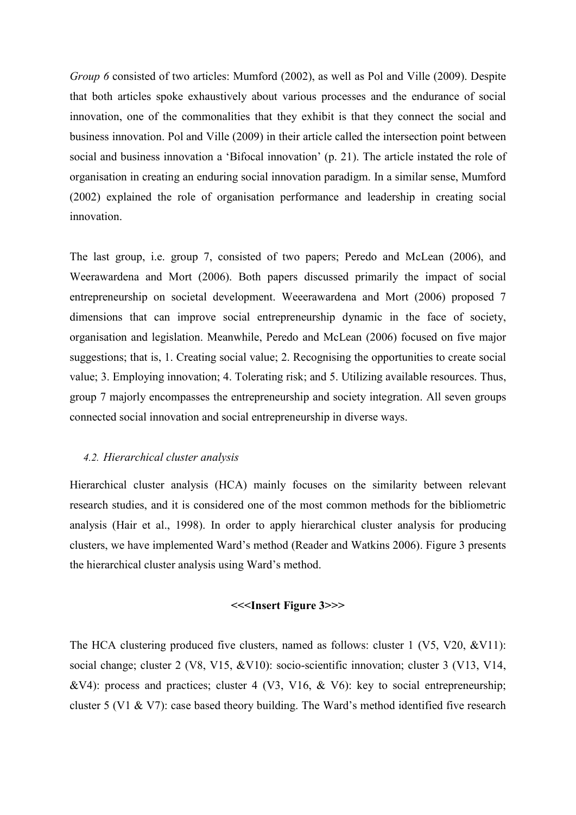*Group 6* consisted of two articles: Mumford (2002), as well as Pol and Ville (2009). Despite that both articles spoke exhaustively about various processes and the endurance of social innovation, one of the commonalities that they exhibit is that they connect the social and business innovation. Pol and Ville (2009) in their article called the intersection point between social and business innovation a 'Bifocal innovation' (p. 21). The article instated the role of organisation in creating an enduring social innovation paradigm. In a similar sense, Mumford (2002) explained the role of organisation performance and leadership in creating social innovation.

The last group, i.e. group 7, consisted of two papers; Peredo and McLean (2006), and Weerawardena and Mort (2006). Both papers discussed primarily the impact of social entrepreneurship on societal development. Weeerawardena and Mort (2006) proposed 7 dimensions that can improve social entrepreneurship dynamic in the face of society, organisation and legislation. Meanwhile, Peredo and McLean (2006) focused on five major suggestions; that is, 1. Creating social value; 2. Recognising the opportunities to create social value; 3. Employing innovation; 4. Tolerating risk; and 5. Utilizing available resources. Thus, group 7 majorly encompasses the entrepreneurship and society integration. All seven groups connected social innovation and social entrepreneurship in diverse ways.

## *4.2. Hierarchical cluster analysis*

Hierarchical cluster analysis (HCA) mainly focuses on the similarity between relevant research studies, and it is considered one of the most common methods for the bibliometric analysis (Hair et al., 1998). In order to apply hierarchical cluster analysis for producing clusters, we have implemented Ward's method (Reader and Watkins 2006). Figure 3 presents the hierarchical cluster analysis using Ward's method.

## **<<<Insert Figure 3>>>**

The HCA clustering produced five clusters, named as follows: cluster 1 (V5, V20, &V11): social change; cluster 2 (V8, V15, &V10): socio-scientific innovation; cluster 3 (V13, V14, &V4): process and practices; cluster 4 (V3, V16, & V6): key to social entrepreneurship; cluster 5 (V1 & V7): case based theory building. The Ward's method identified five research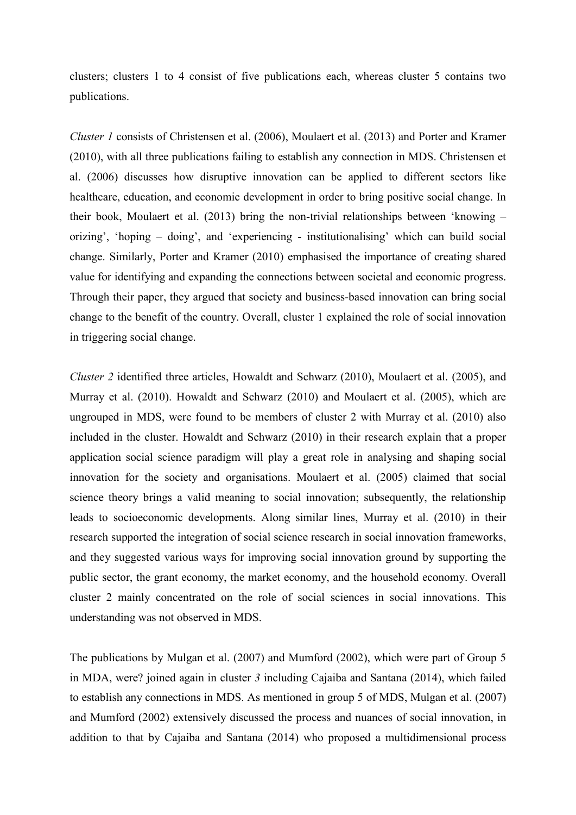clusters; clusters 1 to 4 consist of five publications each, whereas cluster 5 contains two publications.

*Cluster 1* consists of Christensen et al. (2006), Moulaert et al. (2013) and Porter and Kramer (2010), with all three publications failing to establish any connection in MDS. Christensen et al. (2006) discusses how disruptive innovation can be applied to different sectors like healthcare, education, and economic development in order to bring positive social change. In their book, Moulaert et al. (2013) bring the non-trivial relationships between 'knowing – orizing', 'hoping – doing', and 'experiencing - institutionalising' which can build social change. Similarly, Porter and Kramer (2010) emphasised the importance of creating shared value for identifying and expanding the connections between societal and economic progress. Through their paper, they argued that society and business-based innovation can bring social change to the benefit of the country. Overall, cluster 1 explained the role of social innovation in triggering social change.

*Cluster 2* identified three articles, Howaldt and Schwarz (2010), Moulaert et al. (2005), and Murray et al. (2010). Howaldt and Schwarz (2010) and Moulaert et al. (2005), which are ungrouped in MDS, were found to be members of cluster 2 with Murray et al. (2010) also included in the cluster. Howaldt and Schwarz (2010) in their research explain that a proper application social science paradigm will play a great role in analysing and shaping social innovation for the society and organisations. Moulaert et al. (2005) claimed that social science theory brings a valid meaning to social innovation; subsequently, the relationship leads to socioeconomic developments. Along similar lines, Murray et al. (2010) in their research supported the integration of social science research in social innovation frameworks, and they suggested various ways for improving social innovation ground by supporting the public sector, the grant economy, the market economy, and the household economy. Overall cluster 2 mainly concentrated on the role of social sciences in social innovations. This understanding was not observed in MDS.

The publications by Mulgan et al. (2007) and Mumford (2002), which were part of Group 5 in MDA, were? joined again in cluster *3* including Cajaiba and Santana (2014), which failed to establish any connections in MDS. As mentioned in group 5 of MDS, Mulgan et al. (2007) and Mumford (2002) extensively discussed the process and nuances of social innovation, in addition to that by Cajaiba and Santana (2014) who proposed a multidimensional process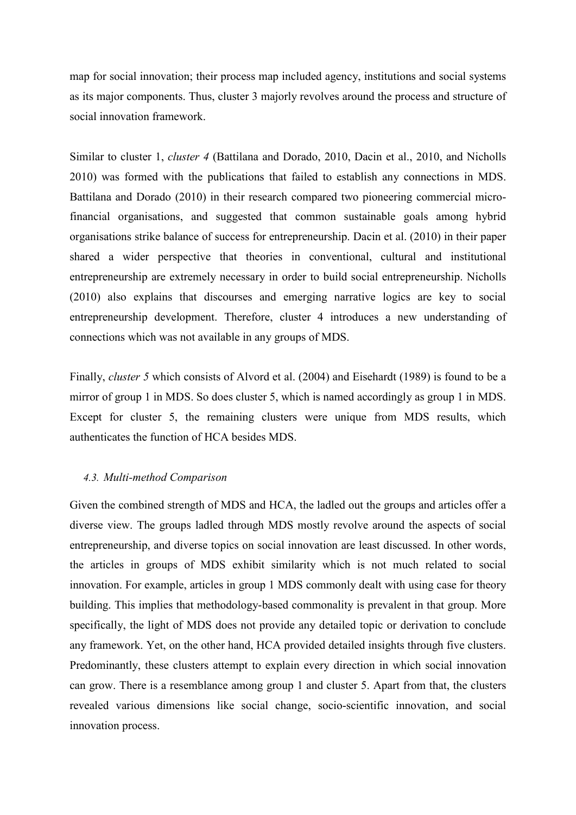map for social innovation; their process map included agency, institutions and social systems as its major components. Thus, cluster 3 majorly revolves around the process and structure of social innovation framework.

Similar to cluster 1, *cluster 4* (Battilana and Dorado, 2010, Dacin et al., 2010, and Nicholls 2010) was formed with the publications that failed to establish any connections in MDS. Battilana and Dorado (2010) in their research compared two pioneering commercial microfinancial organisations, and suggested that common sustainable goals among hybrid organisations strike balance of success for entrepreneurship. Dacin et al. (2010) in their paper shared a wider perspective that theories in conventional, cultural and institutional entrepreneurship are extremely necessary in order to build social entrepreneurship. Nicholls (2010) also explains that discourses and emerging narrative logics are key to social entrepreneurship development. Therefore, cluster 4 introduces a new understanding of connections which was not available in any groups of MDS.

Finally, *cluster 5* which consists of Alvord et al. (2004) and Eisehardt (1989) is found to be a mirror of group 1 in MDS. So does cluster 5, which is named accordingly as group 1 in MDS. Except for cluster 5, the remaining clusters were unique from MDS results, which authenticates the function of HCA besides MDS.

#### *4.3. Multi-method Comparison*

Given the combined strength of MDS and HCA, the ladled out the groups and articles offer a diverse view. The groups ladled through MDS mostly revolve around the aspects of social entrepreneurship, and diverse topics on social innovation are least discussed. In other words, the articles in groups of MDS exhibit similarity which is not much related to social innovation. For example, articles in group 1 MDS commonly dealt with using case for theory building. This implies that methodology-based commonality is prevalent in that group. More specifically, the light of MDS does not provide any detailed topic or derivation to conclude any framework. Yet, on the other hand, HCA provided detailed insights through five clusters. Predominantly, these clusters attempt to explain every direction in which social innovation can grow. There is a resemblance among group 1 and cluster 5. Apart from that, the clusters revealed various dimensions like social change, socio-scientific innovation, and social innovation process.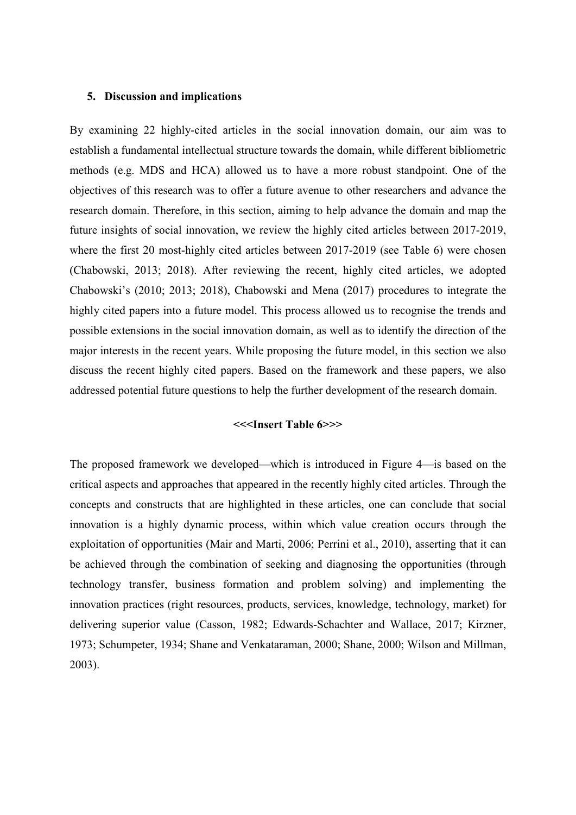#### **5. Discussion and implications**

By examining 22 highly-cited articles in the social innovation domain, our aim was to establish a fundamental intellectual structure towards the domain, while different bibliometric methods (e.g. MDS and HCA) allowed us to have a more robust standpoint. One of the objectives of this research was to offer a future avenue to other researchers and advance the research domain. Therefore, in this section, aiming to help advance the domain and map the future insights of social innovation, we review the highly cited articles between 2017-2019, where the first 20 most-highly cited articles between 2017-2019 (see Table 6) were chosen (Chabowski, 2013; 2018). After reviewing the recent, highly cited articles, we adopted Chabowski's (2010; 2013; 2018), Chabowski and Mena (2017) procedures to integrate the highly cited papers into a future model. This process allowed us to recognise the trends and possible extensions in the social innovation domain, as well as to identify the direction of the major interests in the recent years. While proposing the future model, in this section we also discuss the recent highly cited papers. Based on the framework and these papers, we also addressed potential future questions to help the further development of the research domain.

## **<<<Insert Table 6>>>**

The proposed framework we developed—which is introduced in Figure 4—is based on the critical aspects and approaches that appeared in the recently highly cited articles. Through the concepts and constructs that are highlighted in these articles, one can conclude that social innovation is a highly dynamic process, within which value creation occurs through the exploitation of opportunities (Mair and Marti, 2006; Perrini et al., 2010), asserting that it can be achieved through the combination of seeking and diagnosing the opportunities (through technology transfer, business formation and problem solving) and implementing the innovation practices (right resources, products, services, knowledge, technology, market) for delivering superior value (Casson, 1982; Edwards-Schachter and Wallace, 2017; Kirzner, 1973; Schumpeter, 1934; Shane and Venkataraman, 2000; Shane, 2000; Wilson and Millman, 2003).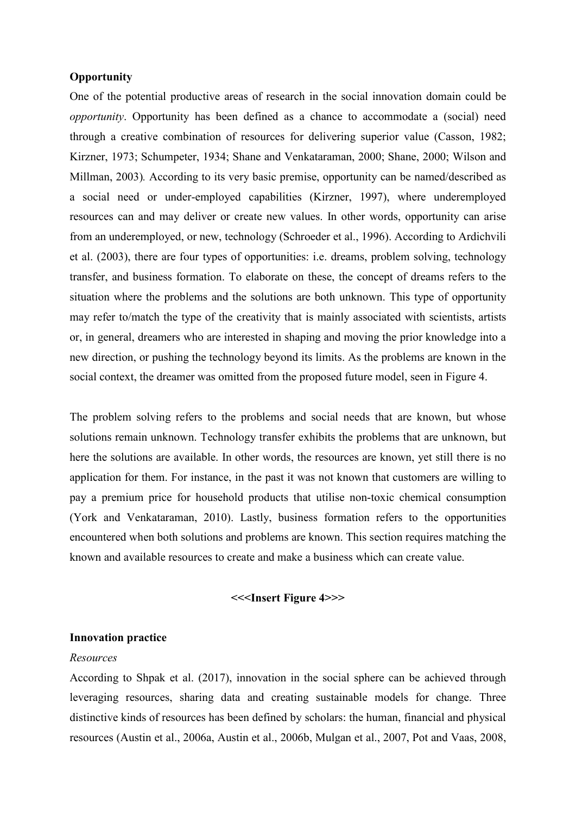## **Opportunity**

One of the potential productive areas of research in the social innovation domain could be *opportunity*. Opportunity has been defined as a chance to accommodate a (social) need through a creative combination of resources for delivering superior value (Casson, 1982; Kirzner, 1973; Schumpeter, 1934; Shane and Venkataraman, 2000; Shane, 2000; Wilson and Millman, 2003)*.* According to its very basic premise, opportunity can be named/described as a social need or under-employed capabilities (Kirzner, 1997), where underemployed resources can and may deliver or create new values. In other words, opportunity can arise from an underemployed, or new, technology (Schroeder et al., 1996). According to Ardichvili et al. (2003), there are four types of opportunities: i.e. dreams, problem solving, technology transfer, and business formation. To elaborate on these, the concept of dreams refers to the situation where the problems and the solutions are both unknown. This type of opportunity may refer to/match the type of the creativity that is mainly associated with scientists, artists or, in general, dreamers who are interested in shaping and moving the prior knowledge into a new direction, or pushing the technology beyond its limits. As the problems are known in the social context, the dreamer was omitted from the proposed future model, seen in Figure 4.

The problem solving refers to the problems and social needs that are known, but whose solutions remain unknown. Technology transfer exhibits the problems that are unknown, but here the solutions are available. In other words, the resources are known, yet still there is no application for them. For instance, in the past it was not known that customers are willing to pay a premium price for household products that utilise non-toxic chemical consumption (York and Venkataraman, 2010). Lastly, business formation refers to the opportunities encountered when both solutions and problems are known. This section requires matching the known and available resources to create and make a business which can create value.

## **<<<Insert Figure 4>>>**

## **Innovation practice**

#### *Resources*

According to Shpak et al. (2017), innovation in the social sphere can be achieved through leveraging resources, sharing data and creating sustainable models for change. Three distinctive kinds of resources has been defined by scholars: the human, financial and physical resources (Austin et al., 2006a, Austin et al., 2006b, [Mulgan et al., 2007,](https://www.sciencedirect.com/science/article/pii/S0963868715300263#b0210) [Pot and Vaas, 2008,](https://www.sciencedirect.com/science/article/pii/S0963868715300263#b0265)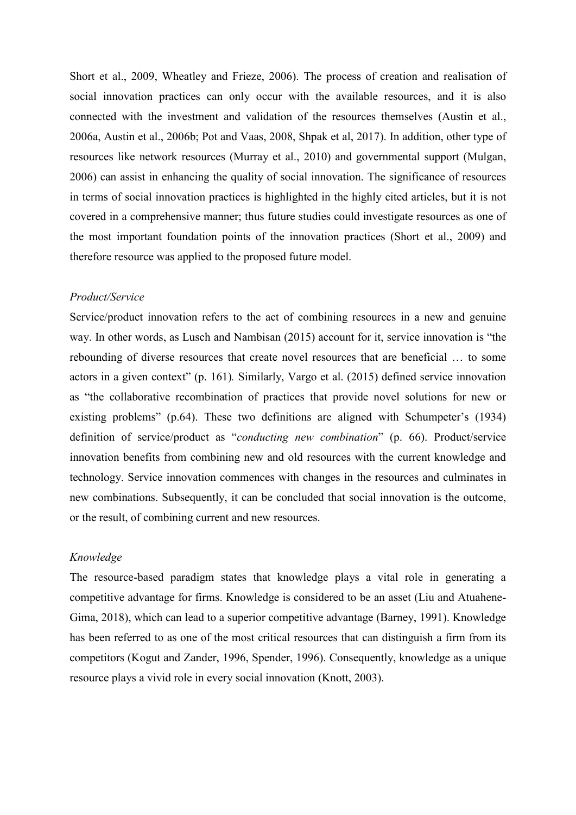Short et al., 2009, [Wheatley and Frieze, 2006\)](https://www.sciencedirect.com/science/article/pii/S0963868715300263#b0335). The process of creation and realisation of social innovation practices can only occur with the available resources, and it is also connected with the investment and validation of the resources themselves (Austin et al., 2006a, Austin et al., 2006b; Pot and Vaas, 2008, Shpak et al, 2017). In addition, other type of resources like network resources [\(Murray et al., 2010\)](https://www.sciencedirect.com/science/article/pii/S0963868715300263#b0220) and governmental support [\(Mulgan,](https://www.sciencedirect.com/science/article/pii/S0963868715300263#b0205)  [2006\)](https://www.sciencedirect.com/science/article/pii/S0963868715300263#b0205) can assist in enhancing the quality of social innovation. The significance of resources in terms of social innovation practices is highlighted in the highly cited articles, but it is not covered in a comprehensive manner; thus future studies could investigate resources as one of the most important foundation points of the innovation practices (Short et al., 2009) and therefore resource was applied to the proposed future model.

#### *Product/Service*

Service/product innovation refers to the act of combining resources in a new and genuine way. In other words, as Lusch and [Nambisan \(2015\)](https://www.sciencedirect.com/science/article/pii/S0148296317301091#bb0230) account for it, service innovation is "the rebounding of diverse resources that create novel resources that are beneficial … to some actors in a given context" (p. 161)*.* Similarly, Vargo et al. (2015) defined service innovation as "the collaborative recombination of practices that provide novel solutions for new or existing problems" (p.64). These two definitions are aligned with Schumpeter's (1934) definition of service/product as "*conducting new combination*" (p. 66). Product/service innovation benefits from combining new and old resources with the current knowledge and technology. Service innovation commences with changes in the resources and culminates in new combinations. Subsequently, it can be concluded that social innovation is the outcome, or the result, of combining current and new resources.

#### *Knowledge*

The resource-based paradigm states that knowledge plays a vital role in generating a competitive advantage for firms. Knowledge is considered to be an asset (Liu and Atuahene-Gima, 2018), which can lead to a superior competitive advantage (Barney, 1991). Knowledge has been referred to as one of the most critical resources that can distinguish a firm from its competitors [\(Kogut and Zander, 1996,](https://www.sciencedirect.com/science/article/pii/S0883902605000509#bib33) [Spender, 1996\)](https://www.sciencedirect.com/science/article/pii/S0883902605000509#bib54). Consequently, knowledge as a unique resource plays a vivid role in every social innovation [\(Knott, 2003\)](https://www.sciencedirect.com/science/article/pii/S0883902605000509#bib31).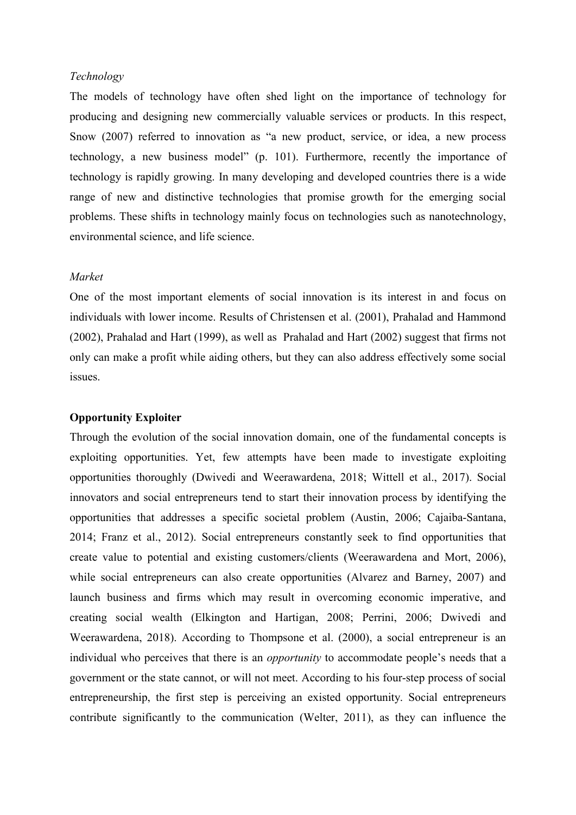## *Technology*

The models of technology have often shed light on the importance of technology for producing and designing new commercially valuable services or products. In this respect, Snow (2007) referred to innovation as "a new product, service, or idea, a new process technology, a new business model" (p. 101). Furthermore, recently the importance of technology is rapidly growing. In many developing and developed countries there is a wide range of new and distinctive technologies that promise growth for the emerging social problems. These shifts in technology mainly focus on technologies such as nanotechnology, environmental science, and life science.

#### *Market*

One of the most important elements of social innovation is its interest in and focus on individuals with lower income. Results of Christensen et al. (2001), [Prahalad and Hammond](https://www.sciencedirect.com/science/article/pii/S0883902609000810#bib90)  [\(2002\)](https://www.sciencedirect.com/science/article/pii/S0883902609000810#bib90), Prahalad and Hart (1999), as well as [Prahalad and Hart \(2002\)](https://www.sciencedirect.com/science/article/pii/S0883902609000810#bib91) suggest that firms not only can make a profit while aiding others, but they can also address effectively some social issues.

#### **Opportunity Exploiter**

Through the evolution of the social innovation domain, one of the fundamental concepts is exploiting opportunities. Yet, few attempts have been made to investigate exploiting opportunities thoroughly (Dwivedi and Weerawardena, 2018; Wittell et al., 2017). Social innovators and social entrepreneurs tend to start their innovation process by identifying the opportunities that addresses a specific societal problem (Austin, 2006; Cajaiba-Santana, 2014; Franz et al., 2012). Social entrepreneurs constantly seek to find opportunities that create value to potential and existing customers/clients (Weerawardena and Mort, 2006), while social entrepreneurs can also create opportunities (Alvarez and Barney, 2007) and launch business and firms which may result in overcoming economic imperative, and creating social wealth (Elkington and Hartigan, 2008; Perrini, 2006; Dwivedi and Weerawardena, 2018). According to Thompsone et al. (2000), a social entrepreneur is an individual who perceives that there is an *opportunity* to accommodate people's needs that a government or the state cannot, or will not meet. According to his four-step process of social entrepreneurship, the first step is perceiving an existed opportunity. Social entrepreneurs contribute significantly to the communication (Welter, 2011), as they can influence the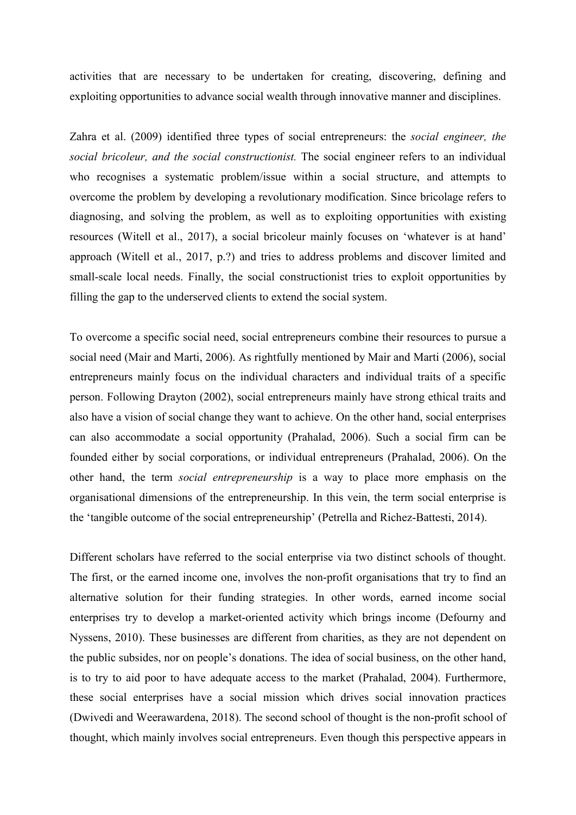activities that are necessary to be undertaken for creating, discovering, defining and exploiting opportunities to advance social wealth through innovative manner and disciplines.

Zahra et al. (2009) identified three types of social entrepreneurs: the *social engineer, the social bricoleur, and the social constructionist.* The social engineer refers to an individual who recognises a systematic problem/issue within a social structure, and attempts to overcome the problem by developing a revolutionary modification. Since bricolage refers to diagnosing, and solving the problem, as well as to exploiting opportunities with existing resources (Witell et al., 2017), a social bricoleur mainly focuses on 'whatever is at hand' approach (Witell et al., 2017, p.?) and tries to address problems and discover limited and small-scale local needs. Finally, the social constructionist tries to exploit opportunities by filling the gap to the underserved clients to extend the social system.

To overcome a specific social need, social entrepreneurs combine their resources to pursue a social need (Mair and Marti, 2006). As rightfully mentioned by Mair and Marti (2006), social entrepreneurs mainly focus on the individual characters and individual traits of a specific person. Following Drayton (2002), social entrepreneurs mainly have strong ethical traits and also have a vision of social change they want to achieve. On the other hand, social enterprises can also accommodate a social opportunity (Prahalad, 2006). Such a social firm can be founded either by social corporations, or individual entrepreneurs (Prahalad, 2006). On the other hand, the term *social entrepreneurship* is a way to place more emphasis on the organisational dimensions of the entrepreneurship. In this vein, the term social enterprise is the 'tangible outcome of the social entrepreneurship' (Petrella and Richez-Battesti, 2014).

Different scholars have referred to the social enterprise via two distinct schools of thought. The first, or the earned income one, involves the non-profit organisations that try to find an alternative solution for their funding strategies. In other words, earned income social enterprises try to develop a market-oriented activity which brings income (Defourny and Nyssens, 2010). These businesses are different from charities, as they are not dependent on the public subsides, nor on people's donations. The idea of social business, on the other hand, is to try to aid poor to have adequate access to the market (Prahalad, 2004). Furthermore, these social enterprises have a social mission which drives social innovation practices (Dwivedi and Weerawardena, 2018). The second school of thought is the non-profit school of thought, which mainly involves social entrepreneurs. Even though this perspective appears in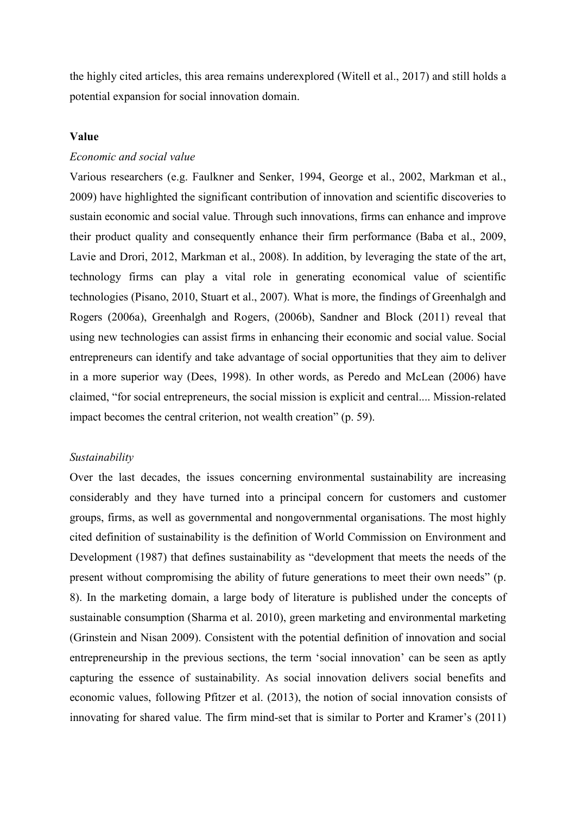the highly cited articles, this area remains underexplored (Witell et al., 2017) and still holds a potential expansion for social innovation domain.

## **Value**

## *Economic and social value*

Various researchers (e.g. Faulkner and Senker, 1994, George et al., 2002, Markman et al., 2009) have highlighted the significant contribution of innovation and scientific discoveries to sustain economic and social value. Through such innovations, firms can enhance and improve their product quality and consequently enhance their firm performance (Baba et al., 2009, Lavie and Drori, 2012, Markman et al., 2008). In addition, by leveraging the state of the art, technology firms can play a vital role in generating economical value of scientific technologies (Pisano, 2010, [Stuart et al., 2007\)](https://www.sciencedirect.com/science/article/pii/S0883902613001079#bb0450). What is more, the findings of Greenhalgh and Rogers (2006a), Greenhalgh and Rogers, (2006b), Sandner and Block (2011) reveal that using new technologies can assist firms in enhancing their economic and social value. Social entrepreneurs can identify and take advantage of social opportunities that they aim to deliver in a more superior way (Dees, 1998). In other words, as Peredo and McLean (2006) have claimed, "for social entrepreneurs, the social mission is explicit and central.... Mission-related impact becomes the central criterion, not wealth creation" (p. 59).

## *Sustainability*

Over the last decades, the issues concerning environmental sustainability are increasing considerably and they have turned into a principal concern for customers and customer groups, firms, as well as governmental and nongovernmental organisations. The most highly cited definition of sustainability is the definition of World Commission on Environment and Development (1987) that defines sustainability as "development that meets the needs of the present without compromising the ability of future generations to meet their own needs" (p. 8). In the marketing domain, a large body of literature is published under the concepts of sustainable consumption (Sharma et al. 2010), green marketing and environmental marketing (Grinstein and Nisan 2009). Consistent with the potential definition of innovation and social entrepreneurship in the previous sections, the term 'social innovation' can be seen as aptly capturing the essence of sustainability. As social innovation delivers social benefits and economic values, following Pfitzer et al. (2013), the notion of social innovation consists of innovating for shared value. The firm mind-set that is similar to Porter and Kramer's (2011)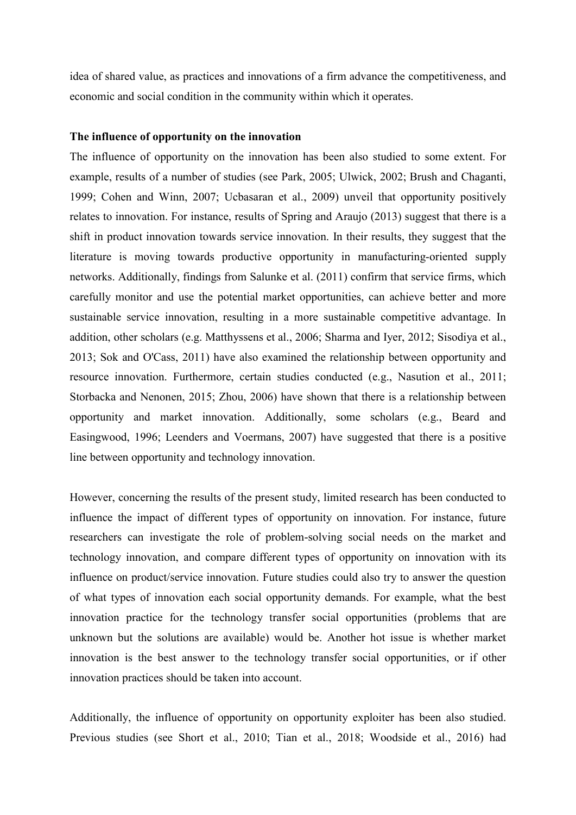idea of shared value, as practices and innovations of a firm advance the competitiveness, and economic and social condition in the community within which it operates.

#### **The influence of opportunity on the innovation**

The influence of opportunity on the innovation has been also studied to some extent. For example, results of a number of studies (see Park, 2005; Ulwick, 2002; Brush and Chaganti, 1999; Cohen and Winn, 2007; Ucbasaran et al., 2009) unveil that opportunity positively relates to innovation. For instance, results of Spring and Araujo (2013) suggest that there is a shift in product innovation towards service innovation. In their results, they suggest that the literature is moving towards productive opportunity in manufacturing-oriented supply networks. Additionally, findings from Salunke et al. (2011) confirm that service firms, which carefully monitor and use the potential market opportunities, can achieve better and more sustainable service innovation, resulting in a more sustainable competitive advantage. In addition, other scholars (e.g. Matthyssens et al., 2006; Sharma and Iyer, 2012; Sisodiya et al., 2013; Sok and O'Cass, 2011) have also examined the relationship between opportunity and resource innovation. Furthermore, certain studies conducted (e.g., Nasution et al., 2011; Storbacka and Nenonen, 2015; Zhou, 2006) have shown that there is a relationship between opportunity and market innovation. Additionally, some scholars (e.g., Beard and Easingwood, 1996; Leenders and Voermans, 2007) have suggested that there is a positive line between opportunity and technology innovation.

However, concerning the results of the present study, limited research has been conducted to influence the impact of different types of opportunity on innovation. For instance, future researchers can investigate the role of problem-solving social needs on the market and technology innovation, and compare different types of opportunity on innovation with its influence on product/service innovation. Future studies could also try to answer the question of what types of innovation each social opportunity demands. For example, what the best innovation practice for the technology transfer social opportunities (problems that are unknown but the solutions are available) would be. Another hot issue is whether market innovation is the best answer to the technology transfer social opportunities, or if other innovation practices should be taken into account.

Additionally, the influence of opportunity on opportunity exploiter has been also studied. Previous studies (see Short et al., 2010; Tian et al., 2018; Woodside et al., 2016) had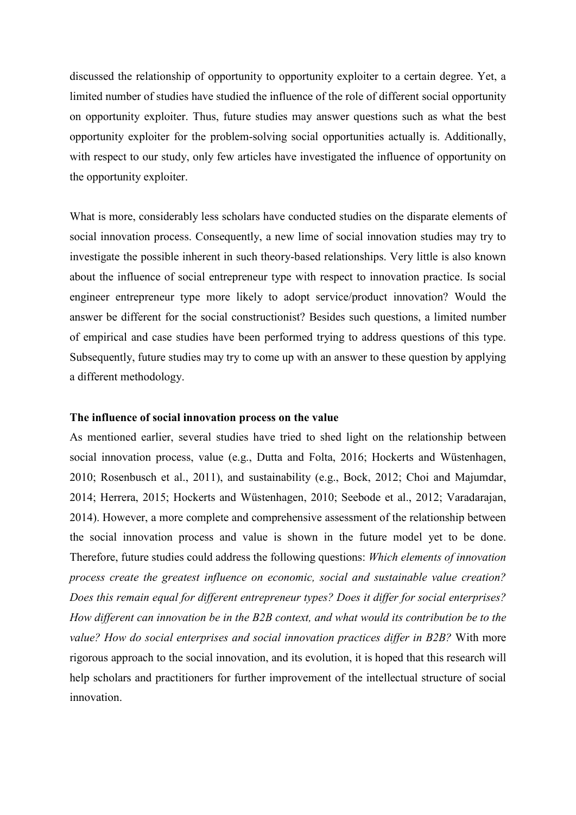discussed the relationship of opportunity to opportunity exploiter to a certain degree. Yet, a limited number of studies have studied the influence of the role of different social opportunity on opportunity exploiter. Thus, future studies may answer questions such as what the best opportunity exploiter for the problem-solving social opportunities actually is. Additionally, with respect to our study, only few articles have investigated the influence of opportunity on the opportunity exploiter.

What is more, considerably less scholars have conducted studies on the disparate elements of social innovation process. Consequently, a new lime of social innovation studies may try to investigate the possible inherent in such theory-based relationships. Very little is also known about the influence of social entrepreneur type with respect to innovation practice. Is social engineer entrepreneur type more likely to adopt service/product innovation? Would the answer be different for the social constructionist? Besides such questions, a limited number of empirical and case studies have been performed trying to address questions of this type. Subsequently, future studies may try to come up with an answer to these question by applying a different methodology.

#### **The influence of social innovation process on the value**

As mentioned earlier, several studies have tried to shed light on the relationship between social innovation process, value (e.g., Dutta and Folta, 2016; Hockerts and Wüstenhagen, 2010; Rosenbusch et al., 2011), and sustainability (e.g., Bock, 2012; Choi and Majumdar, 2014; Herrera, 2015; Hockerts and Wüstenhagen, 2010; Seebode et al., 2012; Varadarajan, 2014). However, a more complete and comprehensive assessment of the relationship between the social innovation process and value is shown in the future model yet to be done. Therefore, future studies could address the following questions: *Which elements of innovation process create the greatest influence on economic, social and sustainable value creation? Does this remain equal for different entrepreneur types? Does it differ for social enterprises? How different can innovation be in the B2B context, and what would its contribution be to the value? How do social enterprises and social innovation practices differ in B2B?* With more rigorous approach to the social innovation, and its evolution, it is hoped that this research will help scholars and practitioners for further improvement of the intellectual structure of social innovation.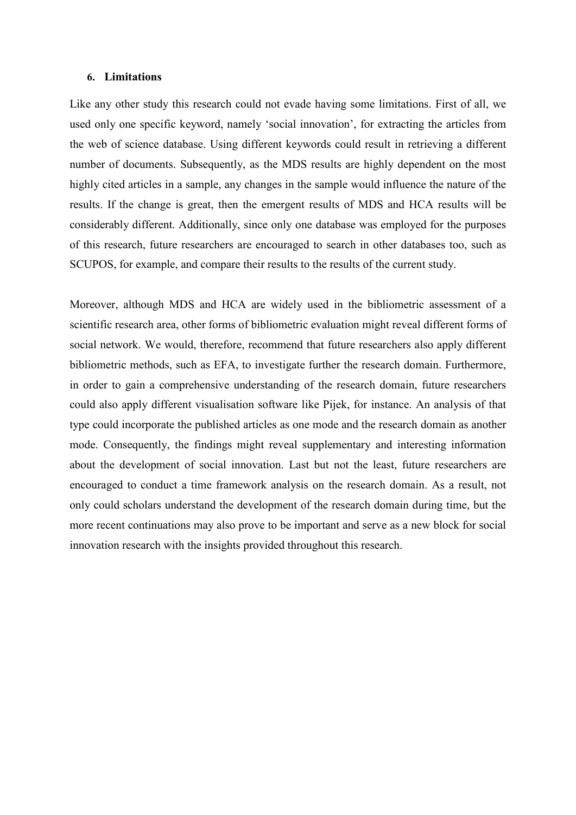#### **6. Limitations**

Like any other study this research could not evade having some limitations. First of all, we used only one specific keyword, namely 'social innovation', for extracting the articles from the web of science database. Using different keywords could result in retrieving a different number of documents. Subsequently, as the MDS results are highly dependent on the most highly cited articles in a sample, any changes in the sample would influence the nature of the results. If the change is great, then the emergent results of MDS and HCA results will be considerably different. Additionally, since only one database was employed for the purposes of this research, future researchers are encouraged to search in other databases too, such as SCUPOS, for example, and compare their results to the results of the current study.

Moreover, although MDS and HCA are widely used in the bibliometric assessment of a scientific research area, other forms of bibliometric evaluation might reveal different forms of social network. We would, therefore, recommend that future researchers also apply different bibliometric methods, such as EFA, to investigate further the research domain. Furthermore, in order to gain a comprehensive understanding of the research domain, future researchers could also apply different visualisation software like Pijek, for instance. An analysis of that type could incorporate the published articles as one mode and the research domain as another mode. Consequently, the findings might reveal supplementary and interesting information about the development of social innovation. Last but not the least, future researchers are encouraged to conduct a time framework analysis on the research domain. As a result, not only could scholars understand the development of the research domain during time, but the more recent continuations may also prove to be important and serve as a new block for social innovation research with the insights provided throughout this research.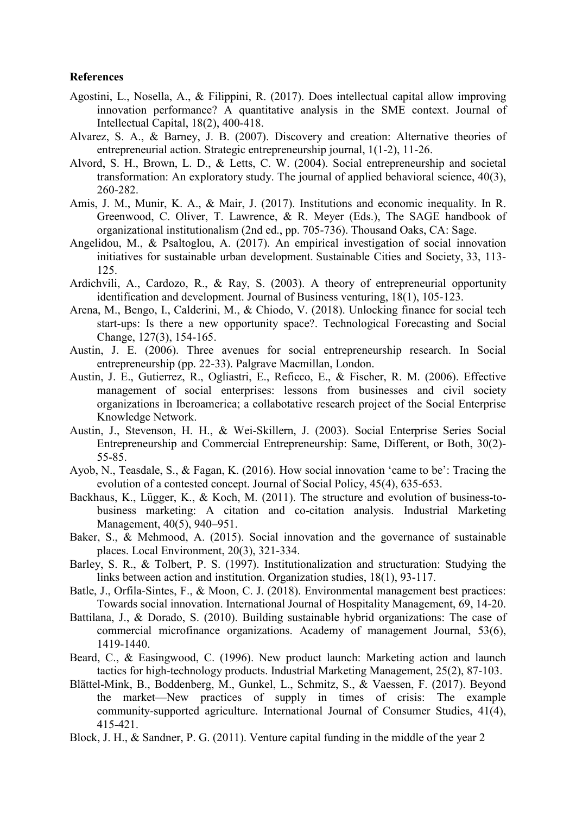## **References**

- Agostini, L., Nosella, A., & Filippini, R. (2017). Does intellectual capital allow improving innovation performance? A quantitative analysis in the SME context. Journal of Intellectual Capital, 18(2), 400-418.
- Alvarez, S. A., & Barney, J. B. (2007). Discovery and creation: Alternative theories of entrepreneurial action. Strategic entrepreneurship journal, 1(1‐2), 11-26.
- Alvord, S. H., Brown, L. D., & Letts, C. W. (2004). Social entrepreneurship and societal transformation: An exploratory study. The journal of applied behavioral science, 40(3), 260-282.
- Amis, J. M., Munir, K. A., & Mair, J. (2017). Institutions and economic inequality. In R. Greenwood, C. Oliver, T. Lawrence, & R. Meyer (Eds.), The SAGE handbook of organizational institutionalism (2nd ed., pp. 705-736). Thousand Oaks, CA: Sage.
- Angelidou, M., & Psaltoglou, A. (2017). An empirical investigation of social innovation initiatives for sustainable urban development. Sustainable Cities and Society, 33, 113- 125.
- Ardichvili, A., Cardozo, R., & Ray, S. (2003). A theory of entrepreneurial opportunity identification and development. Journal of Business venturing, 18(1), 105-123.
- Arena, M., Bengo, I., Calderini, M., & Chiodo, V. (2018). Unlocking finance for social tech start-ups: Is there a new opportunity space?. Technological Forecasting and Social Change, 127(3), 154-165.
- Austin, J. E. (2006). Three avenues for social entrepreneurship research. In Social entrepreneurship (pp. 22-33). Palgrave Macmillan, London.
- Austin, J. E., Gutierrez, R., Ogliastri, E., Reficco, E., & Fischer, R. M. (2006). Effective management of social enterprises: lessons from businesses and civil society organizations in Iberoamerica; a collabotative research project of the Social Enterprise Knowledge Network.
- Austin, J., Stevenson, H. H., & Wei-Skillern, J. (2003). Social Enterprise Series Social Entrepreneurship and Commercial Entrepreneurship: Same, Different, or Both, 30(2)- 55-85.
- Ayob, N., Teasdale, S., & Fagan, K. (2016). How social innovation 'came to be': Tracing the evolution of a contested concept. Journal of Social Policy, 45(4), 635-653.
- Backhaus, K., Lügger, K., & Koch, M. (2011). The structure and evolution of business-tobusiness marketing: A citation and co-citation analysis. Industrial Marketing Management, 40(5), 940–951.
- Baker, S., & Mehmood, A. (2015). Social innovation and the governance of sustainable places. Local Environment, 20(3), 321-334.
- Barley, S. R., & Tolbert, P. S. (1997). Institutionalization and structuration: Studying the links between action and institution. Organization studies, 18(1), 93-117.
- Batle, J., Orfila-Sintes, F., & Moon, C. J. (2018). Environmental management best practices: Towards social innovation. International Journal of Hospitality Management, 69, 14-20.
- Battilana, J., & Dorado, S. (2010). Building sustainable hybrid organizations: The case of commercial microfinance organizations. Academy of management Journal, 53(6), 1419-1440.
- Beard, C., & Easingwood, C. (1996). New product launch: Marketing action and launch tactics for high-technology products. Industrial Marketing Management, 25(2), 87-103.
- Blättel‐Mink, B., Boddenberg, M., Gunkel, L., Schmitz, S., & Vaessen, F. (2017). Beyond the market—New practices of supply in times of crisis: The example community-supported agriculture. International Journal of Consumer Studies, 41(4), 415-421.
- Block, J. H., & Sandner, P. G. (2011). Venture capital funding in the middle of the year 2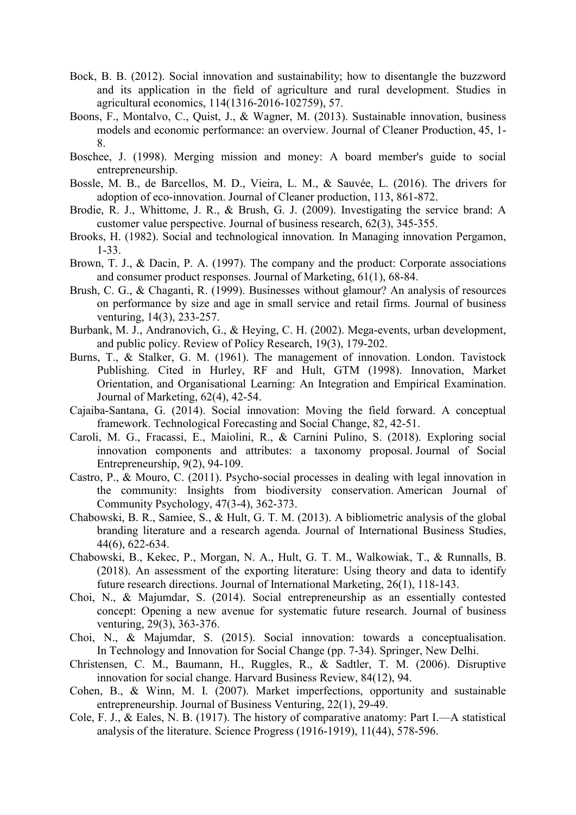- Bock, B. B. (2012). Social innovation and sustainability; how to disentangle the buzzword and its application in the field of agriculture and rural development. Studies in agricultural economics, 114(1316-2016-102759), 57.
- Boons, F., Montalvo, C., Quist, J., & Wagner, M. (2013). Sustainable innovation, business models and economic performance: an overview. Journal of Cleaner Production, 45, 1- 8.
- Boschee, J. (1998). Merging mission and money: A board member's guide to social entrepreneurship.
- Bossle, M. B., de Barcellos, M. D., Vieira, L. M., & Sauvée, L. (2016). The drivers for adoption of eco-innovation. Journal of Cleaner production, 113, 861-872.
- Brodie, R. J., Whittome, J. R., & Brush, G. J. (2009). Investigating the service brand: A customer value perspective. Journal of business research, 62(3), 345-355.
- Brooks, H. (1982). Social and technological innovation. In Managing innovation Pergamon, 1-33.
- Brown, T. J., & Dacin, P. A. (1997). The company and the product: Corporate associations and consumer product responses. Journal of Marketing, 61(1), 68-84.
- Brush, C. G., & Chaganti, R. (1999). Businesses without glamour? An analysis of resources on performance by size and age in small service and retail firms. Journal of business venturing, 14(3), 233-257.
- Burbank, M. J., Andranovich, G., & Heying, C. H. (2002). Mega-events, urban development, and public policy. Review of Policy Research, 19(3), 179-202.
- Burns, T., & Stalker, G. M. (1961). The management of innovation. London. Tavistock Publishing. Cited in Hurley, RF and Hult, GTM (1998). Innovation, Market Orientation, and Organisational Learning: An Integration and Empirical Examination. Journal of Marketing, 62(4), 42-54.
- Cajaiba-Santana, G. (2014). Social innovation: Moving the field forward. A conceptual framework. Technological Forecasting and Social Change, 82, 42-51.
- Caroli, M. G., Fracassi, E., Maiolini, R., & Carnini Pulino, S. (2018). Exploring social innovation components and attributes: a taxonomy proposal. Journal of Social Entrepreneurship, 9(2), 94-109.
- Castro, P., & Mouro, C. (2011). Psycho-social processes in dealing with legal innovation in the community: Insights from biodiversity conservation. American Journal of Community Psychology, 47(3-4), 362-373.
- Chabowski, B. R., Samiee, S., & Hult, G. T. M. (2013). A bibliometric analysis of the global branding literature and a research agenda. Journal of International Business Studies, 44(6), 622-634.
- Chabowski, B., Kekec, P., Morgan, N. A., Hult, G. T. M., Walkowiak, T., & Runnalls, B. (2018). An assessment of the exporting literature: Using theory and data to identify future research directions. Journal of International Marketing, 26(1), 118-143.
- Choi, N., & Majumdar, S. (2014). Social entrepreneurship as an essentially contested concept: Opening a new avenue for systematic future research. Journal of business venturing, 29(3), 363-376.
- Choi, N., & Majumdar, S. (2015). Social innovation: towards a conceptualisation. In Technology and Innovation for Social Change (pp. 7-34). Springer, New Delhi.
- Christensen, C. M., Baumann, H., Ruggles, R., & Sadtler, T. M. (2006). Disruptive innovation for social change. Harvard Business Review, 84(12), 94.
- Cohen, B., & Winn, M. I. (2007). Market imperfections, opportunity and sustainable entrepreneurship. Journal of Business Venturing, 22(1), 29-49.
- Cole, F. J., & Eales, N. B. (1917). The history of comparative anatomy: Part I.—A statistical analysis of the literature. Science Progress (1916-1919), 11(44), 578-596.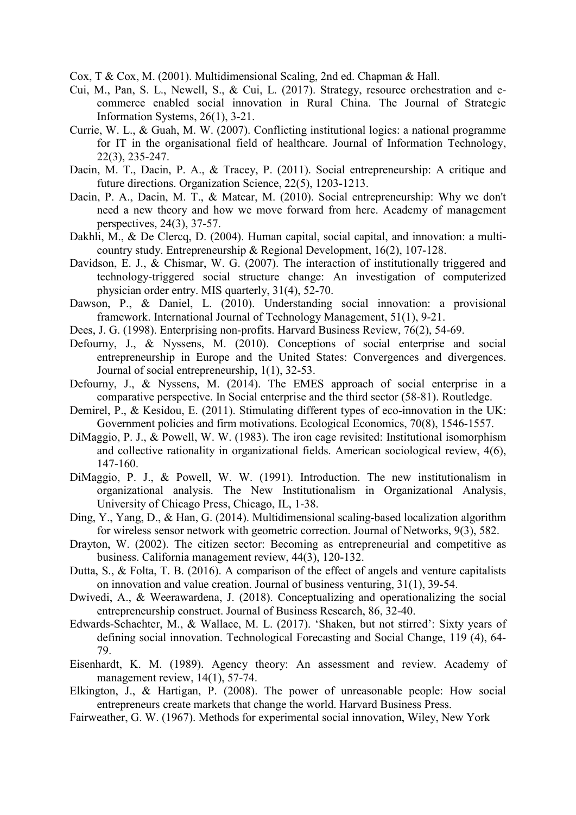Cox, T & Cox, M. (2001). Multidimensional Scaling, 2nd ed. Chapman & Hall.

- Cui, M., Pan, S. L., Newell, S., & Cui, L. (2017). Strategy, resource orchestration and ecommerce enabled social innovation in Rural China. The Journal of Strategic Information Systems, 26(1), 3-21.
- Currie, W. L., & Guah, M. W. (2007). Conflicting institutional logics: a national programme for IT in the organisational field of healthcare. Journal of Information Technology, 22(3), 235-247.
- Dacin, M. T., Dacin, P. A., & Tracey, P. (2011). Social entrepreneurship: A critique and future directions. Organization Science, 22(5), 1203-1213.
- Dacin, P. A., Dacin, M. T., & Matear, M. (2010). Social entrepreneurship: Why we don't need a new theory and how we move forward from here. Academy of management perspectives, 24(3), 37-57.
- Dakhli, M., & De Clercq, D. (2004). Human capital, social capital, and innovation: a multicountry study. Entrepreneurship & Regional Development, 16(2), 107-128.
- Davidson, E. J., & Chismar, W. G. (2007). The interaction of institutionally triggered and technology-triggered social structure change: An investigation of computerized physician order entry. MIS quarterly, 31(4), 52-70.
- Dawson, P., & Daniel, L. (2010). Understanding social innovation: a provisional framework. International Journal of Technology Management, 51(1), 9-21.
- Dees, J. G. (1998). Enterprising non-profits. Harvard Business Review, 76(2), 54-69.
- Defourny, J., & Nyssens, M. (2010). Conceptions of social enterprise and social entrepreneurship in Europe and the United States: Convergences and divergences. Journal of social entrepreneurship, 1(1), 32-53.
- Defourny, J., & Nyssens, M. (2014). The EMES approach of social enterprise in a comparative perspective. In Social enterprise and the third sector (58-81). Routledge.
- Demirel, P., & Kesidou, E. (2011). Stimulating different types of eco-innovation in the UK: Government policies and firm motivations. Ecological Economics, 70(8), 1546-1557.
- DiMaggio, P. J., & Powell, W. W. (1983). The iron cage revisited: Institutional isomorphism and collective rationality in organizational fields. American sociological review, 4(6), 147-160.
- DiMaggio, P. J., & Powell, W. W. (1991). Introduction. The new institutionalism in organizational analysis. The New Institutionalism in Organizational Analysis, University of Chicago Press, Chicago, IL, 1-38.
- Ding, Y., Yang, D., & Han, G. (2014). Multidimensional scaling-based localization algorithm for wireless sensor network with geometric correction. Journal of Networks, 9(3), 582.
- Drayton, W. (2002). The citizen sector: Becoming as entrepreneurial and competitive as business. California management review, 44(3), 120-132.
- Dutta, S., & Folta, T. B. (2016). A comparison of the effect of angels and venture capitalists on innovation and value creation. Journal of business venturing, 31(1), 39-54.
- Dwivedi, A., & Weerawardena, J. (2018). Conceptualizing and operationalizing the social entrepreneurship construct. Journal of Business Research, 86, 32-40.
- Edwards-Schachter, M., & Wallace, M. L. (2017). 'Shaken, but not stirred': Sixty years of defining social innovation. Technological Forecasting and Social Change, 119 (4), 64- 79.
- Eisenhardt, K. M. (1989). Agency theory: An assessment and review. Academy of management review, 14(1), 57-74.
- Elkington, J., & Hartigan, P. (2008). The power of unreasonable people: How social entrepreneurs create markets that change the world. Harvard Business Press.
- Fairweather, G. W. (1967). Methods for experimental social innovation, Wiley, New York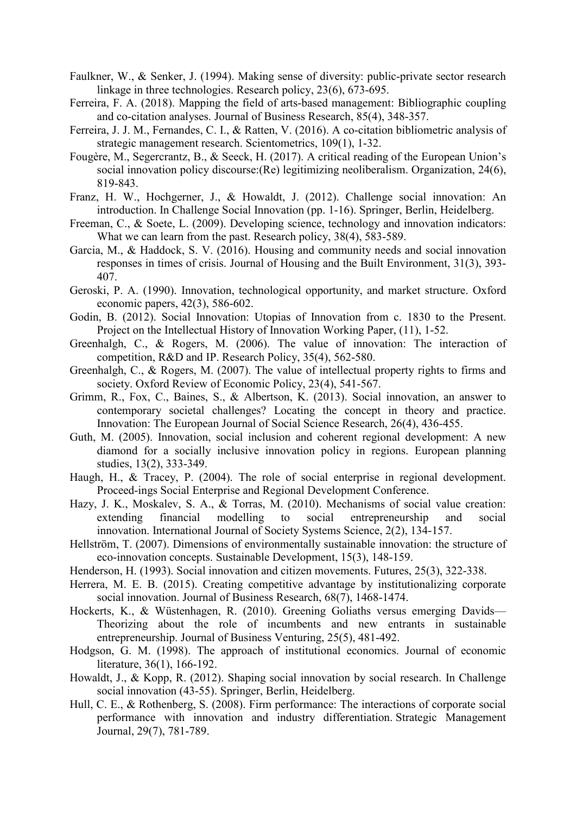- Faulkner, W., & Senker, J. (1994). Making sense of diversity: public-private sector research linkage in three technologies. Research policy, 23(6), 673-695.
- Ferreira, F. A. (2018). Mapping the field of arts-based management: Bibliographic coupling and co-citation analyses. Journal of Business Research, 85(4), 348-357.
- Ferreira, J. J. M., Fernandes, C. I., & Ratten, V. (2016). A co-citation bibliometric analysis of strategic management research. Scientometrics, 109(1), 1-32.
- Fougère, M., Segercrantz, B., & Seeck, H. (2017). A critical reading of the European Union's social innovation policy discourse:(Re) legitimizing neoliberalism. Organization, 24(6), 819-843.
- Franz, H. W., Hochgerner, J., & Howaldt, J. (2012). Challenge social innovation: An introduction. In Challenge Social Innovation (pp. 1-16). Springer, Berlin, Heidelberg.
- Freeman, C., & Soete, L. (2009). Developing science, technology and innovation indicators: What we can learn from the past. Research policy, 38(4), 583-589.
- Garcia, M., & Haddock, S. V. (2016). Housing and community needs and social innovation responses in times of crisis. Journal of Housing and the Built Environment, 31(3), 393- 407.
- Geroski, P. A. (1990). Innovation, technological opportunity, and market structure. Oxford economic papers, 42(3), 586-602.
- Godin, B. (2012). Social Innovation: Utopias of Innovation from c. 1830 to the Present. Project on the Intellectual History of Innovation Working Paper, (11), 1-52.
- Greenhalgh, C., & Rogers, M. (2006). The value of innovation: The interaction of competition, R&D and IP. Research Policy, 35(4), 562-580.
- Greenhalgh, C., & Rogers, M. (2007). The value of intellectual property rights to firms and society. Oxford Review of Economic Policy, 23(4), 541-567.
- Grimm, R., Fox, C., Baines, S., & Albertson, K. (2013). Social innovation, an answer to contemporary societal challenges? Locating the concept in theory and practice. Innovation: The European Journal of Social Science Research, 26(4), 436-455.
- Guth, M. (2005). Innovation, social inclusion and coherent regional development: A new diamond for a socially inclusive innovation policy in regions. European planning studies, 13(2), 333-349.
- Haugh, H., & Tracey, P. (2004). The role of social enterprise in regional development. Proceed-ings Social Enterprise and Regional Development Conference.
- Hazy, J. K., Moskalev, S. A., & Torras, M. (2010). Mechanisms of social value creation: extending financial modelling to social entrepreneurship and social innovation. International Journal of Society Systems Science, 2(2), 134-157.
- Hellström, T. (2007). Dimensions of environmentally sustainable innovation: the structure of eco‐innovation concepts. Sustainable Development, 15(3), 148-159.
- Henderson, H. (1993). Social innovation and citizen movements. Futures, 25(3), 322-338.
- Herrera, M. E. B. (2015). Creating competitive advantage by institutionalizing corporate social innovation. Journal of Business Research, 68(7), 1468-1474.
- Hockerts, K., & Wüstenhagen, R. (2010). Greening Goliaths versus emerging Davids— Theorizing about the role of incumbents and new entrants in sustainable entrepreneurship. Journal of Business Venturing, 25(5), 481-492.
- Hodgson, G. M. (1998). The approach of institutional economics. Journal of economic literature, 36(1), 166-192.
- Howaldt, J., & Kopp, R. (2012). Shaping social innovation by social research. In Challenge social innovation (43-55). Springer, Berlin, Heidelberg.
- Hull, C. E., & Rothenberg, S. (2008). Firm performance: The interactions of corporate social performance with innovation and industry differentiation. Strategic Management Journal, 29(7), 781-789.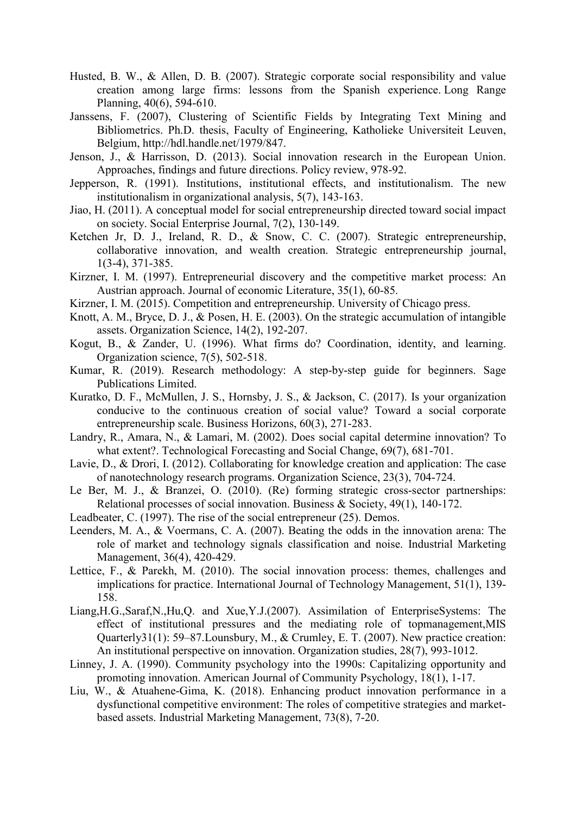- Husted, B. W., & Allen, D. B. (2007). Strategic corporate social responsibility and value creation among large firms: lessons from the Spanish experience. Long Range Planning, 40(6), 594-610.
- Janssens, F. (2007), Clustering of Scientific Fields by Integrating Text Mining and Bibliometrics. Ph.D. thesis, Faculty of Engineering, Katholieke Universiteit Leuven, Belgium, http://hdl.handle.net/1979/847.
- Jenson, J., & Harrisson, D. (2013). Social innovation research in the European Union. Approaches, findings and future directions. Policy review, 978-92.
- Jepperson, R. (1991). Institutions, institutional effects, and institutionalism. The new institutionalism in organizational analysis, 5(7), 143-163.
- Jiao, H. (2011). A conceptual model for social entrepreneurship directed toward social impact on society. Social Enterprise Journal, 7(2), 130-149.
- Ketchen Jr, D. J., Ireland, R. D., & Snow, C. C. (2007). Strategic entrepreneurship, collaborative innovation, and wealth creation. Strategic entrepreneurship journal, 1(3‐4), 371-385.
- Kirzner, I. M. (1997). Entrepreneurial discovery and the competitive market process: An Austrian approach. Journal of economic Literature, 35(1), 60-85.
- Kirzner, I. M. (2015). Competition and entrepreneurship. University of Chicago press.
- Knott, A. M., Bryce, D. J., & Posen, H. E. (2003). On the strategic accumulation of intangible assets. Organization Science, 14(2), 192-207.
- Kogut, B., & Zander, U. (1996). What firms do? Coordination, identity, and learning. Organization science, 7(5), 502-518.
- Kumar, R. (2019). Research methodology: A step-by-step guide for beginners. Sage Publications Limited.
- Kuratko, D. F., McMullen, J. S., Hornsby, J. S., & Jackson, C. (2017). Is your organization conducive to the continuous creation of social value? Toward a social corporate entrepreneurship scale. Business Horizons, 60(3), 271-283.
- Landry, R., Amara, N., & Lamari, M. (2002). Does social capital determine innovation? To what extent?. Technological Forecasting and Social Change, 69(7), 681-701.
- Lavie, D., & Drori, I. (2012). Collaborating for knowledge creation and application: The case of nanotechnology research programs. Organization Science, 23(3), 704-724.
- Le Ber, M. J., & Branzei, O. (2010). (Re) forming strategic cross-sector partnerships: Relational processes of social innovation. Business & Society, 49(1), 140-172.
- Leadbeater, C. (1997). The rise of the social entrepreneur (25). Demos.
- Leenders, M. A., & Voermans, C. A. (2007). Beating the odds in the innovation arena: The role of market and technology signals classification and noise. Industrial Marketing Management, 36(4), 420-429.
- Lettice, F., & Parekh, M. (2010). The social innovation process: themes, challenges and implications for practice. International Journal of Technology Management, 51(1), 139- 158.
- Liang,H.G.,Saraf,N.,Hu,Q. and Xue,Y.J.(2007). Assimilation of EnterpriseSystems: The effect of institutional pressures and the mediating role of topmanagement,MIS Quarterly31(1): 59–87.Lounsbury, M., & Crumley, E. T. (2007). New practice creation: An institutional perspective on innovation. Organization studies, 28(7), 993-1012.
- Linney, J. A. (1990). Community psychology into the 1990s: Capitalizing opportunity and promoting innovation. American Journal of Community Psychology, 18(1), 1-17.
- Liu, W., & Atuahene-Gima, K. (2018). Enhancing product innovation performance in a dysfunctional competitive environment: The roles of competitive strategies and marketbased assets. Industrial Marketing Management, 73(8), 7-20.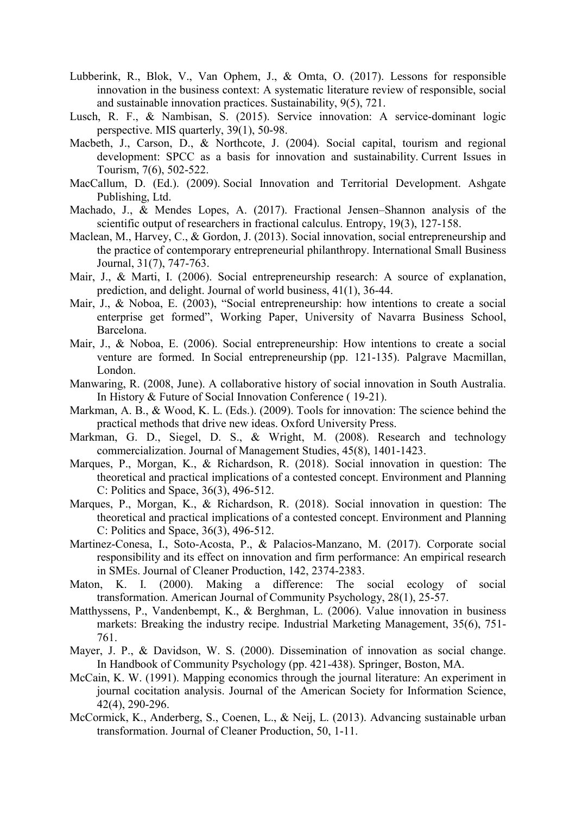- Lubberink, R., Blok, V., Van Ophem, J., & Omta, O. (2017). Lessons for responsible innovation in the business context: A systematic literature review of responsible, social and sustainable innovation practices. Sustainability, 9(5), 721.
- Lusch, R. F., & Nambisan, S. (2015). Service innovation: A service-dominant logic perspective. MIS quarterly, 39(1), 50-98.
- Macbeth, J., Carson, D., & Northcote, J. (2004). Social capital, tourism and regional development: SPCC as a basis for innovation and sustainability. Current Issues in Tourism, 7(6), 502-522.
- MacCallum, D. (Ed.). (2009). Social Innovation and Territorial Development. Ashgate Publishing, Ltd.
- Machado, J., & Mendes Lopes, A. (2017). Fractional Jensen–Shannon analysis of the scientific output of researchers in fractional calculus. Entropy, 19(3), 127-158.
- Maclean, M., Harvey, C., & Gordon, J. (2013). Social innovation, social entrepreneurship and the practice of contemporary entrepreneurial philanthropy. International Small Business Journal, 31(7), 747-763.
- Mair, J., & Marti, I. (2006). Social entrepreneurship research: A source of explanation, prediction, and delight. Journal of world business, 41(1), 36-44.
- Mair, J., & Noboa, E. (2003), "Social entrepreneurship: how intentions to create a social enterprise get formed", Working Paper, University of Navarra Business School, Barcelona.
- Mair, J., & Noboa, E. (2006). Social entrepreneurship: How intentions to create a social venture are formed. In Social entrepreneurship (pp. 121-135). Palgrave Macmillan, London.
- Manwaring, R. (2008, June). A collaborative history of social innovation in South Australia. In History & Future of Social Innovation Conference ( 19-21).
- Markman, A. B., & Wood, K. L. (Eds.). (2009). Tools for innovation: The science behind the practical methods that drive new ideas. Oxford University Press.
- Markman, G. D., Siegel, D. S., & Wright, M. (2008). Research and technology commercialization. Journal of Management Studies, 45(8), 1401-1423.
- Marques, P., Morgan, K., & Richardson, R. (2018). Social innovation in question: The theoretical and practical implications of a contested concept. Environment and Planning C: Politics and Space, 36(3), 496-512.
- Marques, P., Morgan, K., & Richardson, R. (2018). Social innovation in question: The theoretical and practical implications of a contested concept. Environment and Planning C: Politics and Space, 36(3), 496-512.
- Martinez-Conesa, I., Soto-Acosta, P., & Palacios-Manzano, M. (2017). Corporate social responsibility and its effect on innovation and firm performance: An empirical research in SMEs. Journal of Cleaner Production, 142, 2374-2383.
- Maton, K. I. (2000). Making a difference: The social ecology of social transformation. American Journal of Community Psychology, 28(1), 25-57.
- Matthyssens, P., Vandenbempt, K., & Berghman, L. (2006). Value innovation in business markets: Breaking the industry recipe. Industrial Marketing Management, 35(6), 751- 761.
- Mayer, J. P., & Davidson, W. S. (2000). Dissemination of innovation as social change. In Handbook of Community Psychology (pp. 421-438). Springer, Boston, MA.
- McCain, K. W. (1991). Mapping economics through the journal literature: An experiment in journal cocitation analysis. Journal of the American Society for Information Science, 42(4), 290-296.
- McCormick, K., Anderberg, S., Coenen, L., & Neij, L. (2013). Advancing sustainable urban transformation. Journal of Cleaner Production, 50, 1-11.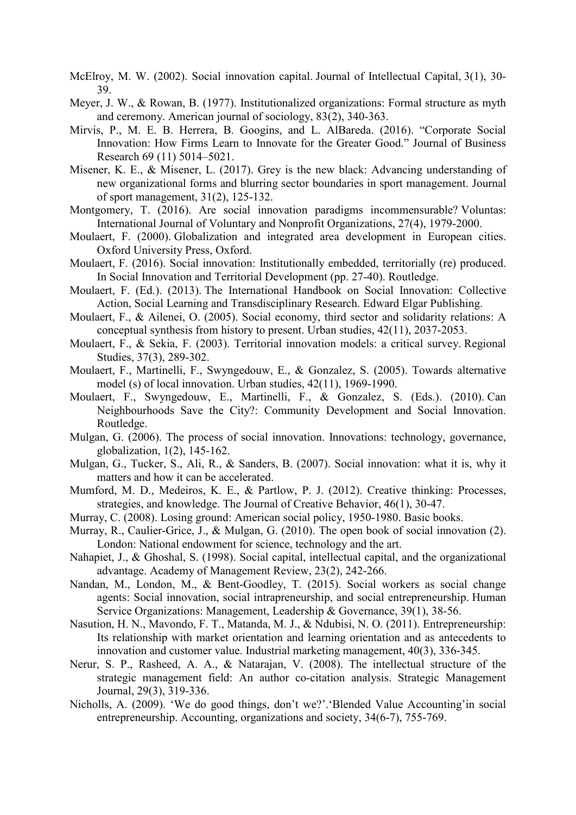- McElroy, M. W. (2002). Social innovation capital. Journal of Intellectual Capital, 3(1), 30- 39.
- Meyer, J. W., & Rowan, B. (1977). Institutionalized organizations: Formal structure as myth and ceremony. American journal of sociology, 83(2), 340-363.
- Mirvis, P., M. E. B. Herrera, B. Googins, and L. AlBareda. (2016). "Corporate Social Innovation: How Firms Learn to Innovate for the Greater Good." Journal of Business Research 69 (11) 5014–5021.
- Misener, K. E., & Misener, L. (2017). Grey is the new black: Advancing understanding of new organizational forms and blurring sector boundaries in sport management. Journal of sport management, 31(2), 125-132.
- Montgomery, T. (2016). Are social innovation paradigms incommensurable? Voluntas: International Journal of Voluntary and Nonprofit Organizations, 27(4), 1979-2000.
- Moulaert, F. (2000). Globalization and integrated area development in European cities. Oxford University Press, Oxford.
- Moulaert, F. (2016). Social innovation: Institutionally embedded, territorially (re) produced. In Social Innovation and Territorial Development (pp. 27-40). Routledge.
- Moulaert, F. (Ed.). (2013). The International Handbook on Social Innovation: Collective Action, Social Learning and Transdisciplinary Research. Edward Elgar Publishing.
- Moulaert, F., & Ailenei, O. (2005). Social economy, third sector and solidarity relations: A conceptual synthesis from history to present. Urban studies, 42(11), 2037-2053.
- Moulaert, F., & Sekia, F. (2003). Territorial innovation models: a critical survey. Regional Studies, 37(3), 289-302.
- Moulaert, F., Martinelli, F., Swyngedouw, E., & Gonzalez, S. (2005). Towards alternative model (s) of local innovation. Urban studies, 42(11), 1969-1990.
- Moulaert, F., Swyngedouw, E., Martinelli, F., & Gonzalez, S. (Eds.). (2010). Can Neighbourhoods Save the City?: Community Development and Social Innovation. Routledge.
- Mulgan, G. (2006). The process of social innovation. Innovations: technology, governance, globalization, 1(2), 145-162.
- Mulgan, G., Tucker, S., Ali, R., & Sanders, B. (2007). Social innovation: what it is, why it matters and how it can be accelerated.
- Mumford, M. D., Medeiros, K. E., & Partlow, P. J. (2012). Creative thinking: Processes, strategies, and knowledge. The Journal of Creative Behavior, 46(1), 30-47.
- Murray, C. (2008). Losing ground: American social policy, 1950-1980. Basic books.
- Murray, R., Caulier-Grice, J., & Mulgan, G. (2010). The open book of social innovation (2). London: National endowment for science, technology and the art.
- Nahapiet, J., & Ghoshal, S. (1998). Social capital, intellectual capital, and the organizational advantage. Academy of Management Review, 23(2), 242-266.
- Nandan, M., London, M., & Bent-Goodley, T. (2015). Social workers as social change agents: Social innovation, social intrapreneurship, and social entrepreneurship. Human Service Organizations: Management, Leadership & Governance, 39(1), 38-56.
- Nasution, H. N., Mavondo, F. T., Matanda, M. J., & Ndubisi, N. O. (2011). Entrepreneurship: Its relationship with market orientation and learning orientation and as antecedents to innovation and customer value. Industrial marketing management, 40(3), 336-345.
- Nerur, S. P., Rasheed, A. A., & Natarajan, V. (2008). The intellectual structure of the strategic management field: An author co-citation analysis. Strategic Management Journal, 29(3), 319-336.
- Nicholls, A. (2009). 'We do good things, don't we?'.'Blended Value Accounting'in social entrepreneurship. Accounting, organizations and society, 34(6-7), 755-769.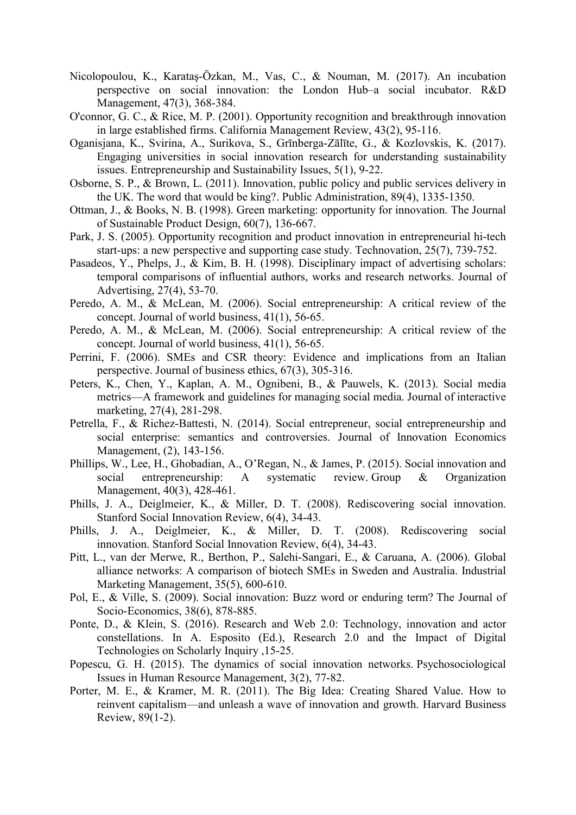- Nicolopoulou, K., Karataş‐Özkan, M., Vas, C., & Nouman, M. (2017). An incubation perspective on social innovation: the London Hub–a social incubator. R&D Management, 47(3), 368-384.
- O'connor, G. C., & Rice, M. P. (2001). Opportunity recognition and breakthrough innovation in large established firms. California Management Review, 43(2), 95-116.
- Oganisjana, K., Svirina, A., Surikova, S., Grīnberga-Zālīte, G., & Kozlovskis, K. (2017). Engaging universities in social innovation research for understanding sustainability issues. Entrepreneurship and Sustainability Issues, 5(1), 9-22.
- Osborne, S. P., & Brown, L. (2011). Innovation, public policy and public services delivery in the UK. The word that would be king?. Public Administration, 89(4), 1335-1350.
- Ottman, J., & Books, N. B. (1998). Green marketing: opportunity for innovation. The Journal of Sustainable Product Design, 60(7), 136-667.
- Park, J. S. (2005). Opportunity recognition and product innovation in entrepreneurial hi-tech start-ups: a new perspective and supporting case study. Technovation, 25(7), 739-752.
- Pasadeos, Y., Phelps, J., & Kim, B. H. (1998). Disciplinary impact of advertising scholars: temporal comparisons of influential authors, works and research networks. Journal of Advertising, 27(4), 53-70.
- Peredo, A. M., & McLean, M. (2006). Social entrepreneurship: A critical review of the concept. Journal of world business, 41(1), 56-65.
- Peredo, A. M., & McLean, M. (2006). Social entrepreneurship: A critical review of the concept. Journal of world business, 41(1), 56-65.
- Perrini, F. (2006). SMEs and CSR theory: Evidence and implications from an Italian perspective. Journal of business ethics, 67(3), 305-316.
- Peters, K., Chen, Y., Kaplan, A. M., Ognibeni, B., & Pauwels, K. (2013). Social media metrics—A framework and guidelines for managing social media. Journal of interactive marketing, 27(4), 281-298.
- Petrella, F., & Richez-Battesti, N. (2014). Social entrepreneur, social entrepreneurship and social enterprise: semantics and controversies. Journal of Innovation Economics Management, (2), 143-156.
- Phillips, W., Lee, H., Ghobadian, A., O'Regan, N., & James, P. (2015). Social innovation and social entrepreneurship: A systematic review. Group & Organization Management, 40(3), 428-461.
- Phills, J. A., Deiglmeier, K., & Miller, D. T. (2008). Rediscovering social innovation. Stanford Social Innovation Review, 6(4), 34-43.
- Phills, J. A., Deiglmeier, K., & Miller, D. T. (2008). Rediscovering social innovation. Stanford Social Innovation Review, 6(4), 34-43.
- Pitt, L., van der Merwe, R., Berthon, P., Salehi-Sangari, E., & Caruana, A. (2006). Global alliance networks: A comparison of biotech SMEs in Sweden and Australia. Industrial Marketing Management, 35(5), 600-610.
- Pol, E., & Ville, S. (2009). Social innovation: Buzz word or enduring term? The Journal of Socio-Economics, 38(6), 878-885.
- Ponte, D., & Klein, S. (2016). Research and Web 2.0: Technology, innovation and actor constellations. In A. Esposito (Ed.), Research 2.0 and the Impact of Digital Technologies on Scholarly Inquiry ,15-25.
- Popescu, G. H. (2015). The dynamics of social innovation networks. Psychosociological Issues in Human Resource Management, 3(2), 77-82.
- Porter, M. E., & Kramer, M. R. (2011). The Big Idea: Creating Shared Value. How to reinvent capitalism—and unleash a wave of innovation and growth. Harvard Business Review, 89(1-2).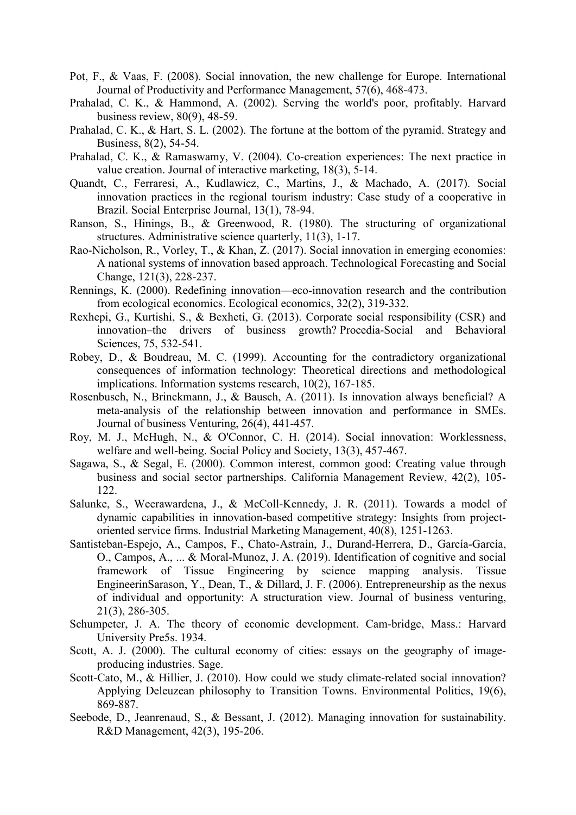- Pot, F., & Vaas, F. (2008). Social innovation, the new challenge for Europe. International Journal of Productivity and Performance Management, 57(6), 468-473.
- Prahalad, C. K., & Hammond, A. (2002). Serving the world's poor, profitably. Harvard business review, 80(9), 48-59.
- Prahalad, C. K., & Hart, S. L. (2002). The fortune at the bottom of the pyramid. Strategy and Business, 8(2), 54-54.
- Prahalad, C. K., & Ramaswamy, V. (2004). Co-creation experiences: The next practice in value creation. Journal of interactive marketing, 18(3), 5-14.
- Quandt, C., Ferraresi, A., Kudlawicz, C., Martins, J., & Machado, A. (2017). Social innovation practices in the regional tourism industry: Case study of a cooperative in Brazil. Social Enterprise Journal, 13(1), 78-94.
- Ranson, S., Hinings, B., & Greenwood, R. (1980). The structuring of organizational structures. Administrative science quarterly, 11(3), 1-17.
- Rao-Nicholson, R., Vorley, T., & Khan, Z. (2017). Social innovation in emerging economies: A national systems of innovation based approach. Technological Forecasting and Social Change, 121(3), 228-237.
- Rennings, K. (2000). Redefining innovation—eco-innovation research and the contribution from ecological economics. Ecological economics, 32(2), 319-332.
- Rexhepi, G., Kurtishi, S., & Bexheti, G. (2013). Corporate social responsibility (CSR) and innovation–the drivers of business growth? Procedia-Social and Behavioral Sciences, 75, 532-541.
- Robey, D., & Boudreau, M. C. (1999). Accounting for the contradictory organizational consequences of information technology: Theoretical directions and methodological implications. Information systems research, 10(2), 167-185.
- Rosenbusch, N., Brinckmann, J., & Bausch, A. (2011). Is innovation always beneficial? A meta-analysis of the relationship between innovation and performance in SMEs. Journal of business Venturing, 26(4), 441-457.
- Roy, M. J., McHugh, N., & O'Connor, C. H. (2014). Social innovation: Worklessness, welfare and well-being. Social Policy and Society, 13(3), 457-467.
- Sagawa, S., & Segal, E. (2000). Common interest, common good: Creating value through business and social sector partnerships. California Management Review, 42(2), 105- 122.
- Salunke, S., Weerawardena, J., & McColl-Kennedy, J. R. (2011). Towards a model of dynamic capabilities in innovation-based competitive strategy: Insights from projectoriented service firms. Industrial Marketing Management, 40(8), 1251-1263.
- Santisteban-Espejo, A., Campos, F., Chato-Astrain, J., Durand-Herrera, D., García-García, O., Campos, A., ... & Moral-Munoz, J. A. (2019). Identification of cognitive and social framework of Tissue Engineering by science mapping analysis. Tissue EngineerinSarason, Y., Dean, T., & Dillard, J. F. (2006). Entrepreneurship as the nexus of individual and opportunity: A structuration view. Journal of business venturing, 21(3), 286-305.
- Schumpeter, J. A. The theory of economic development. Cam-bridge, Mass.: Harvard University Pre5s. 1934.
- Scott, A. J. (2000). The cultural economy of cities: essays on the geography of imageproducing industries. Sage.
- Scott-Cato, M., & Hillier, J. (2010). How could we study climate-related social innovation? Applying Deleuzean philosophy to Transition Towns. Environmental Politics, 19(6), 869-887.
- Seebode, D., Jeanrenaud, S., & Bessant, J. (2012). Managing innovation for sustainability. R&D Management, 42(3), 195-206.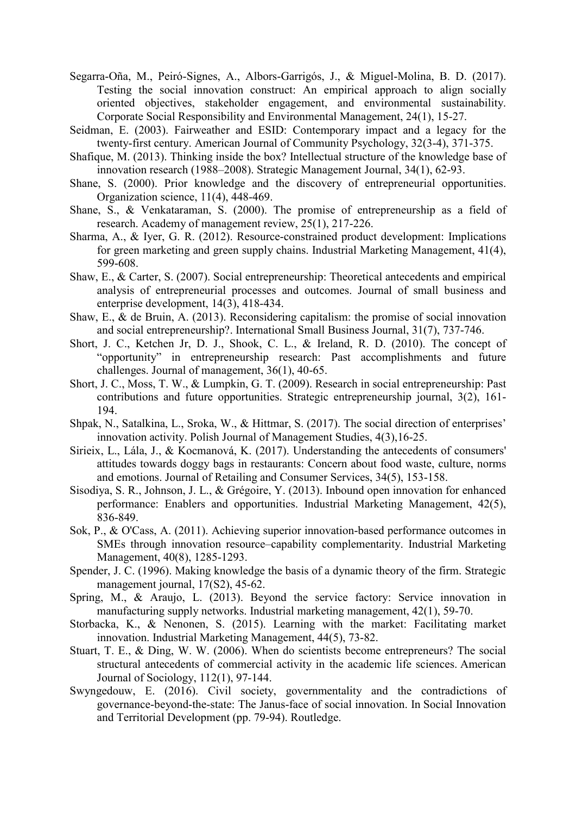- Segarra‐Oña, M., Peiró‐Signes, A., Albors‐Garrigós, J., & Miguel‐Molina, B. D. (2017). Testing the social innovation construct: An empirical approach to align socially oriented objectives, stakeholder engagement, and environmental sustainability. Corporate Social Responsibility and Environmental Management, 24(1), 15-27.
- Seidman, E. (2003). Fairweather and ESID: Contemporary impact and a legacy for the twenty-first century. American Journal of Community Psychology, 32(3-4), 371-375.
- Shafique, M. (2013). Thinking inside the box? Intellectual structure of the knowledge base of innovation research (1988–2008). Strategic Management Journal, 34(1), 62-93.
- Shane, S. (2000). Prior knowledge and the discovery of entrepreneurial opportunities. Organization science, 11(4), 448-469.
- Shane, S., & Venkataraman, S. (2000). The promise of entrepreneurship as a field of research. Academy of management review, 25(1), 217-226.
- Sharma, A., & Iyer, G. R. (2012). Resource-constrained product development: Implications for green marketing and green supply chains. Industrial Marketing Management, 41(4), 599-608.
- Shaw, E., & Carter, S. (2007). Social entrepreneurship: Theoretical antecedents and empirical analysis of entrepreneurial processes and outcomes. Journal of small business and enterprise development, 14(3), 418-434.
- Shaw, E., & de Bruin, A. (2013). Reconsidering capitalism: the promise of social innovation and social entrepreneurship?. International Small Business Journal, 31(7), 737-746.
- Short, J. C., Ketchen Jr, D. J., Shook, C. L., & Ireland, R. D. (2010). The concept of "opportunity" in entrepreneurship research: Past accomplishments and future challenges. Journal of management, 36(1), 40-65.
- Short, J. C., Moss, T. W., & Lumpkin, G. T. (2009). Research in social entrepreneurship: Past contributions and future opportunities. Strategic entrepreneurship journal, 3(2), 161- 194.
- Shpak, N., Satalkina, L., Sroka, W., & Hittmar, S. (2017). The social direction of enterprises' innovation activity. Polish Journal of Management Studies, 4(3),16-25.
- Sirieix, L., Lála, J., & Kocmanová, K. (2017). Understanding the antecedents of consumers' attitudes towards doggy bags in restaurants: Concern about food waste, culture, norms and emotions. Journal of Retailing and Consumer Services, 34(5), 153-158.
- Sisodiya, S. R., Johnson, J. L., & Grégoire, Y. (2013). Inbound open innovation for enhanced performance: Enablers and opportunities. Industrial Marketing Management, 42(5), 836-849.
- Sok, P., & O'Cass, A. (2011). Achieving superior innovation-based performance outcomes in SMEs through innovation resource–capability complementarity. Industrial Marketing Management, 40(8), 1285-1293.
- Spender, J. C. (1996). Making knowledge the basis of a dynamic theory of the firm. Strategic management journal, 17(S2), 45-62.
- Spring, M., & Araujo, L. (2013). Beyond the service factory: Service innovation in manufacturing supply networks. Industrial marketing management, 42(1), 59-70.
- Storbacka, K., & Nenonen, S. (2015). Learning with the market: Facilitating market innovation. Industrial Marketing Management, 44(5), 73-82.
- Stuart, T. E., & Ding, W. W. (2006). When do scientists become entrepreneurs? The social structural antecedents of commercial activity in the academic life sciences. American Journal of Sociology, 112(1), 97-144.
- Swyngedouw, E. (2016). Civil society, governmentality and the contradictions of governance-beyond-the-state: The Janus-face of social innovation. In Social Innovation and Territorial Development (pp. 79-94). Routledge.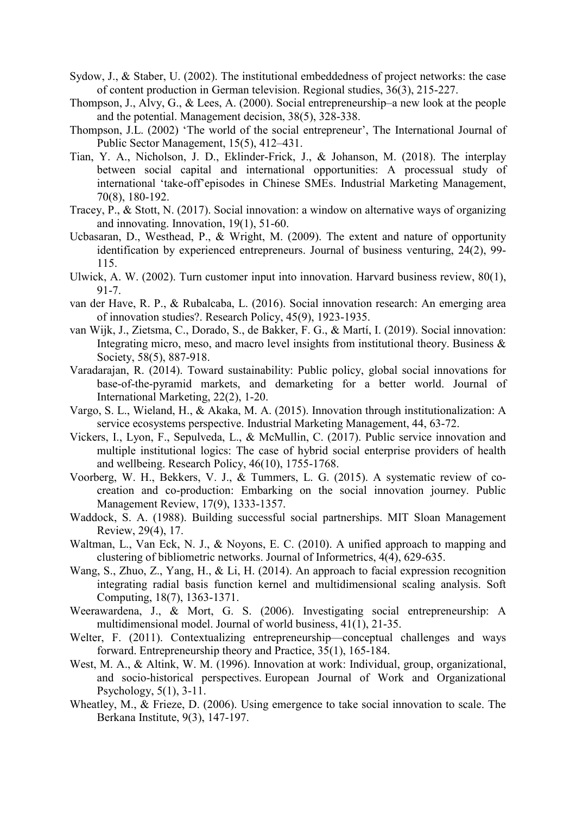- Sydow, J., & Staber, U. (2002). The institutional embeddedness of project networks: the case of content production in German television. Regional studies, 36(3), 215-227.
- Thompson, J., Alvy, G., & Lees, A. (2000). Social entrepreneurship–a new look at the people and the potential. Management decision, 38(5), 328-338.
- Thompson, J.L. (2002) 'The world of the social entrepreneur', The International Journal of Public Sector Management, 15(5), 412–431.
- Tian, Y. A., Nicholson, J. D., Eklinder-Frick, J., & Johanson, M. (2018). The interplay between social capital and international opportunities: A processual study of international 'take-off'episodes in Chinese SMEs. Industrial Marketing Management, 70(8), 180-192.
- Tracey, P., & Stott, N. (2017). Social innovation: a window on alternative ways of organizing and innovating. Innovation, 19(1), 51-60.
- Ucbasaran, D., Westhead, P., & Wright, M. (2009). The extent and nature of opportunity identification by experienced entrepreneurs. Journal of business venturing, 24(2), 99- 115.
- Ulwick, A. W. (2002). Turn customer input into innovation. Harvard business review, 80(1), 91-7.
- van der Have, R. P., & Rubalcaba, L. (2016). Social innovation research: An emerging area of innovation studies?. Research Policy, 45(9), 1923-1935.
- van Wijk, J., Zietsma, C., Dorado, S., de Bakker, F. G., & Martí, I. (2019). Social innovation: Integrating micro, meso, and macro level insights from institutional theory. Business & Society, 58(5), 887-918.
- Varadarajan, R. (2014). Toward sustainability: Public policy, global social innovations for base-of-the-pyramid markets, and demarketing for a better world. Journal of International Marketing, 22(2), 1-20.
- Vargo, S. L., Wieland, H., & Akaka, M. A. (2015). Innovation through institutionalization: A service ecosystems perspective. Industrial Marketing Management, 44, 63-72.
- Vickers, I., Lyon, F., Sepulveda, L., & McMullin, C. (2017). Public service innovation and multiple institutional logics: The case of hybrid social enterprise providers of health and wellbeing. Research Policy, 46(10), 1755-1768.
- Voorberg, W. H., Bekkers, V. J., & Tummers, L. G. (2015). A systematic review of cocreation and co-production: Embarking on the social innovation journey. Public Management Review, 17(9), 1333-1357.
- Waddock, S. A. (1988). Building successful social partnerships. MIT Sloan Management Review, 29(4), 17.
- Waltman, L., Van Eck, N. J., & Noyons, E. C. (2010). A unified approach to mapping and clustering of bibliometric networks. Journal of Informetrics, 4(4), 629-635.
- Wang, S., Zhuo, Z., Yang, H., & Li, H. (2014). An approach to facial expression recognition integrating radial basis function kernel and multidimensional scaling analysis. Soft Computing, 18(7), 1363-1371.
- Weerawardena, J., & Mort, G. S. (2006). Investigating social entrepreneurship: A multidimensional model. Journal of world business, 41(1), 21-35.
- Welter, F. (2011). Contextualizing entrepreneurship—conceptual challenges and ways forward. Entrepreneurship theory and Practice, 35(1), 165-184.
- West, M. A., & Altink, W. M. (1996). Innovation at work: Individual, group, organizational, and socio-historical perspectives. European Journal of Work and Organizational Psychology, 5(1), 3-11.
- Wheatley, M., & Frieze, D. (2006). Using emergence to take social innovation to scale. The Berkana Institute, 9(3), 147-197.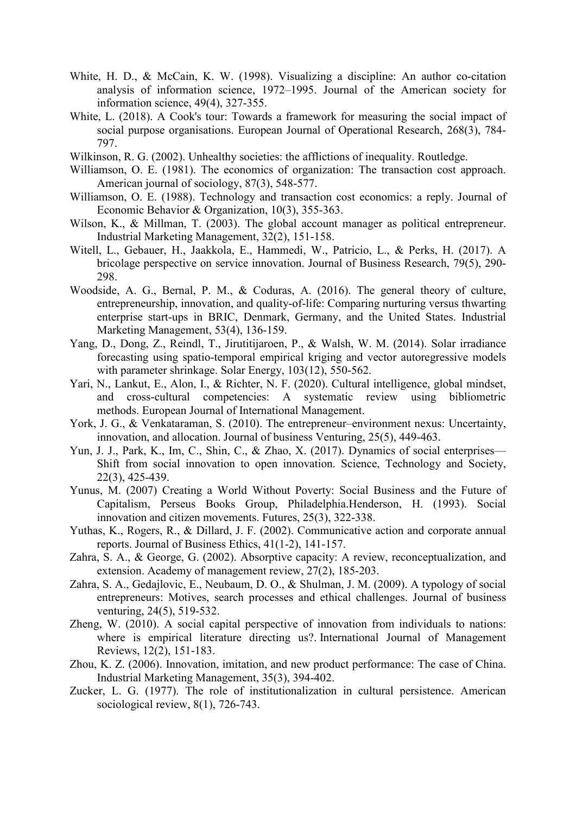- White, H. D., & McCain, K. W. (1998). Visualizing a discipline: An author co-citation analysis of information science, 1972–1995. Journal of the American society for information science, 49(4), 327-355.
- White, L. (2018). A Cook's tour: Towards a framework for measuring the social impact of social purpose organisations. European Journal of Operational Research, 268(3), 784- 797.
- Wilkinson, R. G. (2002). Unhealthy societies: the afflictions of inequality. Routledge.
- Williamson, O. E. (1981). The economics of organization: The transaction cost approach. American journal of sociology, 87(3), 548-577.
- Williamson, O. E. (1988). Technology and transaction cost economics: a reply. Journal of Economic Behavior & Organization, 10(3), 355-363.
- Wilson, K., & Millman, T. (2003). The global account manager as political entrepreneur. Industrial Marketing Management, 32(2), 151-158.
- Witell, L., Gebauer, H., Jaakkola, E., Hammedi, W., Patricio, L., & Perks, H. (2017). A bricolage perspective on service innovation. Journal of Business Research, 79(5), 290- 298.
- Woodside, A. G., Bernal, P. M., & Coduras, A. (2016). The general theory of culture, entrepreneurship, innovation, and quality-of-life: Comparing nurturing versus thwarting enterprise start-ups in BRIC, Denmark, Germany, and the United States. Industrial Marketing Management, 53(4), 136-159.
- Yang, D., Dong, Z., Reindl, T., Jirutitijaroen, P., & Walsh, W. M. (2014). Solar irradiance forecasting using spatio-temporal empirical kriging and vector autoregressive models with parameter shrinkage. Solar Energy, 103(12), 550-562.
- Yari, N., Lankut, E., Alon, I., & Richter, N. F. (2020). Cultural intelligence, global mindset, and cross-cultural competencies: A systematic review using bibliometric methods. European Journal of International Management.
- York, J. G., & Venkataraman, S. (2010). The entrepreneur–environment nexus: Uncertainty, innovation, and allocation. Journal of business Venturing, 25(5), 449-463.
- Yun, J. J., Park, K., Im, C., Shin, C., & Zhao, X. (2017). Dynamics of social enterprises— Shift from social innovation to open innovation. Science, Technology and Society, 22(3), 425-439.
- Yunus, M. (2007) Creating a World Without Poverty: Social Business and the Future of Capitalism, Perseus Books Group, Philadelphia.Henderson, H. (1993). Social innovation and citizen movements. Futures, 25(3), 322-338.
- Yuthas, K., Rogers, R., & Dillard, J. F. (2002). Communicative action and corporate annual reports. Journal of Business Ethics, 41(1-2), 141-157.
- Zahra, S. A., & George, G. (2002). Absorptive capacity: A review, reconceptualization, and extension. Academy of management review, 27(2), 185-203.
- Zahra, S. A., Gedajlovic, E., Neubaum, D. O., & Shulman, J. M. (2009). A typology of social entrepreneurs: Motives, search processes and ethical challenges. Journal of business venturing, 24(5), 519-532.
- Zheng, W. (2010). A social capital perspective of innovation from individuals to nations: where is empirical literature directing us?. International Journal of Management Reviews, 12(2), 151-183.
- Zhou, K. Z. (2006). Innovation, imitation, and new product performance: The case of China. Industrial Marketing Management, 35(3), 394-402.
- Zucker, L. G. (1977). The role of institutionalization in cultural persistence. American sociological review, 8(1), 726-743.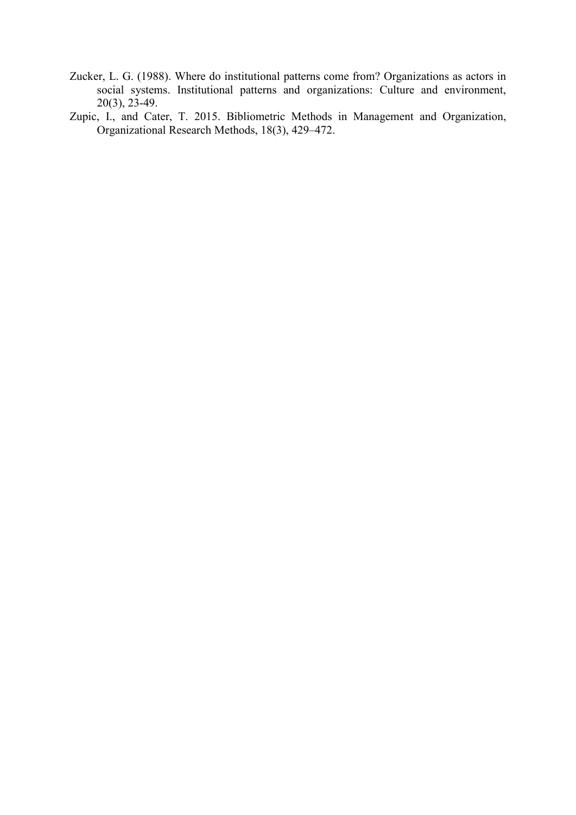- Zucker, L. G. (1988). Where do institutional patterns come from? Organizations as actors in social systems. Institutional patterns and organizations: Culture and environment,  $20(3)$ ,  $23-49$ .
- Zupic, I., and Cater, T. 2015. Bibliometric Methods in Management and Organization, Organizational Research Methods, 18(3), 429–472.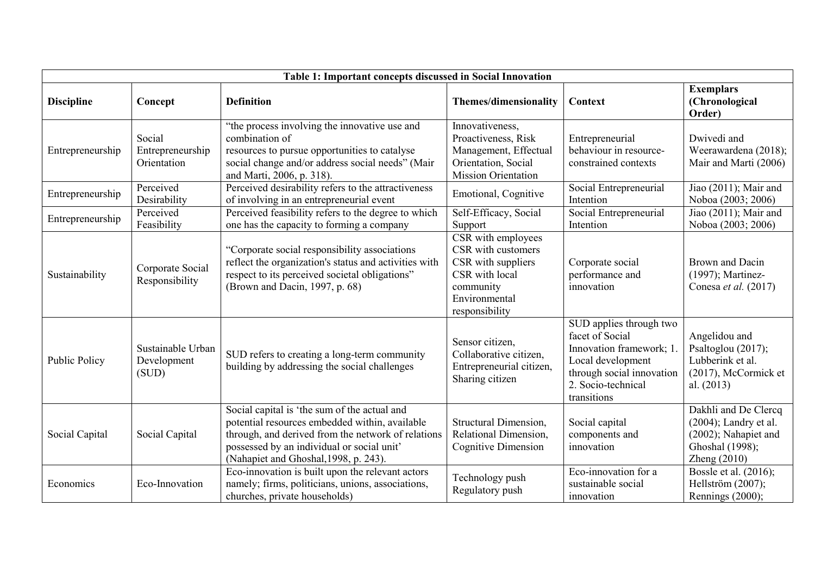|                   | Table 1: Important concepts discussed in Social Innovation |                                                                                                                                                                                                                                             |                                                                                                                                  |                                                                                                                                                              |                                                                                                            |  |  |  |
|-------------------|------------------------------------------------------------|---------------------------------------------------------------------------------------------------------------------------------------------------------------------------------------------------------------------------------------------|----------------------------------------------------------------------------------------------------------------------------------|--------------------------------------------------------------------------------------------------------------------------------------------------------------|------------------------------------------------------------------------------------------------------------|--|--|--|
| <b>Discipline</b> | Concept                                                    | <b>Definition</b>                                                                                                                                                                                                                           | <b>Themes/dimensionality</b>                                                                                                     | <b>Context</b>                                                                                                                                               | <b>Exemplars</b><br>(Chronological<br>Order)                                                               |  |  |  |
| Entrepreneurship  | Social<br>Entrepreneurship<br>Orientation                  | "the process involving the innovative use and<br>combination of<br>resources to pursue opportunities to catalyse<br>social change and/or address social needs" (Mair<br>and Marti, 2006, p. 318).                                           | Innovativeness,<br>Proactiveness, Risk<br>Management, Effectual<br>Orientation, Social<br><b>Mission Orientation</b>             | Entrepreneurial<br>behaviour in resource-<br>constrained contexts                                                                                            | Dwivedi and<br>Weerawardena (2018);<br>Mair and Marti (2006)                                               |  |  |  |
| Entrepreneurship  | Perceived<br>Desirability                                  | Perceived desirability refers to the attractiveness<br>of involving in an entrepreneurial event                                                                                                                                             | Emotional, Cognitive                                                                                                             | Social Entrepreneurial<br>Intention                                                                                                                          | Jiao (2011); Mair and<br>Noboa (2003; 2006)                                                                |  |  |  |
| Entrepreneurship  | Perceived<br>Feasibility                                   | Perceived feasibility refers to the degree to which<br>one has the capacity to forming a company                                                                                                                                            | Self-Efficacy, Social<br>Support                                                                                                 | Social Entrepreneurial<br>Intention                                                                                                                          | Jiao (2011); Mair and<br>Noboa (2003; 2006)                                                                |  |  |  |
| Sustainability    | Corporate Social<br>Responsibility                         | "Corporate social responsibility associations<br>reflect the organization's status and activities with<br>respect to its perceived societal obligations"<br>(Brown and Dacin, 1997, p. 68)                                                  | CSR with employees<br>CSR with customers<br>CSR with suppliers<br>CSR with local<br>community<br>Environmental<br>responsibility | Corporate social<br>performance and<br>innovation                                                                                                            | Brown and Dacin<br>(1997); Martinez-<br>Conesa et al. (2017)                                               |  |  |  |
| Public Policy     | Sustainable Urban<br>Development<br>(SUD)                  | SUD refers to creating a long-term community<br>building by addressing the social challenges                                                                                                                                                | Sensor citizen,<br>Collaborative citizen,<br>Entrepreneurial citizen,<br>Sharing citizen                                         | SUD applies through two<br>facet of Social<br>Innovation framework; 1<br>Local development<br>through social innovation<br>2. Socio-technical<br>transitions | Angelidou and<br>Psaltoglou (2017);<br>Lubberink et al.<br>(2017), McCormick et<br>al. (2013)              |  |  |  |
| Social Capital    | Social Capital                                             | Social capital is 'the sum of the actual and<br>potential resources embedded within, available<br>through, and derived from the network of relations<br>possessed by an individual or social unit'<br>(Nahapiet and Ghoshal, 1998, p. 243). | Structural Dimension,<br>Relational Dimension,<br><b>Cognitive Dimension</b>                                                     | Social capital<br>components and<br>innovation                                                                                                               | Dakhli and De Clercq<br>(2004); Landry et al.<br>(2002); Nahapiet and<br>Ghoshal (1998);<br>Zheng $(2010)$ |  |  |  |
| Economics         | Eco-Innovation                                             | Eco-innovation is built upon the relevant actors<br>namely; firms, politicians, unions, associations,<br>churches, private households)                                                                                                      | Technology push<br>Regulatory push                                                                                               | Eco-innovation for a<br>sustainable social<br>innovation                                                                                                     | Bossle et al. (2016);<br>Hellström (2007);<br>Rennings (2000);                                             |  |  |  |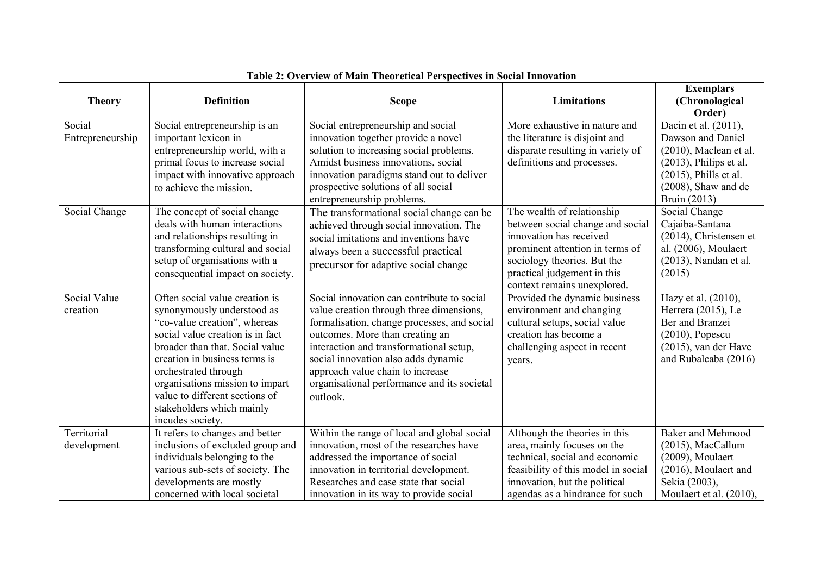|                  |                                  |                                             |                                     | <b>Exemplars</b>          |
|------------------|----------------------------------|---------------------------------------------|-------------------------------------|---------------------------|
| <b>Theory</b>    | <b>Definition</b>                | <b>Scope</b>                                | Limitations                         | (Chronological            |
|                  |                                  |                                             |                                     | Order)                    |
| Social           | Social entrepreneurship is an    | Social entrepreneurship and social          | More exhaustive in nature and       | Dacin et al. (2011),      |
| Entrepreneurship | important lexicon in             | innovation together provide a novel         | the literature is disjoint and      | Dawson and Daniel         |
|                  | entrepreneurship world, with a   | solution to increasing social problems.     | disparate resulting in variety of   | $(2010)$ , Maclean et al. |
|                  | primal focus to increase social  | Amidst business innovations, social         | definitions and processes.          | $(2013)$ , Philips et al. |
|                  | impact with innovative approach  | innovation paradigms stand out to deliver   |                                     | $(2015)$ , Phills et al.  |
|                  | to achieve the mission.          | prospective solutions of all social         |                                     | $(2008)$ , Shaw and de    |
|                  |                                  | entrepreneurship problems.                  |                                     | Bruin (2013)              |
| Social Change    | The concept of social change     | The transformational social change can be   | The wealth of relationship          | Social Change             |
|                  | deals with human interactions    | achieved through social innovation. The     | between social change and social    | Cajaiba-Santana           |
|                  | and relationships resulting in   | social imitations and inventions have       | innovation has received             | (2014), Christensen et    |
|                  | transforming cultural and social | always been a successful practical          | prominent attention in terms of     | al. (2006), Moulaert      |
|                  | setup of organisations with a    | precursor for adaptive social change        | sociology theories. But the         | (2013), Nandan et al.     |
|                  | consequential impact on society. |                                             | practical judgement in this         | (2015)                    |
|                  |                                  |                                             | context remains unexplored.         |                           |
| Social Value     | Often social value creation is   | Social innovation can contribute to social  | Provided the dynamic business       | Hazy et al. (2010),       |
| creation         | synonymously understood as       | value creation through three dimensions,    | environment and changing            | Herrera (2015), Le        |
|                  | "co-value creation", whereas     | formalisation, change processes, and social | cultural setups, social value       | Ber and Branzei           |
|                  | social value creation is in fact | outcomes. More than creating an             | creation has become a               | $(2010)$ , Popescu        |
|                  | broader than that. Social value  | interaction and transformational setup,     | challenging aspect in recent        | $(2015)$ , van der Have   |
|                  | creation in business terms is    | social innovation also adds dynamic         | years.                              | and Rubalcaba (2016)      |
|                  | orchestrated through             | approach value chain to increase            |                                     |                           |
|                  | organisations mission to impart  | organisational performance and its societal |                                     |                           |
|                  | value to different sections of   | outlook.                                    |                                     |                           |
|                  | stakeholders which mainly        |                                             |                                     |                           |
|                  | incudes society.                 |                                             |                                     |                           |
| Territorial      | It refers to changes and better  | Within the range of local and global social | Although the theories in this       | <b>Baker and Mehmood</b>  |
| development      | inclusions of excluded group and | innovation, most of the researches have     | area, mainly focuses on the         | (2015), MacCallum         |
|                  | individuals belonging to the     | addressed the importance of social          | technical, social and economic      | (2009), Moulaert          |
|                  | various sub-sets of society. The | innovation in territorial development.      | feasibility of this model in social | (2016), Moulaert and      |
|                  | developments are mostly          | Researches and case state that social       | innovation, but the political       | Sekia (2003),             |
|                  | concerned with local societal    | innovation in its way to provide social     | agendas as a hindrance for such     | Moulaert et al. (2010),   |

## **Table 2: Overview of Main Theoretical Perspectives in Social Innovation**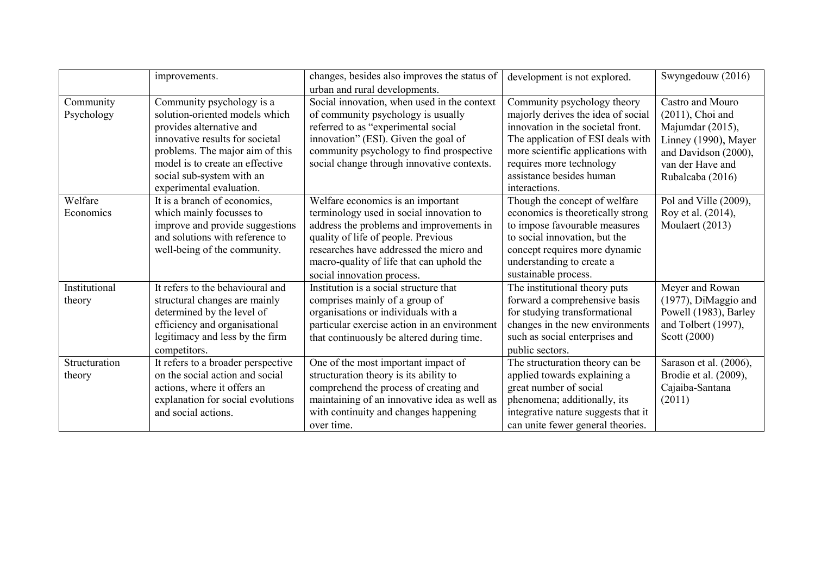|               | improvements.                      | changes, besides also improves the status of<br>urban and rural developments. | development is not explored.        | Swyngedouw (2016)      |
|---------------|------------------------------------|-------------------------------------------------------------------------------|-------------------------------------|------------------------|
| Community     | Community psychology is a          | Social innovation, when used in the context                                   | Community psychology theory         | Castro and Mouro       |
| Psychology    | solution-oriented models which     | of community psychology is usually                                            | majorly derives the idea of social  | $(2011)$ , Choi and    |
|               | provides alternative and           | referred to as "experimental social                                           | innovation in the societal front.   | Majumdar (2015),       |
|               | innovative results for societal    | innovation" (ESI). Given the goal of                                          | The application of ESI deals with   | Linney (1990), Mayer   |
|               | problems. The major aim of this    | community psychology to find prospective                                      | more scientific applications with   | and Davidson (2000),   |
|               | model is to create an effective    | social change through innovative contexts.                                    | requires more technology            | van der Have and       |
|               | social sub-system with an          |                                                                               | assistance besides human            | Rubalcaba (2016)       |
|               | experimental evaluation.           |                                                                               | interactions.                       |                        |
| Welfare       | It is a branch of economics,       | Welfare economics is an important                                             | Though the concept of welfare       | Pol and Ville (2009),  |
| Economics     | which mainly focusses to           | terminology used in social innovation to                                      | economics is theoretically strong   | Roy et al. (2014),     |
|               | improve and provide suggestions    | address the problems and improvements in                                      | to impose favourable measures       | Moulaert (2013)        |
|               | and solutions with reference to    | quality of life of people. Previous                                           | to social innovation, but the       |                        |
|               | well-being of the community.       | researches have addressed the micro and                                       | concept requires more dynamic       |                        |
|               |                                    | macro-quality of life that can uphold the                                     | understanding to create a           |                        |
|               |                                    | social innovation process.                                                    | sustainable process.                |                        |
| Institutional | It refers to the behavioural and   | Institution is a social structure that                                        | The institutional theory puts       | Meyer and Rowan        |
| theory        | structural changes are mainly      | comprises mainly of a group of                                                | forward a comprehensive basis       | (1977), DiMaggio and   |
|               | determined by the level of         | organisations or individuals with a                                           | for studying transformational       | Powell (1983), Barley  |
|               | efficiency and organisational      | particular exercise action in an environment                                  | changes in the new environments     | and Tolbert (1997),    |
|               | legitimacy and less by the firm    | that continuously be altered during time.                                     | such as social enterprises and      | Scott (2000)           |
|               | competitors.                       |                                                                               | public sectors.                     |                        |
| Structuration | It refers to a broader perspective | One of the most important impact of                                           | The structuration theory can be     | Sarason et al. (2006), |
| theory        | on the social action and social    | structuration theory is its ability to                                        | applied towards explaining a        | Brodie et al. (2009),  |
|               | actions, where it offers an        | comprehend the process of creating and                                        | great number of social              | Cajaiba-Santana        |
|               | explanation for social evolutions  | maintaining of an innovative idea as well as                                  | phenomena; additionally, its        | (2011)                 |
|               | and social actions.                | with continuity and changes happening                                         | integrative nature suggests that it |                        |
|               |                                    | over time.                                                                    | can unite fewer general theories.   |                        |

 $\begin{array}{c} \begin{array}{c} \begin{array}{c} \begin{array}{c} \end{array} \end{array} \end{array} \end{array} \end{array}$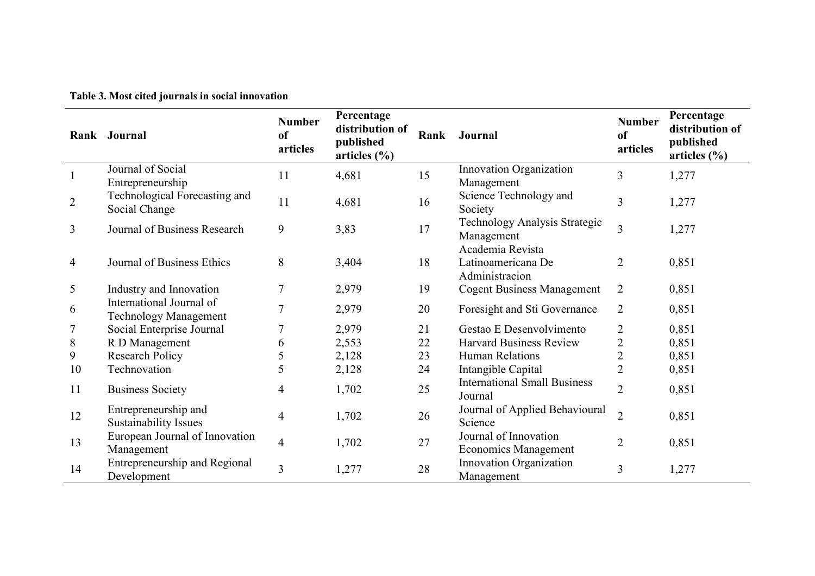|                | Rank Journal                                             | <b>Number</b><br>of<br>articles | Percentage<br>distribution of<br>published<br>articles $(\% )$ | Rank | Journal                                                  | <b>Number</b><br><sub>of</sub><br>articles | Percentage<br>distribution of<br>published<br>articles $(\% )$ |
|----------------|----------------------------------------------------------|---------------------------------|----------------------------------------------------------------|------|----------------------------------------------------------|--------------------------------------------|----------------------------------------------------------------|
|                | Journal of Social<br>Entrepreneurship                    | 11                              | 4,681                                                          | 15   | Innovation Organization<br>Management                    | 3                                          | 1,277                                                          |
| $\overline{2}$ | Technological Forecasting and<br>Social Change           | 11                              | 4,681                                                          | 16   | Science Technology and<br>Society                        | 3                                          | 1,277                                                          |
| 3              | Journal of Business Research                             | 9                               | 3,83                                                           | 17   | Technology Analysis Strategic<br>Management              | 3                                          | 1,277                                                          |
| 4              | Journal of Business Ethics                               | 8                               | 3,404                                                          | 18   | Academia Revista<br>Latinoamericana De<br>Administracion | $\overline{2}$                             | 0,851                                                          |
| 5              | Industry and Innovation                                  | 7                               | 2,979                                                          | 19   | <b>Cogent Business Management</b>                        | $\overline{2}$                             | 0,851                                                          |
| 6              | International Journal of<br><b>Technology Management</b> | 7                               | 2,979                                                          | 20   | Foresight and Sti Governance                             | $\overline{2}$                             | 0,851                                                          |
|                | Social Enterprise Journal                                |                                 | 2,979                                                          | 21   | Gestao E Desenvolvimento                                 | 2                                          | 0,851                                                          |
| 8              | R D Management                                           | 6                               | 2,553                                                          | 22   | <b>Harvard Business Review</b>                           | 2                                          | 0,851                                                          |
| 9              | <b>Research Policy</b>                                   | 5                               | 2,128                                                          | 23   | <b>Human Relations</b>                                   | $\overline{2}$                             | 0,851                                                          |
| 10             | Technovation                                             | 5                               | 2,128                                                          | 24   | Intangible Capital                                       | $\overline{2}$                             | 0,851                                                          |
| 11             | <b>Business Society</b>                                  | 4                               | 1,702                                                          | 25   | <b>International Small Business</b><br>Journal           | $\overline{2}$                             | 0,851                                                          |
| 12             | Entrepreneurship and<br>Sustainability Issues            | $\overline{4}$                  | 1,702                                                          | 26   | Journal of Applied Behavioural<br>Science                | $\overline{2}$                             | 0,851                                                          |
| 13             | European Journal of Innovation<br>Management             | $\overline{4}$                  | 1,702                                                          | 27   | Journal of Innovation<br><b>Economics Management</b>     | $\overline{2}$                             | 0,851                                                          |
| 14             | Entrepreneurship and Regional<br>Development             | 3                               | 1,277                                                          | 28   | Innovation Organization<br>Management                    | 3                                          | 1,277                                                          |

**Table 3. Most cited journals in social innovation**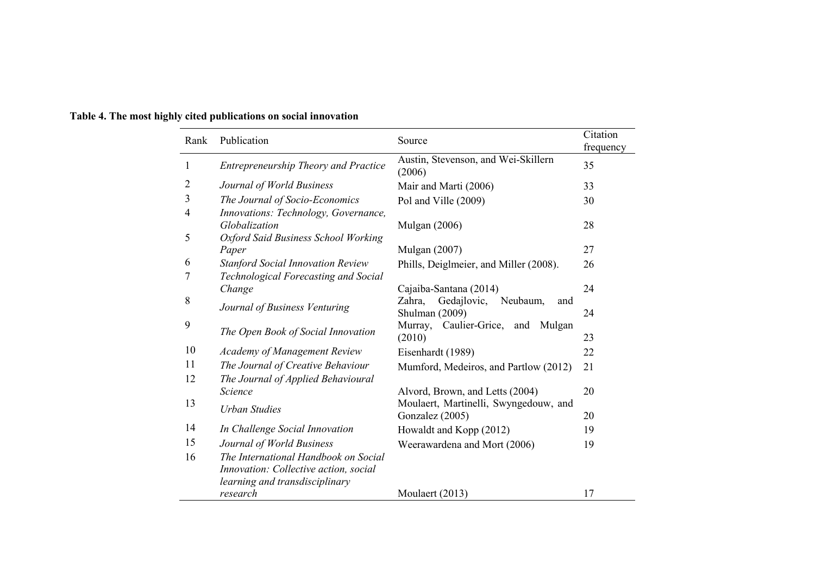| Rank   | Publication                                                                                                     | Source                                                     | Citation<br>frequency |
|--------|-----------------------------------------------------------------------------------------------------------------|------------------------------------------------------------|-----------------------|
| 1      | Entrepreneurship Theory and Practice                                                                            | Austin, Stevenson, and Wei-Skillern<br>(2006)              | 35                    |
| 2      | Journal of World Business                                                                                       | Mair and Marti (2006)                                      | 33                    |
| 3      | The Journal of Socio-Economics                                                                                  | Pol and Ville (2009)                                       | 30                    |
| 4<br>5 | Innovations: Technology, Governance,<br>Globalization<br>Oxford Said Business School Working                    | <b>Mulgan</b> (2006)                                       | 28                    |
|        | Paper                                                                                                           | Mulgan (2007)                                              | 27                    |
| 6      | <b>Stanford Social Innovation Review</b>                                                                        | Phills, Deiglmeier, and Miller (2008).                     | 26                    |
| 7      | Technological Forecasting and Social                                                                            |                                                            |                       |
|        | Change                                                                                                          | Cajaiba-Santana (2014)                                     | 24                    |
| 8      | Journal of Business Venturing                                                                                   | Gedajlovic,<br>Neubaum,<br>Zahra,<br>and<br>Shulman (2009) | 24                    |
| 9      | The Open Book of Social Innovation                                                                              | Murray, Caulier-Grice, and Mulgan<br>(2010)                | 23                    |
| 10     | <b>Academy of Management Review</b>                                                                             | Eisenhardt (1989)                                          | 22                    |
| 11     | The Journal of Creative Behaviour                                                                               | Mumford, Medeiros, and Partlow (2012)                      | 21                    |
| 12     | The Journal of Applied Behavioural                                                                              |                                                            |                       |
|        | Science                                                                                                         | Alvord, Brown, and Letts (2004)                            | 20                    |
| 13     | <b>Urban Studies</b>                                                                                            | Moulaert, Martinelli, Swyngedouw, and<br>Gonzalez (2005)   | 20                    |
| 14     | In Challenge Social Innovation                                                                                  | Howaldt and Kopp (2012)                                    | 19                    |
| 15     | Journal of World Business                                                                                       | Weerawardena and Mort (2006)                               | 19                    |
| 16     | The International Handbook on Social<br>Innovation: Collective action, social<br>learning and transdisciplinary |                                                            |                       |
|        | research                                                                                                        | Moulaert (2013)                                            | 17                    |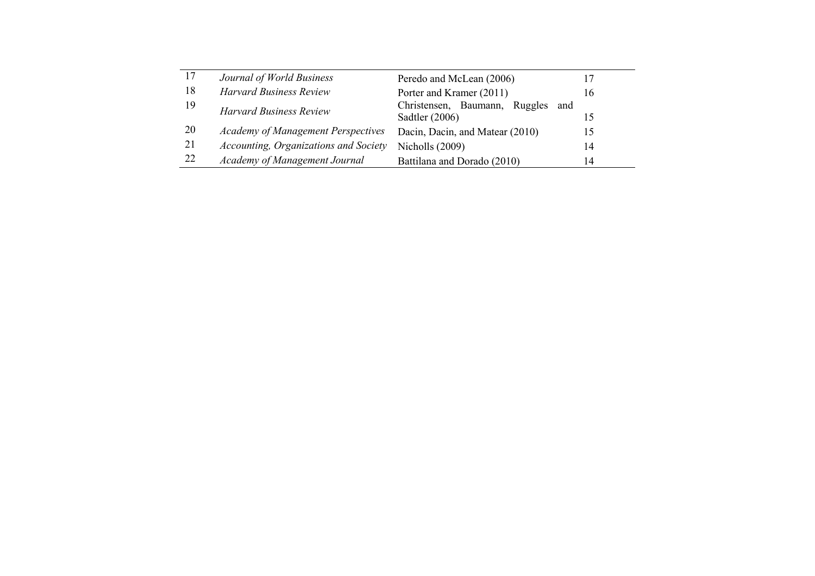| 17 | Journal of World Business                 | Peredo and McLean (2006)             |    |
|----|-------------------------------------------|--------------------------------------|----|
| 18 | <b>Harvard Business Review</b>            | Porter and Kramer (2011)             | 16 |
| 19 | <b>Harvard Business Review</b>            | Christensen, Baumann, Ruggles<br>and |    |
|    |                                           | Sadtler $(2006)$                     |    |
| 20 | <b>Academy of Management Perspectives</b> | Dacin, Dacin, and Matear (2010)      | 15 |
| 21 | Accounting, Organizations and Society     | Nicholls (2009)                      | 14 |
| 22 | Academy of Management Journal             | Battilana and Dorado (2010)          | 14 |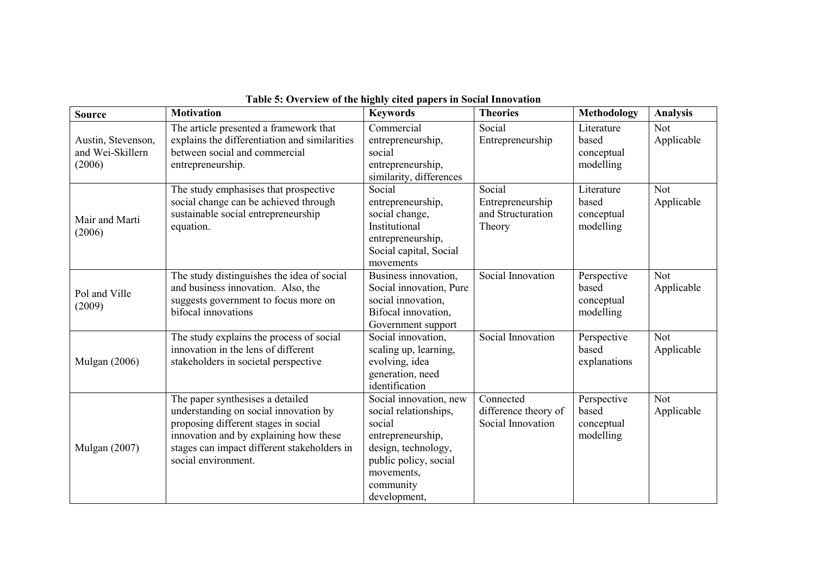| <b>Source</b>                                    | <b>Motivation</b>                                                                                                                                                                                                                 | <b>Keywords</b>                                                                                                                                                           | <b>Theories</b>                                           | <b>Methodology</b>                              | <b>Analysis</b>          |
|--------------------------------------------------|-----------------------------------------------------------------------------------------------------------------------------------------------------------------------------------------------------------------------------------|---------------------------------------------------------------------------------------------------------------------------------------------------------------------------|-----------------------------------------------------------|-------------------------------------------------|--------------------------|
| Austin, Stevenson,<br>and Wei-Skillern<br>(2006) | The article presented a framework that<br>explains the differentiation and similarities<br>between social and commercial<br>entrepreneurship.                                                                                     | Commercial<br>entrepreneurship,<br>social<br>entrepreneurship,<br>similarity, differences                                                                                 | Social<br>Entrepreneurship                                | Literature<br>based<br>conceptual<br>modelling  | <b>Not</b><br>Applicable |
| Mair and Marti<br>(2006)                         | The study emphasises that prospective<br>social change can be achieved through<br>sustainable social entrepreneurship<br>equation.                                                                                                | Social<br>entrepreneurship,<br>social change,<br>Institutional<br>entrepreneurship,<br>Social capital, Social<br>movements                                                | Social<br>Entrepreneurship<br>and Structuration<br>Theory | Literature<br>based<br>conceptual<br>modelling  | <b>Not</b><br>Applicable |
| Pol and Ville<br>(2009)                          | The study distinguishes the idea of social<br>and business innovation. Also, the<br>suggests government to focus more on<br>bifocal innovations                                                                                   | Business innovation,<br>Social innovation, Pure<br>social innovation,<br>Bifocal innovation,<br>Government support                                                        | Social Innovation                                         | Perspective<br>based<br>conceptual<br>modelling | Not<br>Applicable        |
| <b>Mulgan</b> (2006)                             | The study explains the process of social<br>innovation in the lens of different<br>stakeholders in societal perspective                                                                                                           | Social innovation,<br>scaling up, learning,<br>evolving, idea<br>generation, need<br>identification                                                                       | Social Innovation                                         | Perspective<br>based<br>explanations            | Not<br>Applicable        |
| <b>Mulgan</b> (2007)                             | The paper synthesises a detailed<br>understanding on social innovation by<br>proposing different stages in social<br>innovation and by explaining how these<br>stages can impact different stakeholders in<br>social environment. | Social innovation, new<br>social relationships,<br>social<br>entrepreneurship,<br>design, technology,<br>public policy, social<br>movements,<br>community<br>development, | Connected<br>difference theory of<br>Social Innovation    | Perspective<br>based<br>conceptual<br>modelling | <b>Not</b><br>Applicable |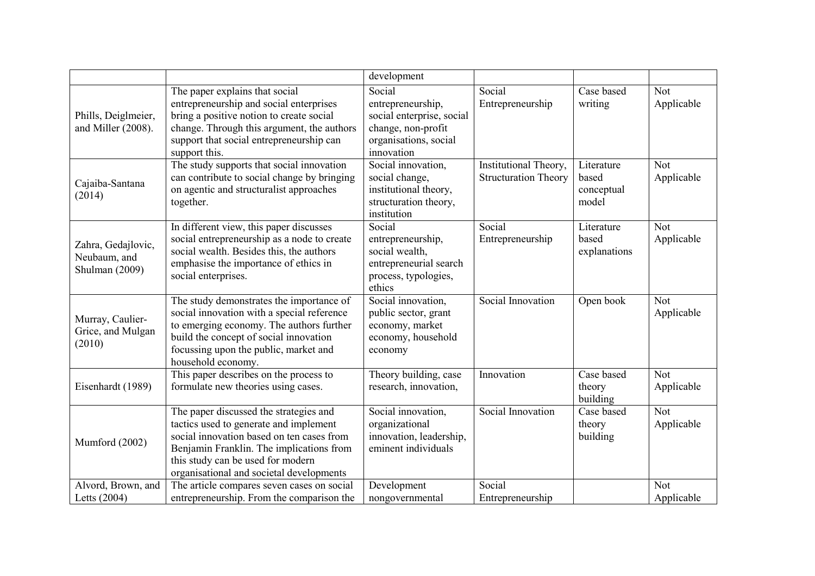|                                                      |                                                                                                                                                                                                                                                            | development                                                                                                           |                                                      |                                            |                          |
|------------------------------------------------------|------------------------------------------------------------------------------------------------------------------------------------------------------------------------------------------------------------------------------------------------------------|-----------------------------------------------------------------------------------------------------------------------|------------------------------------------------------|--------------------------------------------|--------------------------|
| Phills, Deiglmeier,<br>and Miller (2008).            | The paper explains that social<br>entrepreneurship and social enterprises<br>bring a positive notion to create social<br>change. Through this argument, the authors<br>support that social entrepreneurship can<br>support this.                           | Social<br>entrepreneurship,<br>social enterprise, social<br>change, non-profit<br>organisations, social<br>innovation | Social<br>Entrepreneurship                           | Case based<br>writing                      | <b>Not</b><br>Applicable |
| Cajaiba-Santana<br>(2014)                            | The study supports that social innovation<br>can contribute to social change by bringing<br>on agentic and structuralist approaches<br>together.                                                                                                           | Social innovation,<br>social change,<br>institutional theory,<br>structuration theory,<br>institution                 | Institutional Theory,<br><b>Structuration Theory</b> | Literature<br>based<br>conceptual<br>model | <b>Not</b><br>Applicable |
| Zahra, Gedajlovic,<br>Neubaum, and<br>Shulman (2009) | In different view, this paper discusses<br>social entrepreneurship as a node to create<br>social wealth. Besides this, the authors<br>emphasise the importance of ethics in<br>social enterprises.                                                         | Social<br>entrepreneurship,<br>social wealth,<br>entrepreneurial search<br>process, typologies,<br>ethics             | Social<br>Entrepreneurship                           | Literature<br>based<br>explanations        | <b>Not</b><br>Applicable |
| Murray, Caulier-<br>Grice, and Mulgan<br>(2010)      | The study demonstrates the importance of<br>social innovation with a special reference<br>to emerging economy. The authors further<br>build the concept of social innovation<br>focussing upon the public, market and<br>household economy.                | Social innovation,<br>public sector, grant<br>economy, market<br>economy, household<br>economy                        | Social Innovation                                    | Open book                                  | <b>Not</b><br>Applicable |
| Eisenhardt (1989)                                    | This paper describes on the process to<br>formulate new theories using cases.                                                                                                                                                                              | Theory building, case<br>research, innovation,                                                                        | Innovation                                           | Case based<br>theory<br>building           | <b>Not</b><br>Applicable |
| Mumford (2002)                                       | The paper discussed the strategies and<br>tactics used to generate and implement<br>social innovation based on ten cases from<br>Benjamin Franklin. The implications from<br>this study can be used for modern<br>organisational and societal developments | Social innovation,<br>organizational<br>innovation, leadership,<br>eminent individuals                                | Social Innovation                                    | Case based<br>theory<br>building           | <b>Not</b><br>Applicable |
| Alvord, Brown, and<br>Letts (2004)                   | The article compares seven cases on social<br>entrepreneurship. From the comparison the                                                                                                                                                                    | Development<br>nongovernmental                                                                                        | Social<br>Entrepreneurship                           |                                            | <b>Not</b><br>Applicable |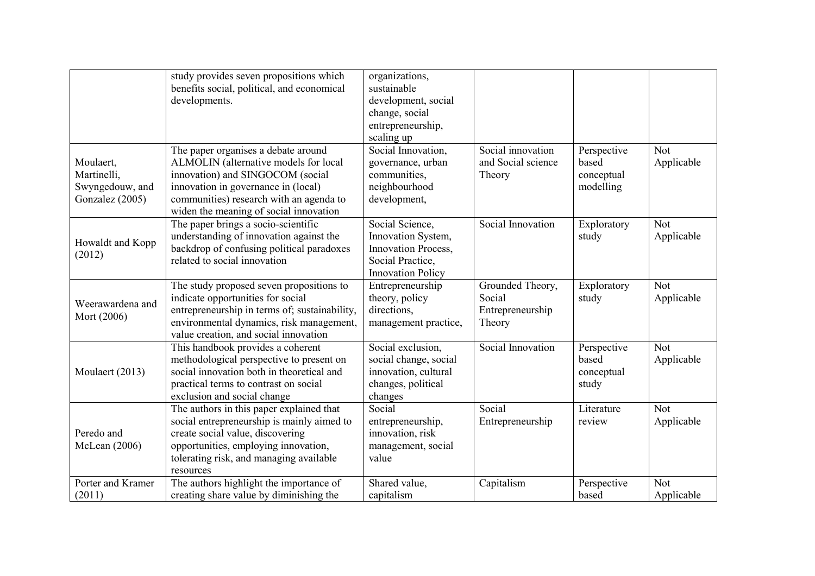|                                                                | study provides seven propositions which<br>benefits social, political, and economical<br>developments.                                                                                                                                       | organizations,<br>sustainable<br>development, social<br>change, social<br>entrepreneurship,<br>scaling up    |                                                          |                                                 |                          |
|----------------------------------------------------------------|----------------------------------------------------------------------------------------------------------------------------------------------------------------------------------------------------------------------------------------------|--------------------------------------------------------------------------------------------------------------|----------------------------------------------------------|-------------------------------------------------|--------------------------|
| Moulaert,<br>Martinelli,<br>Swyngedouw, and<br>Gonzalez (2005) | The paper organises a debate around<br>ALMOLIN (alternative models for local<br>innovation) and SINGOCOM (social<br>innovation in governance in (local)<br>communities) research with an agenda to<br>widen the meaning of social innovation | Social Innovation,<br>governance, urban<br>communities,<br>neighbourhood<br>development,                     | Social innovation<br>and Social science<br>Theory        | Perspective<br>based<br>conceptual<br>modelling | <b>Not</b><br>Applicable |
| Howaldt and Kopp<br>(2012)                                     | The paper brings a socio-scientific<br>understanding of innovation against the<br>backdrop of confusing political paradoxes<br>related to social innovation                                                                                  | Social Science,<br>Innovation System,<br>Innovation Process,<br>Social Practice,<br><b>Innovation Policy</b> | Social Innovation                                        | Exploratory<br>study                            | Not<br>Applicable        |
| Weerawardena and<br>Mort (2006)                                | The study proposed seven propositions to<br>indicate opportunities for social<br>entrepreneurship in terms of; sustainability,<br>environmental dynamics, risk management,<br>value creation, and social innovation                          | Entrepreneurship<br>theory, policy<br>directions,<br>management practice,                                    | Grounded Theory,<br>Social<br>Entrepreneurship<br>Theory | Exploratory<br>study                            | Not<br>Applicable        |
| Moulaert (2013)                                                | This handbook provides a coherent<br>methodological perspective to present on<br>social innovation both in theoretical and<br>practical terms to contrast on social<br>exclusion and social change                                           | Social exclusion,<br>social change, social<br>innovation, cultural<br>changes, political<br>changes          | Social Innovation                                        | Perspective<br>based<br>conceptual<br>study     | <b>Not</b><br>Applicable |
| Peredo and<br>McLean (2006)                                    | The authors in this paper explained that<br>social entrepreneurship is mainly aimed to<br>create social value, discovering<br>opportunities, employing innovation,<br>tolerating risk, and managing available<br>resources                   | Social<br>entrepreneurship,<br>innovation, risk<br>management, social<br>value                               | Social<br>Entrepreneurship                               | Literature<br>review                            | <b>Not</b><br>Applicable |
| Porter and Kramer<br>(2011)                                    | The authors highlight the importance of<br>creating share value by diminishing the                                                                                                                                                           | Shared value,<br>capitalism                                                                                  | Capitalism                                               | Perspective<br>based                            | Not<br>Applicable        |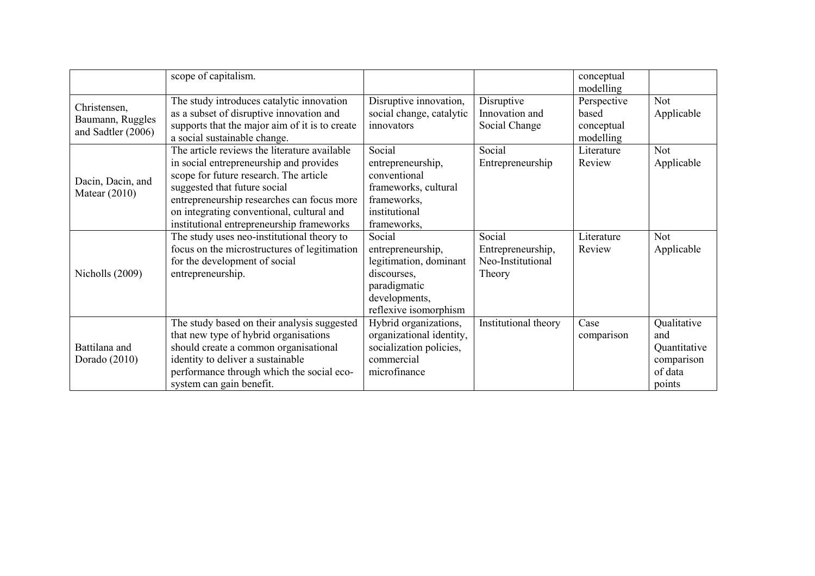|                                                        | scope of capitalism.                                                                                                                                                                                                                                                                                      |                                                                                                                                |                                                            | conceptual<br>modelling                         |                                                                       |
|--------------------------------------------------------|-----------------------------------------------------------------------------------------------------------------------------------------------------------------------------------------------------------------------------------------------------------------------------------------------------------|--------------------------------------------------------------------------------------------------------------------------------|------------------------------------------------------------|-------------------------------------------------|-----------------------------------------------------------------------|
| Christensen,<br>Baumann, Ruggles<br>and Sadtler (2006) | The study introduces catalytic innovation<br>as a subset of disruptive innovation and<br>supports that the major aim of it is to create<br>a social sustainable change.                                                                                                                                   | Disruptive innovation,<br>social change, catalytic<br>innovators                                                               | Disruptive<br>Innovation and<br>Social Change              | Perspective<br>based<br>conceptual<br>modelling | <b>Not</b><br>Applicable                                              |
| Dacin, Dacin, and<br>Matear $(2010)$                   | The article reviews the literature available<br>in social entrepreneurship and provides<br>scope for future research. The article<br>suggested that future social<br>entrepreneurship researches can focus more<br>on integrating conventional, cultural and<br>institutional entrepreneurship frameworks | Social<br>entrepreneurship,<br>conventional<br>frameworks, cultural<br>frameworks,<br>institutional<br>frameworks,             | Social<br>Entrepreneurship                                 | Literature<br>Review                            | Not<br>Applicable                                                     |
| Nicholls (2009)                                        | The study uses neo-institutional theory to<br>focus on the microstructures of legitimation<br>for the development of social<br>entrepreneurship.                                                                                                                                                          | Social<br>entrepreneurship,<br>legitimation, dominant<br>discourses,<br>paradigmatic<br>developments,<br>reflexive isomorphism | Social<br>Entrepreneurship,<br>Neo-Institutional<br>Theory | Literature<br>Review                            | Not<br>Applicable                                                     |
| Battilana and<br>Dorado (2010)                         | The study based on their analysis suggested<br>that new type of hybrid organisations<br>should create a common organisational<br>identity to deliver a sustainable<br>performance through which the social eco-<br>system can gain benefit.                                                               | Hybrid organizations,<br>organizational identity,<br>socialization policies,<br>commercial<br>microfinance                     | Institutional theory                                       | Case<br>comparison                              | Qualitative<br>and<br>Quantitative<br>comparison<br>of data<br>points |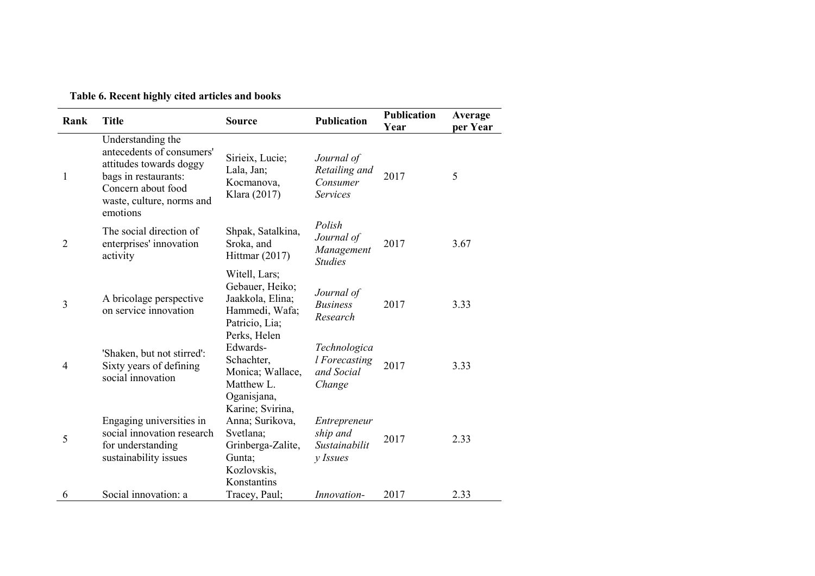| Table 6. Recent highly cited articles and books |  |  |  |
|-------------------------------------------------|--|--|--|
|-------------------------------------------------|--|--|--|

| Rank           | <b>Title</b>                                                                                                                                                     | <b>Source</b>                                                                                                 | <b>Publication</b>                                         | <b>Publication</b><br>Year | Average<br>per Year |
|----------------|------------------------------------------------------------------------------------------------------------------------------------------------------------------|---------------------------------------------------------------------------------------------------------------|------------------------------------------------------------|----------------------------|---------------------|
| $\mathbf{1}$   | Understanding the<br>antecedents of consumers'<br>attitudes towards doggy<br>bags in restaurants:<br>Concern about food<br>waste, culture, norms and<br>emotions | Sirieix, Lucie;<br>Lala, Jan;<br>Kocmanova,<br>Klara (2017)                                                   | Journal of<br>Retailing and<br>Consumer<br><b>Services</b> | 2017                       | 5                   |
| $\overline{2}$ | The social direction of<br>enterprises' innovation<br>activity                                                                                                   | Shpak, Satalkina,<br>Sroka, and<br>Hittmar (2017)                                                             | Polish<br>Journal of<br>Management<br><b>Studies</b>       | 2017                       | 3.67                |
| 3              | A bricolage perspective<br>on service innovation                                                                                                                 | Witell, Lars;<br>Gebauer, Heiko;<br>Jaakkola, Elina;<br>Hammedi, Wafa;<br>Patricio, Lia;<br>Perks, Helen      | Journal of<br><b>Business</b><br>Research                  | 2017                       | 3.33                |
| 4              | 'Shaken, but not stirred':<br>Sixty years of defining<br>social innovation                                                                                       | Edwards-<br>Schachter,<br>Monica; Wallace,<br>Matthew L.<br>Oganisjana,                                       | Technologica<br>l Forecasting<br>and Social<br>Change      | 2017                       | 3.33                |
| 5              | Engaging universities in<br>social innovation research<br>for understanding<br>sustainability issues                                                             | Karine; Svirina,<br>Anna; Surikova,<br>Svetlana;<br>Grinberga-Zalite,<br>Gunta;<br>Kozlovskis,<br>Konstantins | Entrepreneur<br>ship and<br>Sustainabilit<br>$y$ Issues    | 2017                       | 2.33                |
| 6              | Social innovation: a                                                                                                                                             | Tracey, Paul;                                                                                                 | <i>Innovation-</i>                                         | 2017                       | 2.33                |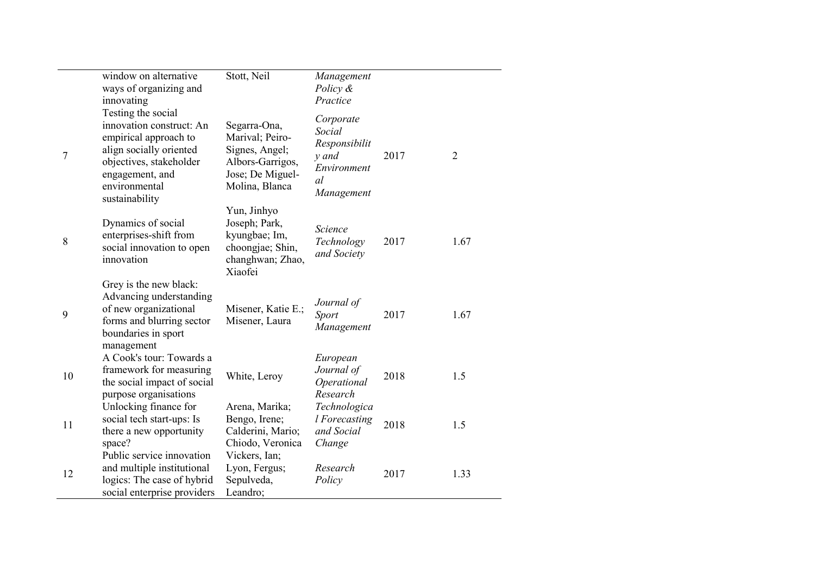|    | window on alternative<br>ways of organizing and<br>innovating                                                                                                                       | Stott, Neil                                                                                                 | Management<br>Policy &<br>Practice                                               |      |      |
|----|-------------------------------------------------------------------------------------------------------------------------------------------------------------------------------------|-------------------------------------------------------------------------------------------------------------|----------------------------------------------------------------------------------|------|------|
| 7  | Testing the social<br>innovation construct: An<br>empirical approach to<br>align socially oriented<br>objectives, stakeholder<br>engagement, and<br>environmental<br>sustainability | Segarra-Ona,<br>Marival; Peiro-<br>Signes, Angel;<br>Albors-Garrigos,<br>Jose; De Miguel-<br>Molina, Blanca | Corporate<br>Social<br>Responsibilit<br>y and<br>Environment<br>al<br>Management | 2017 | 2    |
| 8  | Dynamics of social<br>enterprises-shift from<br>social innovation to open<br>innovation                                                                                             | Yun, Jinhyo<br>Joseph; Park,<br>kyungbae; Im,<br>choongjae; Shin,<br>changhwan; Zhao,<br>Xiaofei            | Science<br>Technology<br>and Society                                             | 2017 | 1.67 |
| 9  | Grey is the new black:<br>Advancing understanding<br>of new organizational<br>forms and blurring sector<br>boundaries in sport<br>management                                        | Misener, Katie E.;<br>Misener, Laura                                                                        | Journal of<br><b>Sport</b><br>Management                                         | 2017 | 1.67 |
| 10 | A Cook's tour: Towards a<br>framework for measuring<br>the social impact of social<br>purpose organisations                                                                         | White, Leroy                                                                                                | European<br>Journal of<br>Operational<br>Research                                | 2018 | 1.5  |
| 11 | Unlocking finance for<br>social tech start-ups: Is<br>there a new opportunity<br>space?                                                                                             | Arena, Marika;<br>Bengo, Irene;<br>Calderini, Mario;<br>Chiodo, Veronica                                    | Technologica<br>l Forecasting<br>and Social<br>Change                            | 2018 | 1.5  |
| 12 | Public service innovation<br>and multiple institutional<br>logics: The case of hybrid<br>social enterprise providers                                                                | Vickers, Ian;<br>Lyon, Fergus;<br>Sepulveda,<br>Leandro;                                                    | Research<br>Policy                                                               | 2017 | 1.33 |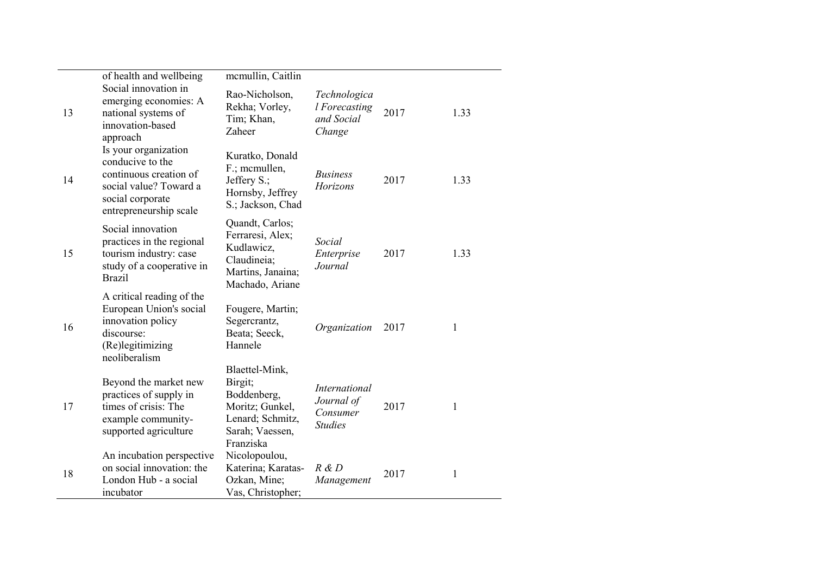|    | of health and wellbeing                                                                                                                    | mcmullin, Caitlin                                                                                               |                                                                  |      |              |
|----|--------------------------------------------------------------------------------------------------------------------------------------------|-----------------------------------------------------------------------------------------------------------------|------------------------------------------------------------------|------|--------------|
| 13 | Social innovation in<br>emerging economies: A<br>national systems of<br>innovation-based<br>approach                                       | Rao-Nicholson,<br>Rekha; Vorley,<br>Tim; Khan,<br>Zaheer                                                        | Technologica<br>l Forecasting<br>and Social<br>Change            | 2017 | 1.33         |
| 14 | Is your organization<br>conducive to the<br>continuous creation of<br>social value? Toward a<br>social corporate<br>entrepreneurship scale | Kuratko, Donald<br>F.; mcmullen,<br>Jeffery S.;<br>Hornsby, Jeffrey<br>S.; Jackson, Chad                        | <b>Business</b><br>Horizons                                      | 2017 | 1.33         |
| 15 | Social innovation<br>practices in the regional<br>tourism industry: case<br>study of a cooperative in<br><b>Brazil</b>                     | Quandt, Carlos;<br>Ferraresi, Alex;<br>Kudlawicz,<br>Claudineia;<br>Martins, Janaina;<br>Machado, Ariane        | Social<br>Enterprise<br>Journal                                  | 2017 | 1.33         |
| 16 | A critical reading of the<br>European Union's social<br>innovation policy<br>discourse:<br>(Re)legitimizing<br>neoliberalism               | Fougere, Martin;<br>Segercrantz,<br>Beata; Seeck,<br>Hannele                                                    | Organization                                                     | 2017 | 1            |
| 17 | Beyond the market new<br>practices of supply in<br>times of crisis: The<br>example community-<br>supported agriculture                     | Blaettel-Mink,<br>Birgit;<br>Boddenberg,<br>Moritz; Gunkel,<br>Lenard; Schmitz,<br>Sarah; Vaessen,<br>Franziska | <i>International</i><br>Journal of<br>Consumer<br><b>Studies</b> | 2017 | 1            |
| 18 | An incubation perspective<br>on social innovation: the<br>London Hub - a social<br>incubator                                               | Nicolopoulou,<br>Katerina; Karatas-<br>Ozkan, Mine;<br>Vas, Christopher;                                        | R & D<br>Management                                              | 2017 | $\mathbf{1}$ |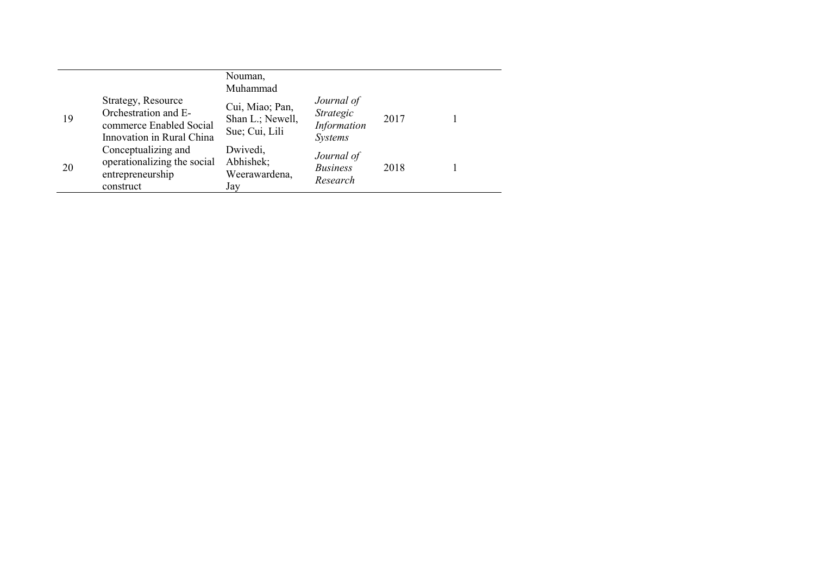|    |                                                                                                    | Nouman,<br>Muhammad                                   |                                                          |      |  |
|----|----------------------------------------------------------------------------------------------------|-------------------------------------------------------|----------------------------------------------------------|------|--|
| 19 | Strategy, Resource<br>Orchestration and E-<br>commerce Enabled Social<br>Innovation in Rural China | Cui, Miao; Pan,<br>Shan L.; Newell,<br>Sue; Cui, Lili | Journal of<br>Strategic<br>Information<br><b>Systems</b> | 2017 |  |
| 20 | Conceptualizing and<br>operationalizing the social<br>entrepreneurship<br>construct                | Dwivedi,<br>Abhishek;<br>Weerawardena,<br>Jay         | Journal of<br><b>Business</b><br>Research                | 2018 |  |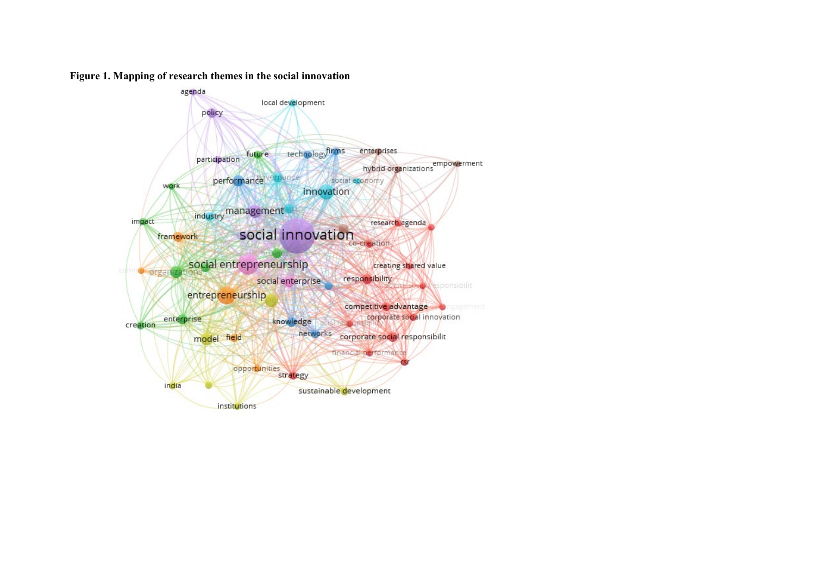

## **Figure 1. Mapping of research themes in the social innovation**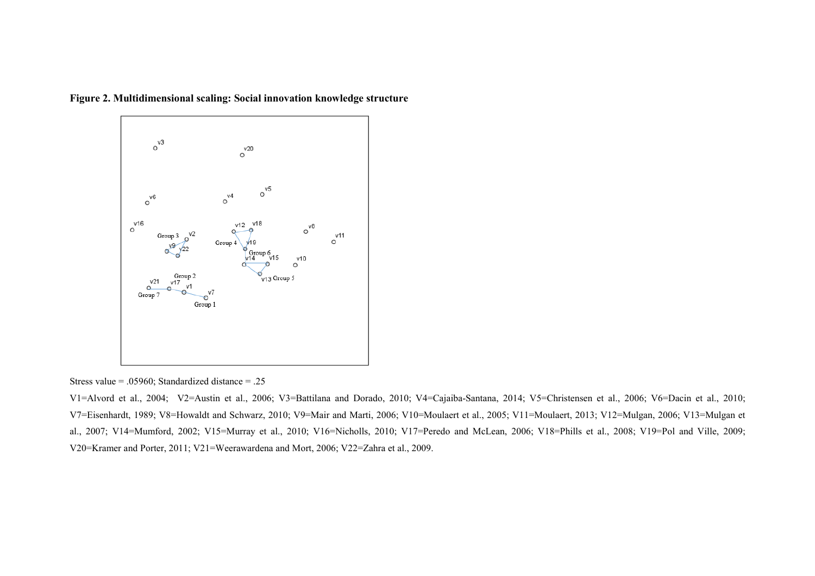**Figure 2. Multidimensional scaling: Social innovation knowledge structure**



Stress value = .05960; Standardized distance = .25

V1=Alvord et al., 2004; V2=Austin et al., 2006; V3=Battilana and Dorado, 2010; V4=Cajaiba-Santana, 2014; V5=Christensen et al., 2006; V6=Dacin et al., 2010; V7=Eisenhardt, 1989; V8=Howaldt and Schwarz, 2010; V9=Mair and Marti, 2006; V10=Moulaert et al., 2005; V11=Moulaert, 2013; V12=Mulgan, 2006; V13=Mulgan et al., 2007; V14=Mumford, 2002; V15=Murray et al., 2010; V16=Nicholls, 2010; V17=Peredo and McLean, 2006; V18=Phills et al., 2008; V19=Pol and Ville, 2009; V20=Kramer and Porter, 2011; V21=Weerawardena and Mort, 2006; V22=Zahra et al., 2009.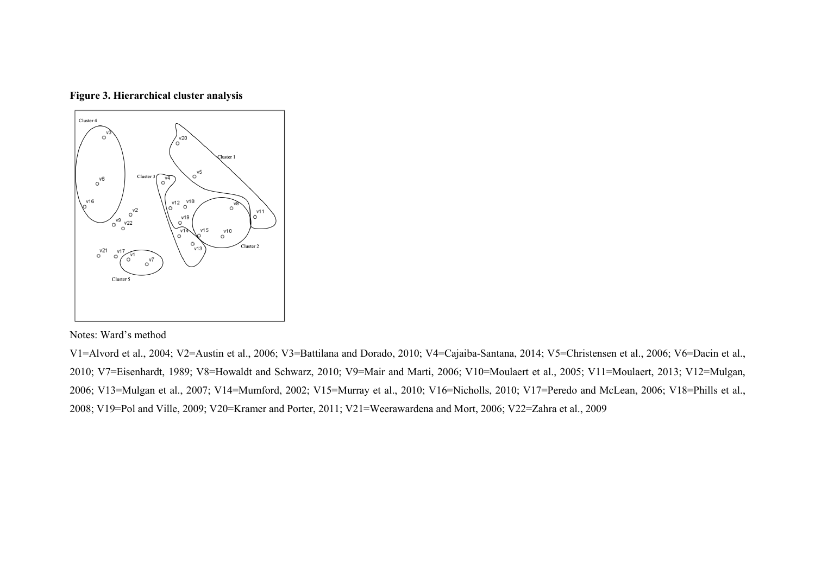**Figure 3. Hierarchical cluster analysis**



## Notes: Ward's method

V1=Alvord et al., 2004; V2=Austin et al., 2006; V3=Battilana and Dorado, 2010; V4=Cajaiba-Santana, 2014; V5=Christensen et al., 2006; V6=Dacin et al., 2010; V7=Eisenhardt, 1989; V8=Howaldt and Schwarz, 2010; V9=Mair and Marti, 2006; V10=Moulaert et al., 2005; V11=Moulaert, 2013; V12=Mulgan, 2006; V13=Mulgan et al., 2007; V14=Mumford, 2002; V15=Murray et al., 2010; V16=Nicholls, 2010; V17=Peredo and McLean, 2006; V18=Phills et al., 2008; V19=Pol and Ville, 2009; V20=Kramer and Porter, 2011; V21=Weerawardena and Mort, 2006; V22=Zahra et al., 2009